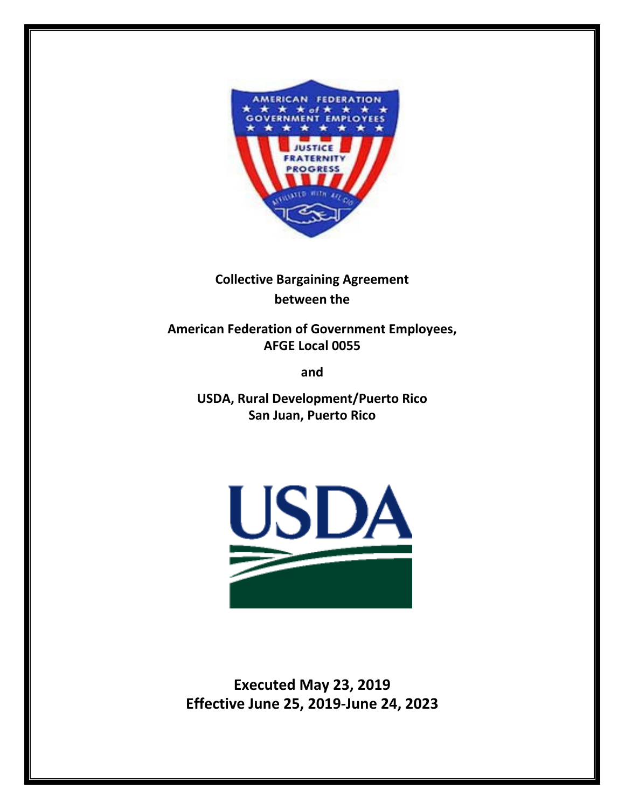

# **Collective Bargaining Agreement between the**

**American Federation of Government Employees, AFGE Local 0055**

**and** 

**USDA, Rural Development/Puerto Rico San Juan, Puerto Rico**



**Executed May 23, 2019 Effective June 25, 2019-June 24, 2023**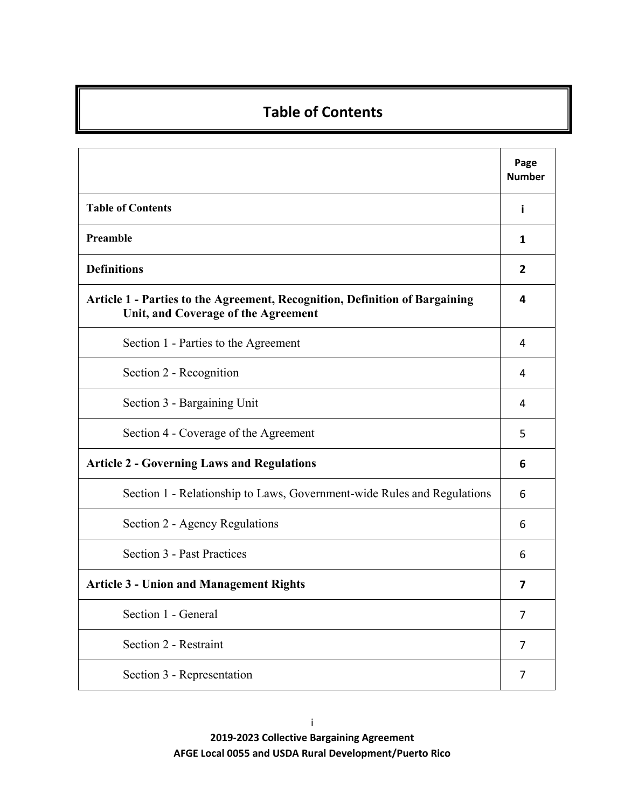# **Table of Contents**

|                                                                                                                    | Page<br><b>Number</b> |
|--------------------------------------------------------------------------------------------------------------------|-----------------------|
| <b>Table of Contents</b>                                                                                           | i                     |
| Preamble                                                                                                           | 1                     |
| <b>Definitions</b>                                                                                                 | 2                     |
| Article 1 - Parties to the Agreement, Recognition, Definition of Bargaining<br>Unit, and Coverage of the Agreement | 4                     |
| Section 1 - Parties to the Agreement                                                                               | 4                     |
| Section 2 - Recognition                                                                                            | 4                     |
| Section 3 - Bargaining Unit                                                                                        | 4                     |
| Section 4 - Coverage of the Agreement                                                                              | 5                     |
| <b>Article 2 - Governing Laws and Regulations</b>                                                                  | 6                     |
| Section 1 - Relationship to Laws, Government-wide Rules and Regulations                                            | 6                     |
| Section 2 - Agency Regulations                                                                                     | 6                     |
| Section 3 - Past Practices                                                                                         | 6                     |
| <b>Article 3 - Union and Management Rights</b>                                                                     | 7                     |
| Section 1 - General                                                                                                | 7                     |
| Section 2 - Restraint                                                                                              | 7                     |
| Section 3 - Representation                                                                                         | 7                     |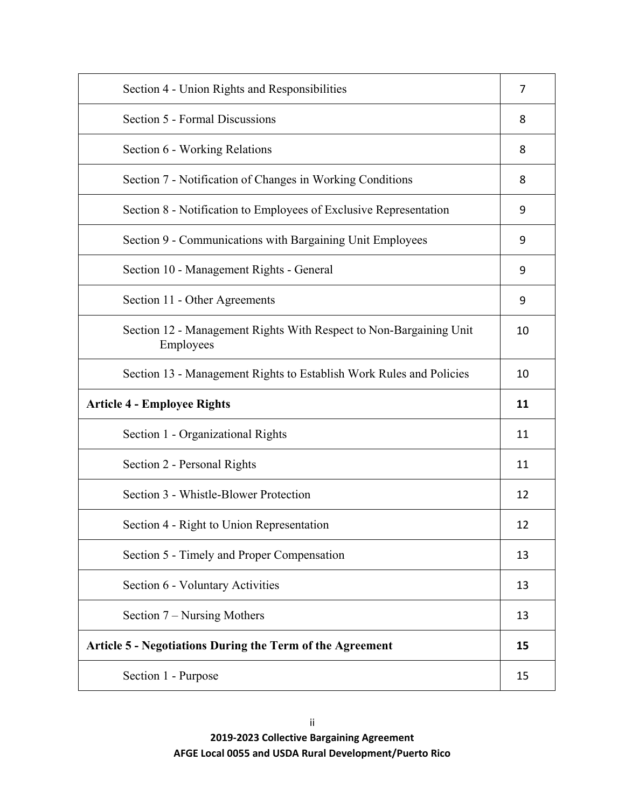| Section 4 - Union Rights and Responsibilities                                   | 7  |
|---------------------------------------------------------------------------------|----|
| Section 5 - Formal Discussions                                                  | 8  |
| Section 6 - Working Relations                                                   | 8  |
| Section 7 - Notification of Changes in Working Conditions                       | 8  |
| Section 8 - Notification to Employees of Exclusive Representation               | 9  |
| Section 9 - Communications with Bargaining Unit Employees                       | 9  |
| Section 10 - Management Rights - General                                        | 9  |
| Section 11 - Other Agreements                                                   | 9  |
| Section 12 - Management Rights With Respect to Non-Bargaining Unit<br>Employees | 10 |
| Section 13 - Management Rights to Establish Work Rules and Policies             | 10 |
| <b>Article 4 - Employee Rights</b>                                              | 11 |
| Section 1 - Organizational Rights                                               | 11 |
| Section 2 - Personal Rights                                                     | 11 |
|                                                                                 |    |
| Section 3 - Whistle-Blower Protection                                           | 12 |
| Section 4 - Right to Union Representation                                       | 12 |
| Section 5 - Timely and Proper Compensation                                      | 13 |
| Section 6 - Voluntary Activities                                                | 13 |
| Section $7$ – Nursing Mothers                                                   | 13 |
| <b>Article 5 - Negotiations During the Term of the Agreement</b>                | 15 |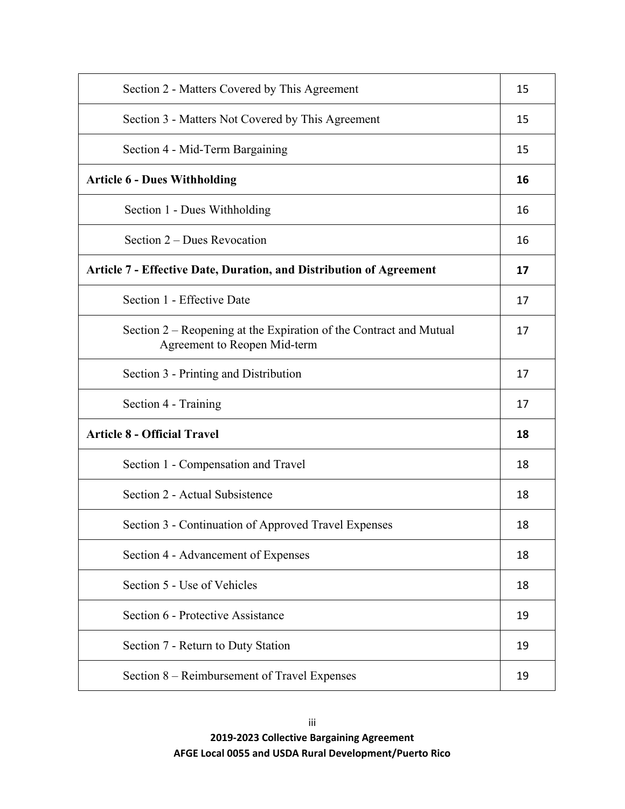| Section 2 - Matters Covered by This Agreement                                                      | 15 |
|----------------------------------------------------------------------------------------------------|----|
| Section 3 - Matters Not Covered by This Agreement                                                  | 15 |
| Section 4 - Mid-Term Bargaining                                                                    | 15 |
| <b>Article 6 - Dues Withholding</b>                                                                | 16 |
| Section 1 - Dues Withholding                                                                       | 16 |
| Section 2 – Dues Revocation                                                                        | 16 |
| <b>Article 7 - Effective Date, Duration, and Distribution of Agreement</b>                         | 17 |
| Section 1 - Effective Date                                                                         | 17 |
| Section 2 – Reopening at the Expiration of the Contract and Mutual<br>Agreement to Reopen Mid-term | 17 |
| Section 3 - Printing and Distribution                                                              | 17 |
| Section 4 - Training                                                                               | 17 |
| <b>Article 8 - Official Travel</b>                                                                 | 18 |
| Section 1 - Compensation and Travel                                                                | 18 |
| Section 2 - Actual Subsistence                                                                     | 18 |
| Section 3 - Continuation of Approved Travel Expenses                                               | 18 |
| Section 4 - Advancement of Expenses                                                                | 18 |
| Section 5 - Use of Vehicles                                                                        | 18 |
| Section 6 - Protective Assistance                                                                  | 19 |
| Section 7 - Return to Duty Station                                                                 | 19 |
| Section 8 – Reimbursement of Travel Expenses                                                       | 19 |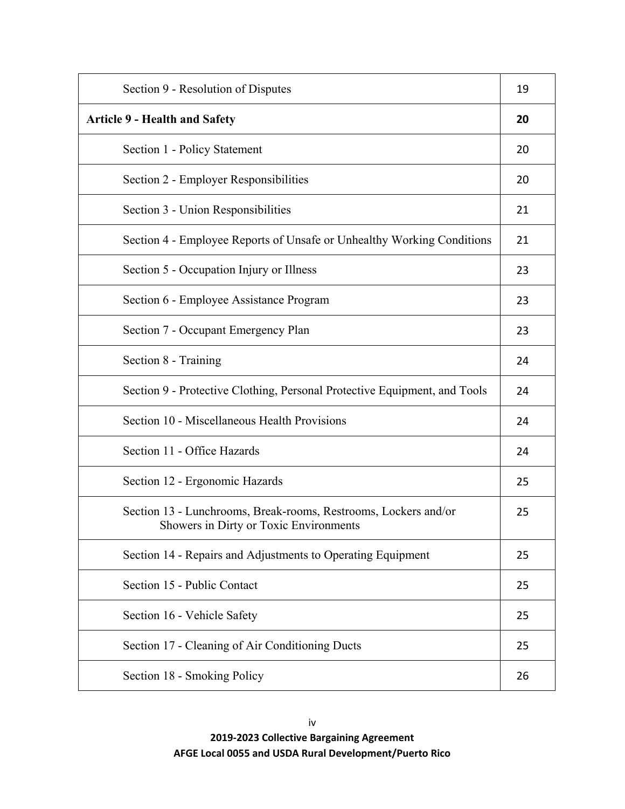| Section 9 - Resolution of Disputes                                                                        | 19 |
|-----------------------------------------------------------------------------------------------------------|----|
| <b>Article 9 - Health and Safety</b>                                                                      | 20 |
| Section 1 - Policy Statement                                                                              | 20 |
| Section 2 - Employer Responsibilities                                                                     | 20 |
| Section 3 - Union Responsibilities                                                                        | 21 |
| Section 4 - Employee Reports of Unsafe or Unhealthy Working Conditions                                    | 21 |
| Section 5 - Occupation Injury or Illness                                                                  | 23 |
| Section 6 - Employee Assistance Program                                                                   | 23 |
| Section 7 - Occupant Emergency Plan                                                                       | 23 |
| Section 8 - Training                                                                                      | 24 |
| Section 9 - Protective Clothing, Personal Protective Equipment, and Tools                                 | 24 |
| Section 10 - Miscellaneous Health Provisions                                                              | 24 |
| Section 11 - Office Hazards                                                                               | 24 |
| Section 12 - Ergonomic Hazards                                                                            | 25 |
| Section 13 - Lunchrooms, Break-rooms, Restrooms, Lockers and/or<br>Showers in Dirty or Toxic Environments | 25 |
| Section 14 - Repairs and Adjustments to Operating Equipment                                               | 25 |
| Section 15 - Public Contact                                                                               | 25 |
| Section 16 - Vehicle Safety                                                                               | 25 |
| Section 17 - Cleaning of Air Conditioning Ducts                                                           | 25 |
| Section 18 - Smoking Policy                                                                               | 26 |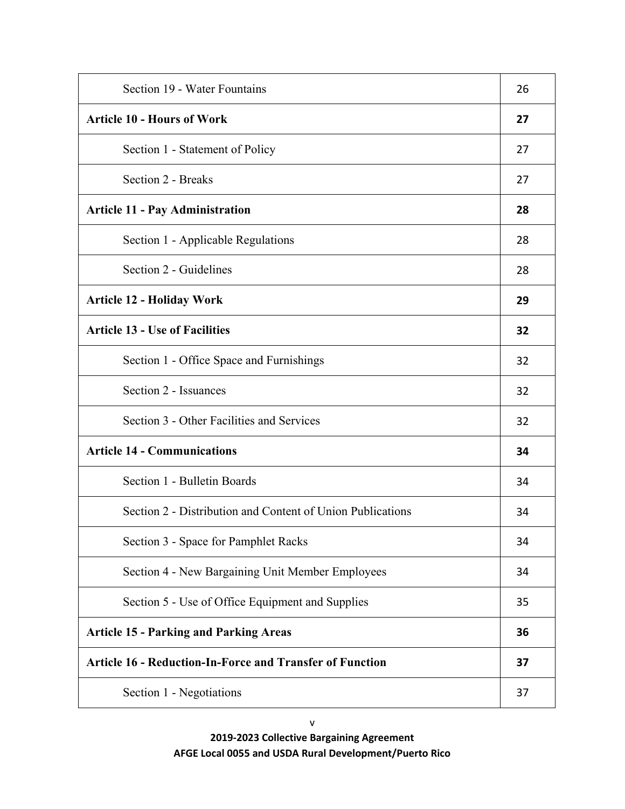| Section 19 - Water Fountains                                    | 26 |
|-----------------------------------------------------------------|----|
| <b>Article 10 - Hours of Work</b>                               | 27 |
| Section 1 - Statement of Policy                                 | 27 |
| Section 2 - Breaks                                              | 27 |
| <b>Article 11 - Pay Administration</b>                          | 28 |
| Section 1 - Applicable Regulations                              | 28 |
| Section 2 - Guidelines                                          | 28 |
| <b>Article 12 - Holiday Work</b>                                | 29 |
| <b>Article 13 - Use of Facilities</b>                           | 32 |
| Section 1 - Office Space and Furnishings                        | 32 |
| Section 2 - Issuances                                           | 32 |
| Section 3 - Other Facilities and Services                       | 32 |
| <b>Article 14 - Communications</b>                              | 34 |
| Section 1 - Bulletin Boards                                     | 34 |
| Section 2 - Distribution and Content of Union Publications      | 34 |
| Section 3 - Space for Pamphlet Racks                            | 34 |
| Section 4 - New Bargaining Unit Member Employees                | 34 |
| Section 5 - Use of Office Equipment and Supplies                | 35 |
| <b>Article 15 - Parking and Parking Areas</b>                   | 36 |
| <b>Article 16 - Reduction-In-Force and Transfer of Function</b> | 37 |
| Section 1 - Negotiations                                        | 37 |

**2019-2023 Collective Bargaining Agreement AFGE Local 0055 and USDA Rural Development/Puerto Rico**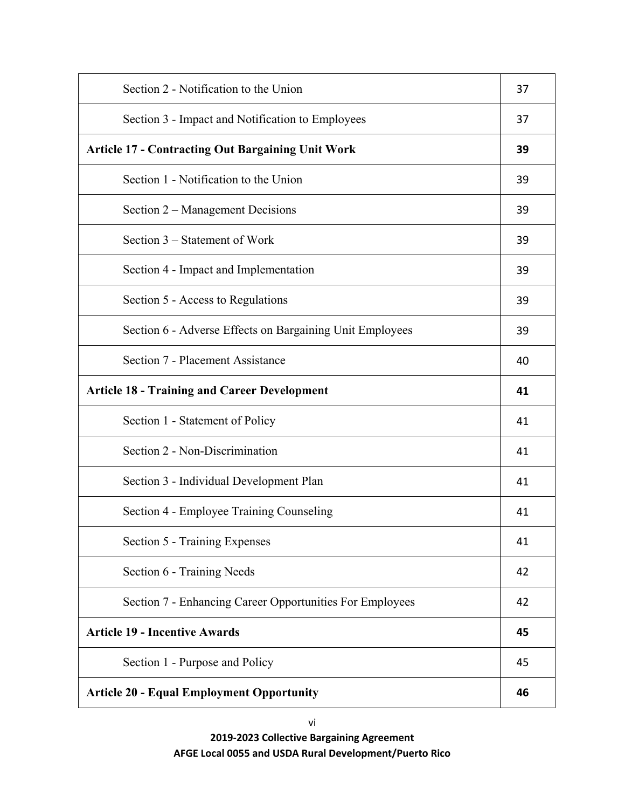| Section 2 - Notification to the Union                    | 37 |
|----------------------------------------------------------|----|
| Section 3 - Impact and Notification to Employees         | 37 |
| <b>Article 17 - Contracting Out Bargaining Unit Work</b> | 39 |
| Section 1 - Notification to the Union                    | 39 |
| Section 2 – Management Decisions                         | 39 |
| Section 3 – Statement of Work                            | 39 |
| Section 4 - Impact and Implementation                    | 39 |
| Section 5 - Access to Regulations                        | 39 |
| Section 6 - Adverse Effects on Bargaining Unit Employees | 39 |
| Section 7 - Placement Assistance                         | 40 |
| <b>Article 18 - Training and Career Development</b>      | 41 |
| Section 1 - Statement of Policy                          | 41 |
| Section 2 - Non-Discrimination                           | 41 |
| Section 3 - Individual Development Plan                  | 41 |
| Section 4 - Employee Training Counseling                 | 41 |
| Section 5 - Training Expenses                            | 41 |
| Section 6 - Training Needs                               | 42 |
| Section 7 - Enhancing Career Opportunities For Employees | 42 |
| <b>Article 19 - Incentive Awards</b>                     | 45 |
| Section 1 - Purpose and Policy                           | 45 |
| <b>Article 20 - Equal Employment Opportunity</b>         | 46 |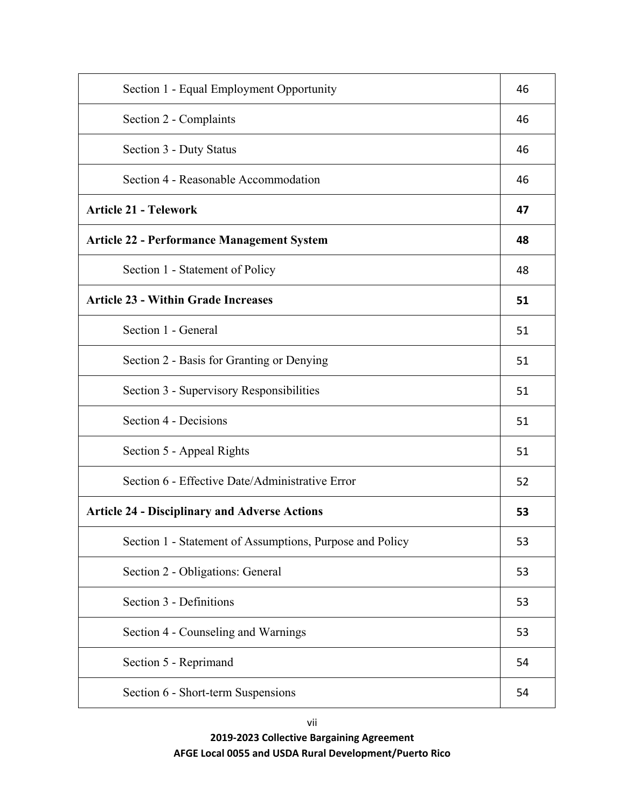| Section 1 - Equal Employment Opportunity                 | 46 |
|----------------------------------------------------------|----|
| Section 2 - Complaints                                   | 46 |
| Section 3 - Duty Status                                  | 46 |
| Section 4 - Reasonable Accommodation                     | 46 |
| <b>Article 21 - Telework</b>                             | 47 |
| <b>Article 22 - Performance Management System</b>        | 48 |
| Section 1 - Statement of Policy                          | 48 |
| <b>Article 23 - Within Grade Increases</b>               | 51 |
| Section 1 - General                                      | 51 |
| Section 2 - Basis for Granting or Denying                | 51 |
| Section 3 - Supervisory Responsibilities                 | 51 |
| Section 4 - Decisions                                    | 51 |
| Section 5 - Appeal Rights                                | 51 |
| Section 6 - Effective Date/Administrative Error          | 52 |
| <b>Article 24 - Disciplinary and Adverse Actions</b>     | 53 |
| Section 1 - Statement of Assumptions, Purpose and Policy | 53 |
| Section 2 - Obligations: General                         | 53 |
| Section 3 - Definitions                                  | 53 |
| Section 4 - Counseling and Warnings                      | 53 |
| Section 5 - Reprimand                                    | 54 |
| Section 6 - Short-term Suspensions                       | 54 |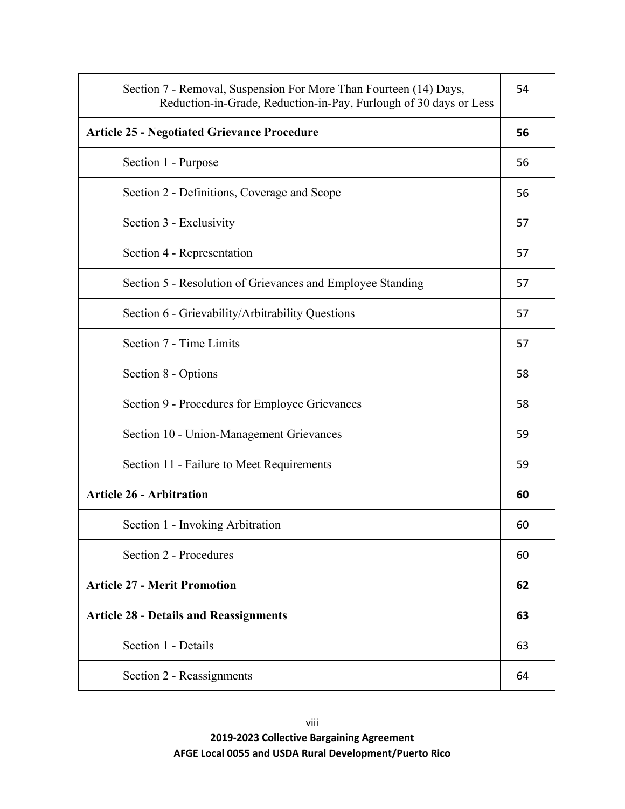| Section 7 - Removal, Suspension For More Than Fourteen (14) Days,<br>Reduction-in-Grade, Reduction-in-Pay, Furlough of 30 days or Less | 54 |
|----------------------------------------------------------------------------------------------------------------------------------------|----|
| <b>Article 25 - Negotiated Grievance Procedure</b>                                                                                     | 56 |
| Section 1 - Purpose                                                                                                                    | 56 |
| Section 2 - Definitions, Coverage and Scope                                                                                            | 56 |
| Section 3 - Exclusivity                                                                                                                | 57 |
| Section 4 - Representation                                                                                                             | 57 |
| Section 5 - Resolution of Grievances and Employee Standing                                                                             | 57 |
| Section 6 - Grievability/Arbitrability Questions                                                                                       | 57 |
| Section 7 - Time Limits                                                                                                                | 57 |
| Section 8 - Options                                                                                                                    | 58 |
| Section 9 - Procedures for Employee Grievances                                                                                         | 58 |
| Section 10 - Union-Management Grievances                                                                                               | 59 |
| Section 11 - Failure to Meet Requirements                                                                                              | 59 |
| <b>Article 26 - Arbitration</b>                                                                                                        | 60 |
| Section 1 - Invoking Arbitration                                                                                                       | 60 |
| Section 2 - Procedures                                                                                                                 | 60 |
| <b>Article 27 - Merit Promotion</b>                                                                                                    | 62 |
| <b>Article 28 - Details and Reassignments</b>                                                                                          | 63 |
| Section 1 - Details                                                                                                                    | 63 |
| Section 2 - Reassignments                                                                                                              | 64 |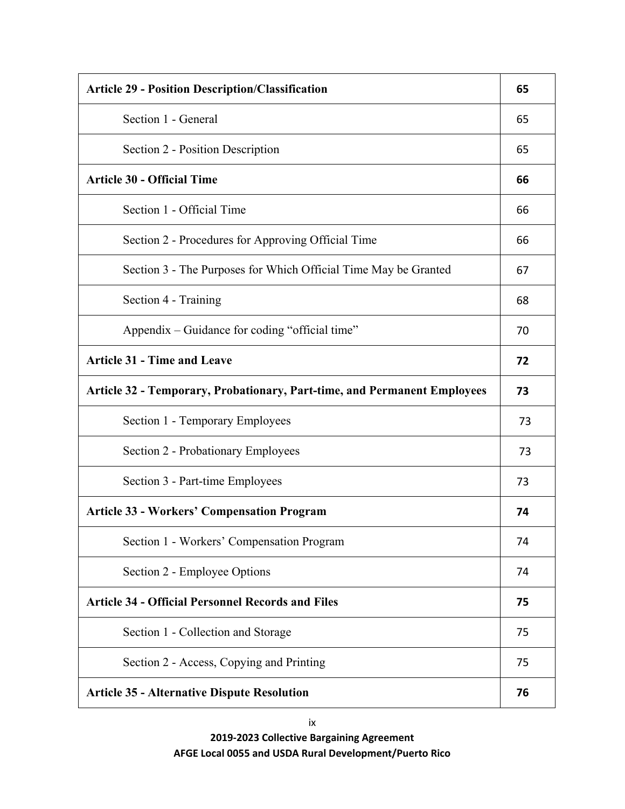| <b>Article 29 - Position Description/Classification</b>                         | 65 |
|---------------------------------------------------------------------------------|----|
| Section 1 - General                                                             | 65 |
| Section 2 - Position Description                                                | 65 |
| <b>Article 30 - Official Time</b>                                               | 66 |
| Section 1 - Official Time                                                       | 66 |
| Section 2 - Procedures for Approving Official Time                              | 66 |
| Section 3 - The Purposes for Which Official Time May be Granted                 | 67 |
| Section 4 - Training                                                            | 68 |
| Appendix – Guidance for coding "official time"                                  | 70 |
| <b>Article 31 - Time and Leave</b>                                              | 72 |
| <b>Article 32 - Temporary, Probationary, Part-time, and Permanent Employees</b> | 73 |
| Section 1 - Temporary Employees                                                 | 73 |
| Section 2 - Probationary Employees                                              | 73 |
| Section 3 - Part-time Employees                                                 | 73 |
| <b>Article 33 - Workers' Compensation Program</b>                               | 74 |
| Section 1 - Workers' Compensation Program                                       | 74 |
| Section 2 - Employee Options                                                    | 74 |
| <b>Article 34 - Official Personnel Records and Files</b>                        | 75 |
| Section 1 - Collection and Storage                                              | 75 |
| Section 2 - Access, Copying and Printing                                        | 75 |
| <b>Article 35 - Alternative Dispute Resolution</b>                              | 76 |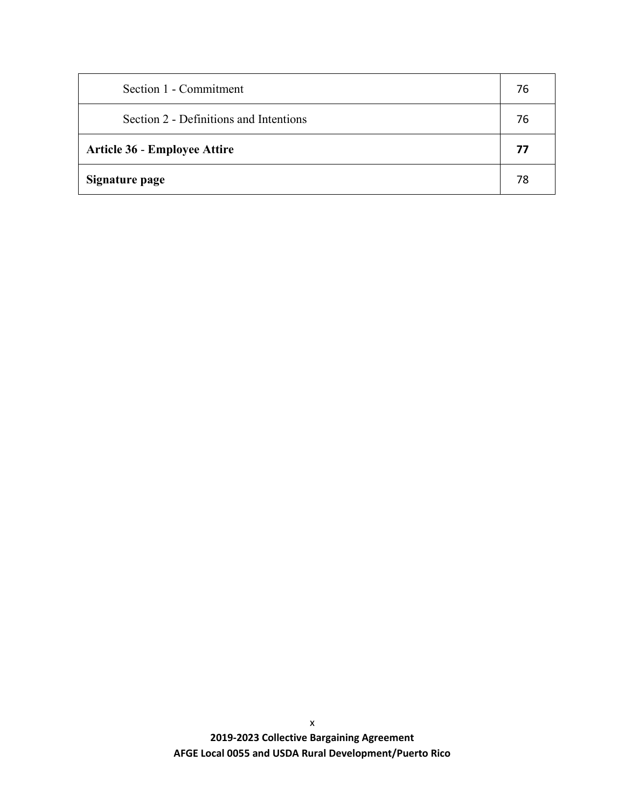| Section 1 - Commitment                 | 76 |
|----------------------------------------|----|
| Section 2 - Definitions and Intentions | 76 |
| <b>Article 36 - Employee Attire</b>    | 77 |
| Signature page                         | 78 |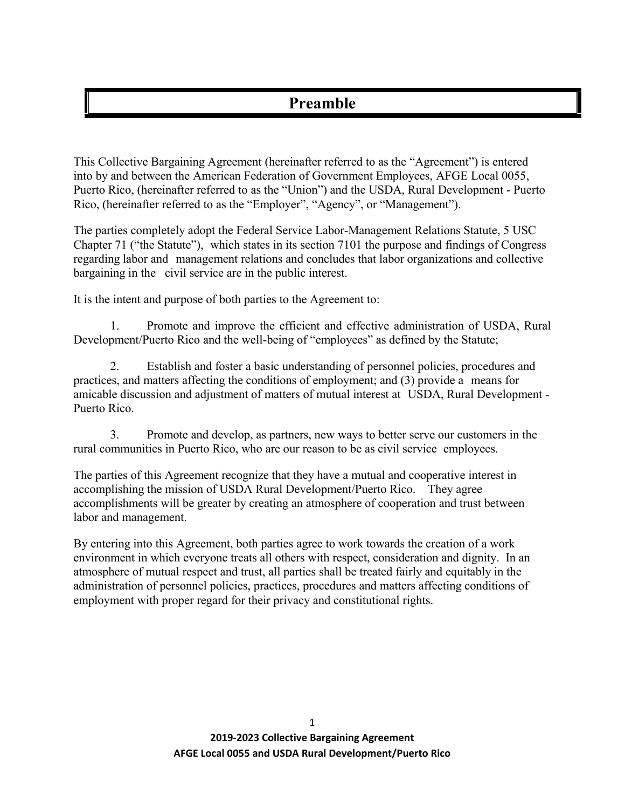# **Preamble**

This Collective Bargaining Agreement (hereinafter referred to as the "Agreement") is entered into by and between the American Federation of Government Employees, AFGE Local 0055, Puerto Rico, (hereinafter referred to as the "Union") and the USDA, Rural Development - Puerto Rico, (hereinafter referred to as the "Employer", "Agency", or "Management").

The parties completely adopt the Federal Service Labor-Management Relations Statute, 5 USC Chapter 71 ("the Statute"), which states in its section 7101 the purpose and findings of Congress regarding labor and management relations and concludes that labor organizations and collective bargaining in the civil service are in the public interest.

It is the intent and purpose of both parties to the Agreement to:

1. Promote and improve the efficient and effective administration of USDA, Rural Development/Puerto Rico and the well-being of "employees" as defined by the Statute;

2. Establish and foster a basic understanding of personnel policies, procedures and practices, and matters affecting the conditions of employment; and (3) provide a means for amicable discussion and adjustment of matters of mutual interest at USDA, Rural Development - Puerto Rico.

3. Promote and develop, as partners, new ways to better serve our customers in the rural communities in Puerto Rico, who are our reason to be as civil service employees.

The parties of this Agreement recognize that they have a mutual and cooperative interest in accomplishing the mission of USDA Rural Development/Puerto Rico. They agree accomplishments will be greater by creating an atmosphere of cooperation and trust between labor and management.

By entering into this Agreement, both parties agree to work towards the creation of a work environment in which everyone treats all others with respect, consideration and dignity. In an atmosphere of mutual respect and trust, all parties shall be treated fairly and equitably in the administration of personnel policies, practices, procedures and matters affecting conditions of employment with proper regard for their privacy and constitutional rights.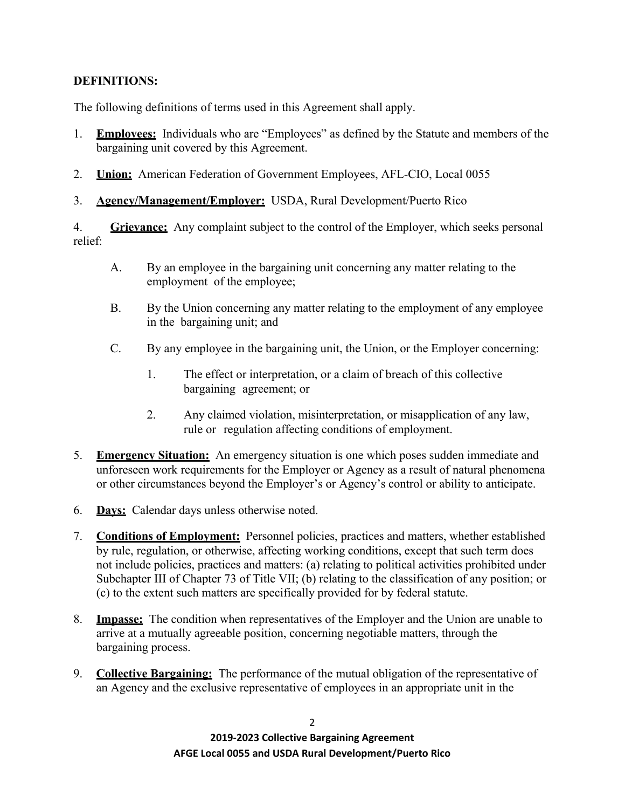## **DEFINITIONS:**

The following definitions of terms used in this Agreement shall apply.

- 1. **Employees:** Individuals who are "Employees" as defined by the Statute and members of the bargaining unit covered by this Agreement.
- 2. **Union:** American Federation of Government Employees, AFL-CIO, Local 0055
- 3. **Agency/Management/Employer:** USDA, Rural Development/Puerto Rico

4. **Grievance:** Any complaint subject to the control of the Employer, which seeks personal relief:

- A. By an employee in the bargaining unit concerning any matter relating to the employment of the employee;
- B. By the Union concerning any matter relating to the employment of any employee in the bargaining unit; and
- C. By any employee in the bargaining unit, the Union, or the Employer concerning:
	- 1. The effect or interpretation, or a claim of breach of this collective bargaining agreement; or
	- 2. Any claimed violation, misinterpretation, or misapplication of any law, rule or regulation affecting conditions of employment.
- 5. **Emergency Situation:** An emergency situation is one which poses sudden immediate and unforeseen work requirements for the Employer or Agency as a result of natural phenomena or other circumstances beyond the Employer's or Agency's control or ability to anticipate.
- 6. **Days:** Calendar days unless otherwise noted.
- 7. **Conditions of Employment:** Personnel policies, practices and matters, whether established by rule, regulation, or otherwise, affecting working conditions, except that such term does not include policies, practices and matters: (a) relating to political activities prohibited under Subchapter III of Chapter 73 of Title VII; (b) relating to the classification of any position; or (c) to the extent such matters are specifically provided for by federal statute.
- 8. **Impasse:** The condition when representatives of the Employer and the Union are unable to arrive at a mutually agreeable position, concerning negotiable matters, through the bargaining process.
- 9. **Collective Bargaining:** The performance of the mutual obligation of the representative of an Agency and the exclusive representative of employees in an appropriate unit in the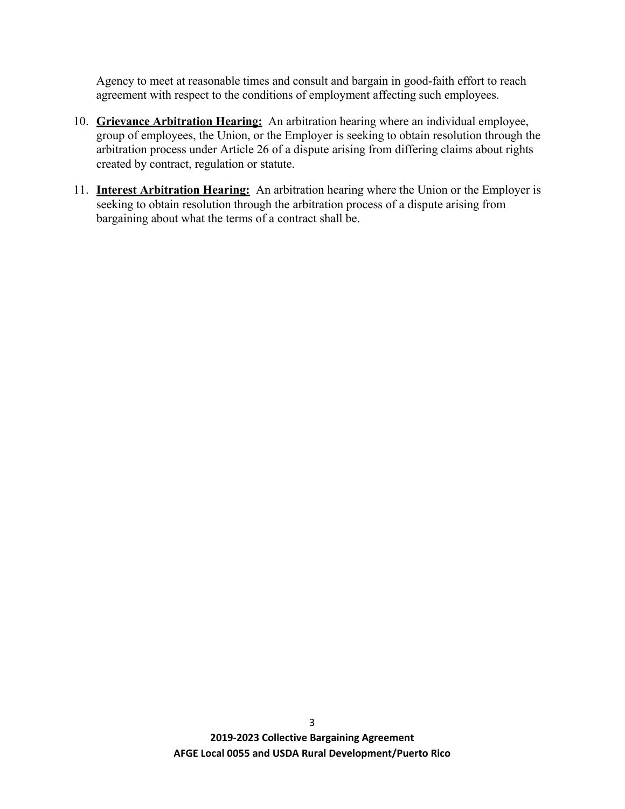Agency to meet at reasonable times and consult and bargain in good-faith effort to reach agreement with respect to the conditions of employment affecting such employees.

- 10. **Grievance Arbitration Hearing:** An arbitration hearing where an individual employee, group of employees, the Union, or the Employer is seeking to obtain resolution through the arbitration process under Article 26 of a dispute arising from differing claims about rights created by contract, regulation or statute.
- 11. **Interest Arbitration Hearing:** An arbitration hearing where the Union or the Employer is seeking to obtain resolution through the arbitration process of a dispute arising from bargaining about what the terms of a contract shall be.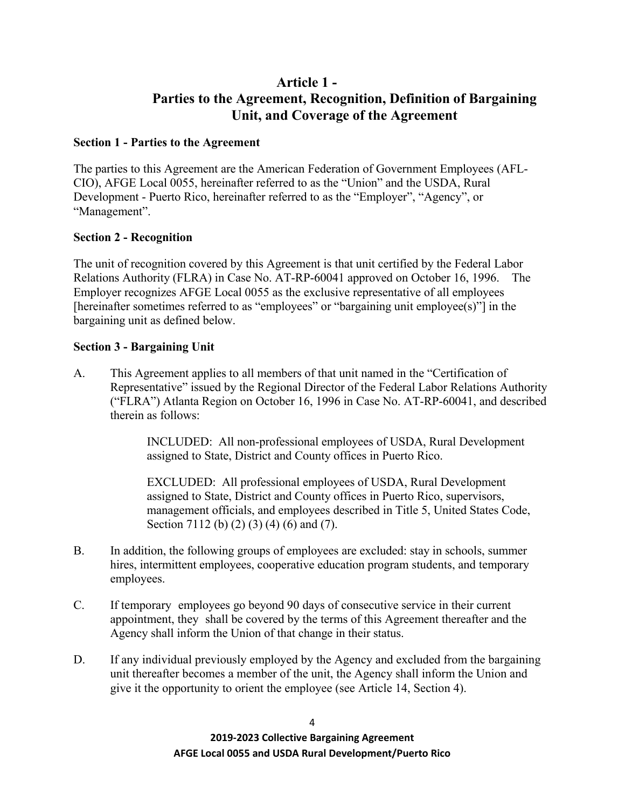## **Article 1 - Parties to the Agreement, Recognition, Definition of Bargaining Unit, and Coverage of the Agreement**

## <span id="page-14-0"></span>**Section 1 - Parties to the Agreement**

The parties to this Agreement are the American Federation of Government Employees (AFL-CIO), AFGE Local 0055, hereinafter referred to as the "Union" and the USDA, Rural Development - Puerto Rico, hereinafter referred to as the "Employer", "Agency", or "Management".

## **Section 2 - Recognition**

The unit of recognition covered by this Agreement is that unit certified by the Federal Labor Relations Authority (FLRA) in Case No. AT-RP-60041 approved on October 16, 1996. The Employer recognizes AFGE Local 0055 as the exclusive representative of all employees [hereinafter sometimes referred to as "employees" or "bargaining unit employee(s)"] in the bargaining unit as defined below.

## **Section 3 - Bargaining Unit**

A. This Agreement applies to all members of that unit named in the "Certification of Representative" issued by the Regional Director of the Federal Labor Relations Authority ("FLRA") Atlanta Region on October 16, 1996 in Case No. AT-RP-60041, and described therein as follows:

> INCLUDED: All non-professional employees of USDA, Rural Development assigned to State, District and County offices in Puerto Rico.

EXCLUDED: All professional employees of USDA, Rural Development assigned to State, District and County offices in Puerto Rico, supervisors, management officials, and employees described in Title 5, United States Code, Section 7112 (b) (2) (3) (4) (6) and (7).

- B. In addition, the following groups of employees are excluded: stay in schools, summer hires, intermittent employees, cooperative education program students, and temporary employees.
- C. If temporary employees go beyond 90 days of consecutive service in their current appointment, they shall be covered by the terms of this Agreement thereafter and the Agency shall inform the Union of that change in their status.
- D. If any individual previously employed by the Agency and excluded from the bargaining unit thereafter becomes a member of the unit, the Agency shall inform the Union and give it the opportunity to orient the employee (see Article 14, Section 4).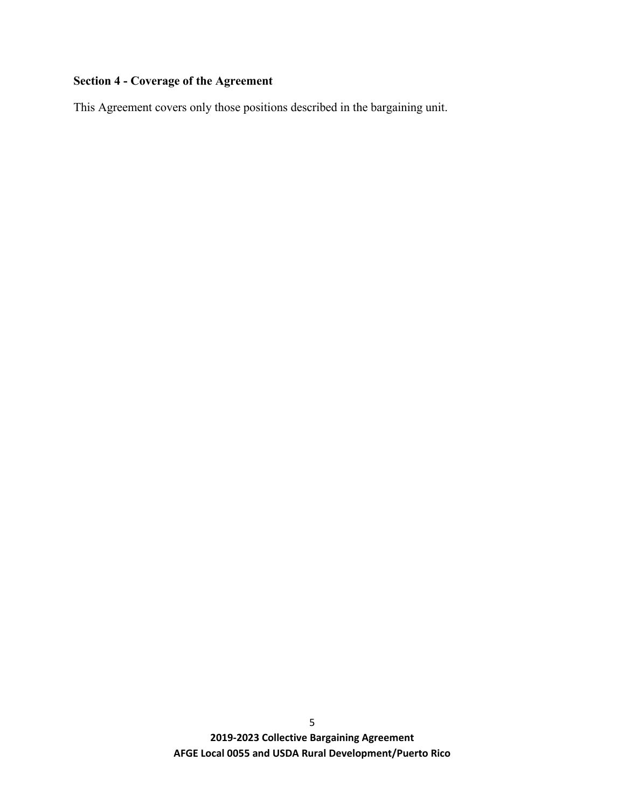## **Section 4 - Coverage of the Agreement**

This Agreement covers only those positions described in the bargaining unit.

**2019-2023 Collective Bargaining Agreement AFGE Local 0055 and USDA Rural Development/Puerto Rico**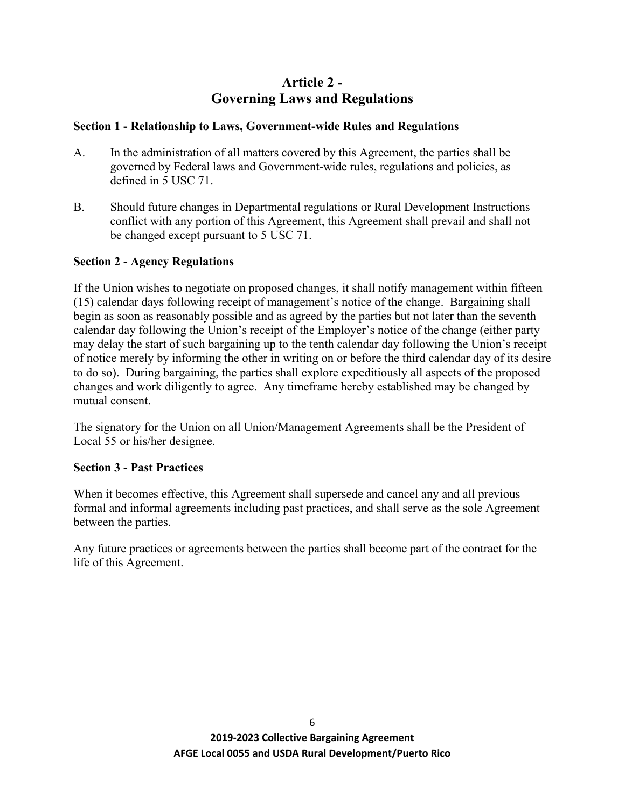## **Article 2 - Governing Laws and Regulations**

## <span id="page-16-0"></span>**Section 1 - Relationship to Laws, Government-wide Rules and Regulations**

- A. In the administration of all matters covered by this Agreement, the parties shall be governed by Federal laws and Government-wide rules, regulations and policies, as defined in 5 USC 71.
- B. Should future changes in Departmental regulations or Rural Development Instructions conflict with any portion of this Agreement, this Agreement shall prevail and shall not be changed except pursuant to 5 USC 71.

## **Section 2 - Agency Regulations**

If the Union wishes to negotiate on proposed changes, it shall notify management within fifteen (15) calendar days following receipt of management's notice of the change. Bargaining shall begin as soon as reasonably possible and as agreed by the parties but not later than the seventh calendar day following the Union's receipt of the Employer's notice of the change (either party may delay the start of such bargaining up to the tenth calendar day following the Union's receipt of notice merely by informing the other in writing on or before the third calendar day of its desire to do so). During bargaining, the parties shall explore expeditiously all aspects of the proposed changes and work diligently to agree. Any timeframe hereby established may be changed by mutual consent.

The signatory for the Union on all Union/Management Agreements shall be the President of Local 55 or his/her designee.

## **Section 3 - Past Practices**

When it becomes effective, this Agreement shall supersede and cancel any and all previous formal and informal agreements including past practices, and shall serve as the sole Agreement between the parties.

Any future practices or agreements between the parties shall become part of the contract for the life of this Agreement.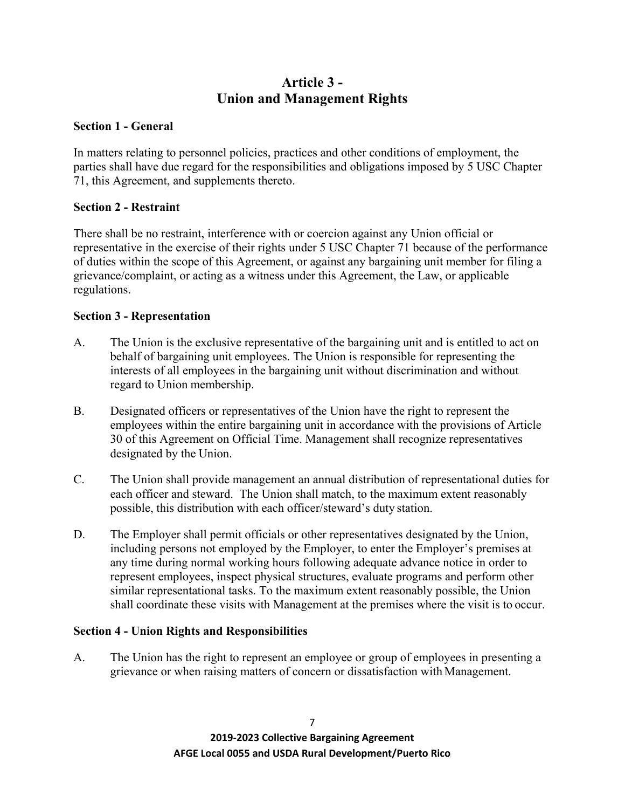## **Article 3 - Union and Management Rights**

## **Section 1 - General**

In matters relating to personnel policies, practices and other conditions of employment, the parties shall have due regard for the responsibilities and obligations imposed by 5 USC Chapter 71, this Agreement, and supplements thereto.

## **Section 2 - Restraint**

There shall be no restraint, interference with or coercion against any Union official or representative in the exercise of their rights under 5 USC Chapter 71 because of the performance of duties within the scope of this Agreement, or against any bargaining unit member for filing a grievance/complaint, or acting as a witness under this Agreement, the Law, or applicable regulations.

## **Section 3 - Representation**

- A. The Union is the exclusive representative of the bargaining unit and is entitled to act on behalf of bargaining unit employees. The Union is responsible for representing the interests of all employees in the bargaining unit without discrimination and without regard to Union membership.
- B. Designated officers or representatives of the Union have the right to represent the employees within the entire bargaining unit in accordance with the provisions of Article 30 of this Agreement on Official Time. Management shall recognize representatives designated by the Union.
- C. The Union shall provide management an annual distribution of representational duties for each officer and steward. The Union shall match, to the maximum extent reasonably possible, this distribution with each officer/steward's duty station.
- D. The Employer shall permit officials or other representatives designated by the Union, including persons not employed by the Employer, to enter the Employer's premises at any time during normal working hours following adequate advance notice in order to represent employees, inspect physical structures, evaluate programs and perform other similar representational tasks. To the maximum extent reasonably possible, the Union shall coordinate these visits with Management at the premises where the visit is to occur.

## **Section 4 - Union Rights and Responsibilities**

A. The Union has the right to represent an employee or group of employees in presenting a grievance or when raising matters of concern or dissatisfaction with Management.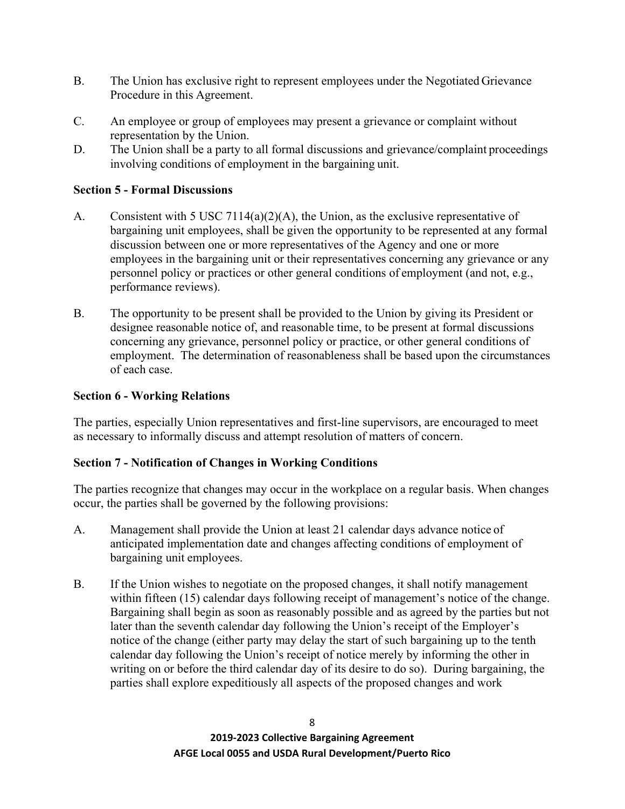- B. The Union has exclusive right to represent employees under the Negotiated Grievance Procedure in this Agreement.
- C. An employee or group of employees may present a grievance or complaint without representation by the Union.
- D. The Union shall be a party to all formal discussions and grievance/complaint proceedings involving conditions of employment in the bargaining unit.

## **Section 5 - Formal Discussions**

- A. Consistent with 5 USC 7114(a)(2)(A), the Union, as the exclusive representative of bargaining unit employees, shall be given the opportunity to be represented at any formal discussion between one or more representatives of the Agency and one or more employees in the bargaining unit or their representatives concerning any grievance or any personnel policy or practices or other general conditions of employment (and not, e.g., performance reviews).
- B. The opportunity to be present shall be provided to the Union by giving its President or designee reasonable notice of, and reasonable time, to be present at formal discussions concerning any grievance, personnel policy or practice, or other general conditions of employment. The determination of reasonableness shall be based upon the circumstances of each case.

## **Section 6 - Working Relations**

The parties, especially Union representatives and first-line supervisors, are encouraged to meet as necessary to informally discuss and attempt resolution of matters of concern.

## **Section 7 - Notification of Changes in Working Conditions**

The parties recognize that changes may occur in the workplace on a regular basis. When changes occur, the parties shall be governed by the following provisions:

- A. Management shall provide the Union at least 21 calendar days advance notice of anticipated implementation date and changes affecting conditions of employment of bargaining unit employees.
- B. If the Union wishes to negotiate on the proposed changes, it shall notify management within fifteen (15) calendar days following receipt of management's notice of the change. Bargaining shall begin as soon as reasonably possible and as agreed by the parties but not later than the seventh calendar day following the Union's receipt of the Employer's notice of the change (either party may delay the start of such bargaining up to the tenth calendar day following the Union's receipt of notice merely by informing the other in writing on or before the third calendar day of its desire to do so). During bargaining, the parties shall explore expeditiously all aspects of the proposed changes and work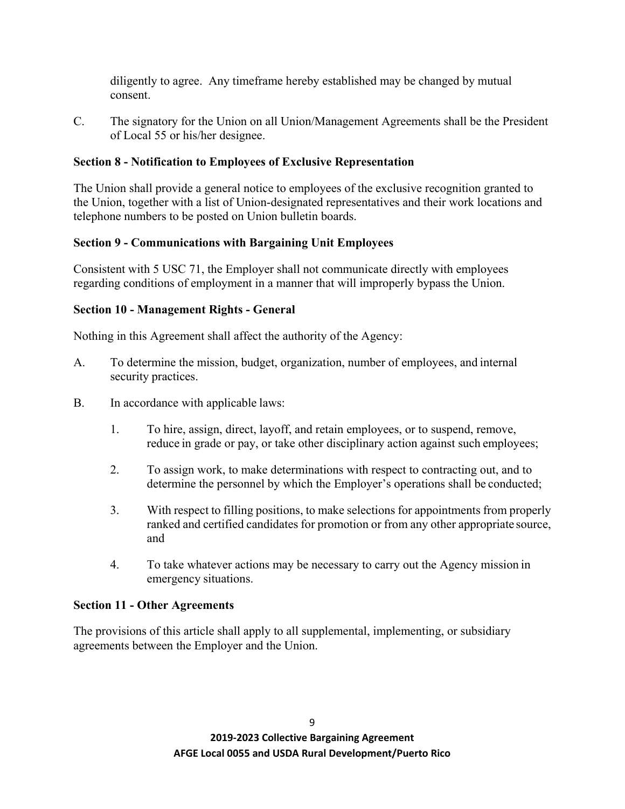diligently to agree. Any timeframe hereby established may be changed by mutual consent.

C. The signatory for the Union on all Union/Management Agreements shall be the President of Local 55 or his/her designee.

## **Section 8 - Notification to Employees of Exclusive Representation**

The Union shall provide a general notice to employees of the exclusive recognition granted to the Union, together with a list of Union-designated representatives and their work locations and telephone numbers to be posted on Union bulletin boards.

## **Section 9 - Communications with Bargaining Unit Employees**

Consistent with 5 USC 71, the Employer shall not communicate directly with employees regarding conditions of employment in a manner that will improperly bypass the Union.

## **Section 10 - Management Rights - General**

Nothing in this Agreement shall affect the authority of the Agency:

- A. To determine the mission, budget, organization, number of employees, and internal security practices.
- B. In accordance with applicable laws:
	- 1. To hire, assign, direct, layoff, and retain employees, or to suspend, remove, reduce in grade or pay, or take other disciplinary action against such employees;
	- 2. To assign work, to make determinations with respect to contracting out, and to determine the personnel by which the Employer's operations shall be conducted;
	- 3. With respect to filling positions, to make selections for appointments from properly ranked and certified candidates for promotion or from any other appropriate source, and
	- 4. To take whatever actions may be necessary to carry out the Agency mission in emergency situations.

## **Section 11 - Other Agreements**

The provisions of this article shall apply to all supplemental, implementing, or subsidiary agreements between the Employer and the Union.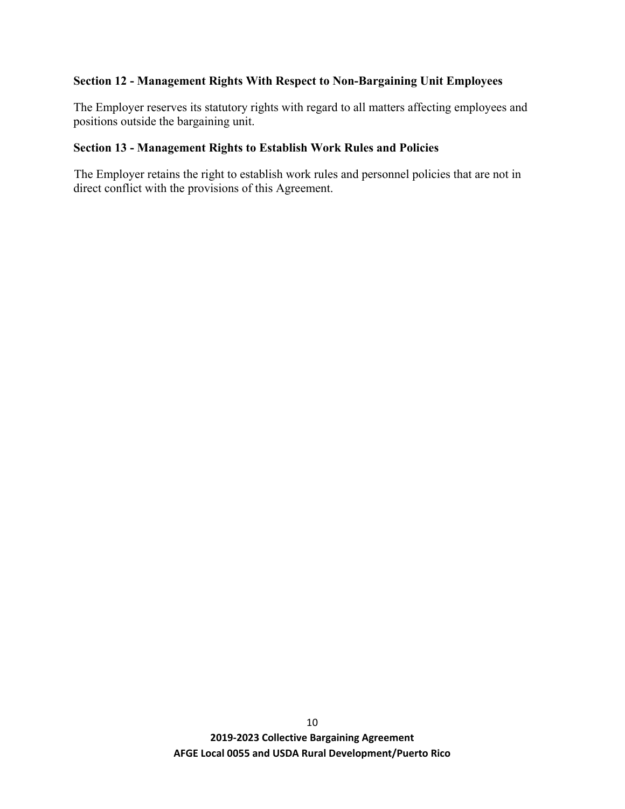## **Section 12 - Management Rights With Respect to Non-Bargaining Unit Employees**

The Employer reserves its statutory rights with regard to all matters affecting employees and positions outside the bargaining unit.

## **Section 13 - Management Rights to Establish Work Rules and Policies**

The Employer retains the right to establish work rules and personnel policies that are not in direct conflict with the provisions of this Agreement.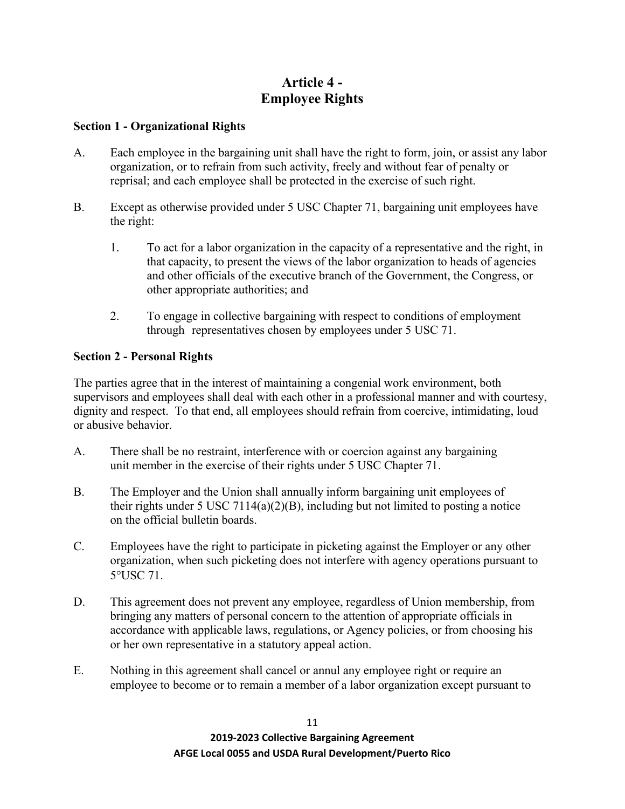## **Article 4 - Employee Rights**

## **Section 1 - Organizational Rights**

- A. Each employee in the bargaining unit shall have the right to form, join, or assist any labor organization, or to refrain from such activity, freely and without fear of penalty or reprisal; and each employee shall be protected in the exercise of such right.
- B. Except as otherwise provided under 5 USC Chapter 71, bargaining unit employees have the right:
	- 1. To act for a labor organization in the capacity of a representative and the right, in that capacity, to present the views of the labor organization to heads of agencies and other officials of the executive branch of the Government, the Congress, or other appropriate authorities; and
	- 2. To engage in collective bargaining with respect to conditions of employment through representatives chosen by employees under 5 USC 71.

## **Section 2 - Personal Rights**

The parties agree that in the interest of maintaining a congenial work environment, both supervisors and employees shall deal with each other in a professional manner and with courtesy, dignity and respect. To that end, all employees should refrain from coercive, intimidating, loud or abusive behavior.

- A. There shall be no restraint, interference with or coercion against any bargaining unit member in the exercise of their rights under 5 USC Chapter 71.
- B. The Employer and the Union shall annually inform bargaining unit employees of their rights under 5 USC 7114(a)(2)(B), including but not limited to posting a notice on the official bulletin boards.
- C. Employees have the right to participate in picketing against the Employer or any other organization, when such picketing does not interfere with agency operations pursuant to 5°USC 71.
- D. This agreement does not prevent any employee, regardless of Union membership, from bringing any matters of personal concern to the attention of appropriate officials in accordance with applicable laws, regulations, or Agency policies, or from choosing his or her own representative in a statutory appeal action.
- E. Nothing in this agreement shall cancel or annul any employee right or require an employee to become or to remain a member of a labor organization except pursuant to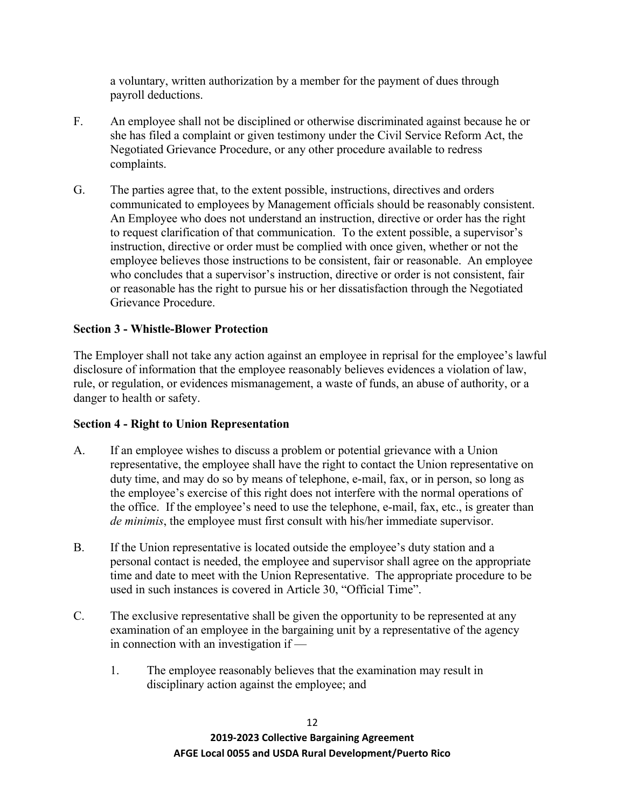a voluntary, written authorization by a member for the payment of dues through payroll deductions.

- F. An employee shall not be disciplined or otherwise discriminated against because he or she has filed a complaint or given testimony under the Civil Service Reform Act, the Negotiated Grievance Procedure, or any other procedure available to redress complaints.
- G. The parties agree that, to the extent possible, instructions, directives and orders communicated to employees by Management officials should be reasonably consistent. An Employee who does not understand an instruction, directive or order has the right to request clarification of that communication. To the extent possible, a supervisor's instruction, directive or order must be complied with once given, whether or not the employee believes those instructions to be consistent, fair or reasonable. An employee who concludes that a supervisor's instruction, directive or order is not consistent, fair or reasonable has the right to pursue his or her dissatisfaction through the Negotiated Grievance Procedure.

## **Section 3 - Whistle-Blower Protection**

The Employer shall not take any action against an employee in reprisal for the employee's lawful disclosure of information that the employee reasonably believes evidences a violation of law, rule, or regulation, or evidences mismanagement, a waste of funds, an abuse of authority, or a danger to health or safety.

## **Section 4 - Right to Union Representation**

- A. If an employee wishes to discuss a problem or potential grievance with a Union representative, the employee shall have the right to contact the Union representative on duty time, and may do so by means of telephone, e-mail, fax, or in person, so long as the employee's exercise of this right does not interfere with the normal operations of the office. If the employee's need to use the telephone, e-mail, fax, etc., is greater than *de minimis*, the employee must first consult with his/her immediate supervisor.
- B. If the Union representative is located outside the employee's duty station and a personal contact is needed, the employee and supervisor shall agree on the appropriate time and date to meet with the Union Representative. The appropriate procedure to be used in such instances is covered in Article 30, "Official Time".
- C. The exclusive representative shall be given the opportunity to be represented at any examination of an employee in the bargaining unit by a representative of the agency in connection with an investigation if —
	- 1. The employee reasonably believes that the examination may result in disciplinary action against the employee; and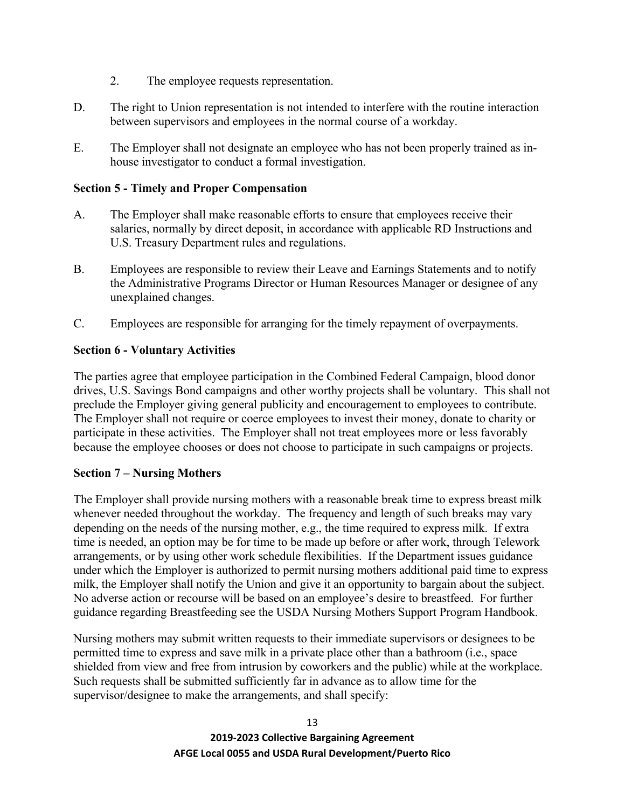- 2. The employee requests representation.
- D. The right to Union representation is not intended to interfere with the routine interaction between supervisors and employees in the normal course of a workday.
- E. The Employer shall not designate an employee who has not been properly trained as inhouse investigator to conduct a formal investigation.

## **Section 5 - Timely and Proper Compensation**

- A. The Employer shall make reasonable efforts to ensure that employees receive their salaries, normally by direct deposit, in accordance with applicable RD Instructions and U.S. Treasury Department rules and regulations.
- B. Employees are responsible to review their Leave and Earnings Statements and to notify the Administrative Programs Director or Human Resources Manager or designee of any unexplained changes.
- C. Employees are responsible for arranging for the timely repayment of overpayments.

## **Section 6 - Voluntary Activities**

The parties agree that employee participation in the Combined Federal Campaign, blood donor drives, U.S. Savings Bond campaigns and other worthy projects shall be voluntary. This shall not preclude the Employer giving general publicity and encouragement to employees to contribute. The Employer shall not require or coerce employees to invest their money, donate to charity or participate in these activities. The Employer shall not treat employees more or less favorably because the employee chooses or does not choose to participate in such campaigns or projects.

## **Section 7 – Nursing Mothers**

The Employer shall provide nursing mothers with a reasonable break time to express breast milk whenever needed throughout the workday. The frequency and length of such breaks may vary depending on the needs of the nursing mother, e.g., the time required to express milk. If extra time is needed, an option may be for time to be made up before or after work, through Telework arrangements, or by using other work schedule flexibilities. If the Department issues guidance under which the Employer is authorized to permit nursing mothers additional paid time to express milk, the Employer shall notify the Union and give it an opportunity to bargain about the subject. No adverse action or recourse will be based on an employee's desire to breastfeed. For further guidance regarding Breastfeeding see the USDA Nursing Mothers Support Program Handbook.

Nursing mothers may submit written requests to their immediate supervisors or designees to be permitted time to express and save milk in a private place other than a bathroom (i.e., space shielded from view and free from intrusion by coworkers and the public) while at the workplace. Such requests shall be submitted sufficiently far in advance as to allow time for the supervisor/designee to make the arrangements, and shall specify: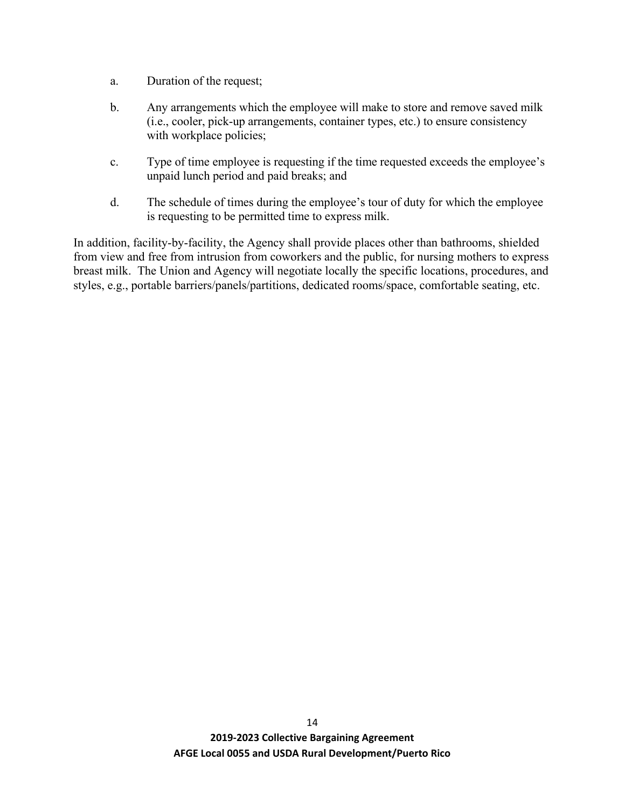- a. Duration of the request;
- b. Any arrangements which the employee will make to store and remove saved milk (i.e., cooler, pick-up arrangements, container types, etc.) to ensure consistency with workplace policies;
- c. Type of time employee is requesting if the time requested exceeds the employee's unpaid lunch period and paid breaks; and
- d. The schedule of times during the employee's tour of duty for which the employee is requesting to be permitted time to express milk.

In addition, facility-by-facility, the Agency shall provide places other than bathrooms, shielded from view and free from intrusion from coworkers and the public, for nursing mothers to express breast milk. The Union and Agency will negotiate locally the specific locations, procedures, and styles, e.g., portable barriers/panels/partitions, dedicated rooms/space, comfortable seating, etc.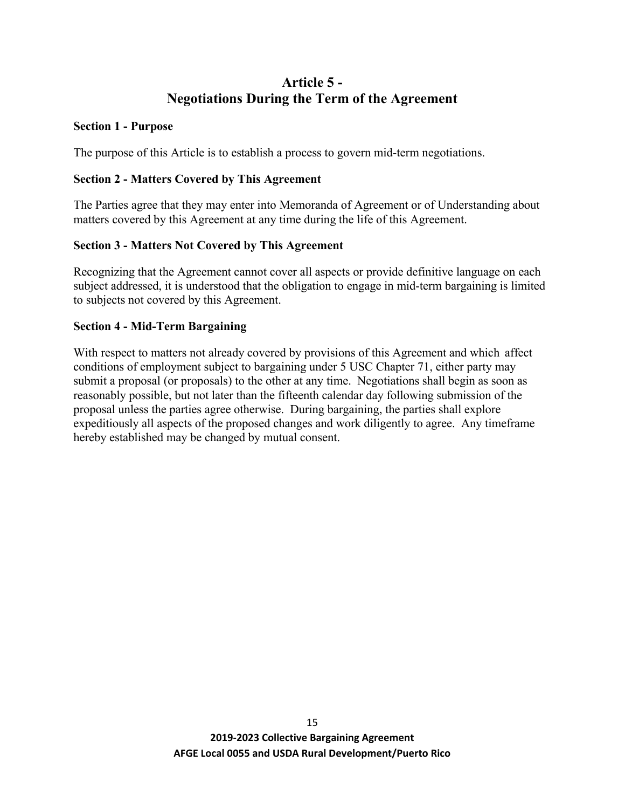## **Article 5 - Negotiations During the Term of the Agreement**

#### **Section 1 - Purpose**

The purpose of this Article is to establish a process to govern mid-term negotiations.

## **Section 2 - Matters Covered by This Agreement**

The Parties agree that they may enter into Memoranda of Agreement or of Understanding about matters covered by this Agreement at any time during the life of this Agreement.

## **Section 3 - Matters Not Covered by This Agreement**

Recognizing that the Agreement cannot cover all aspects or provide definitive language on each subject addressed, it is understood that the obligation to engage in mid-term bargaining is limited to subjects not covered by this Agreement.

## **Section 4 - Mid-Term Bargaining**

With respect to matters not already covered by provisions of this Agreement and which affect conditions of employment subject to bargaining under 5 USC Chapter 71, either party may submit a proposal (or proposals) to the other at any time. Negotiations shall begin as soon as reasonably possible, but not later than the fifteenth calendar day following submission of the proposal unless the parties agree otherwise. During bargaining, the parties shall explore expeditiously all aspects of the proposed changes and work diligently to agree. Any timeframe hereby established may be changed by mutual consent.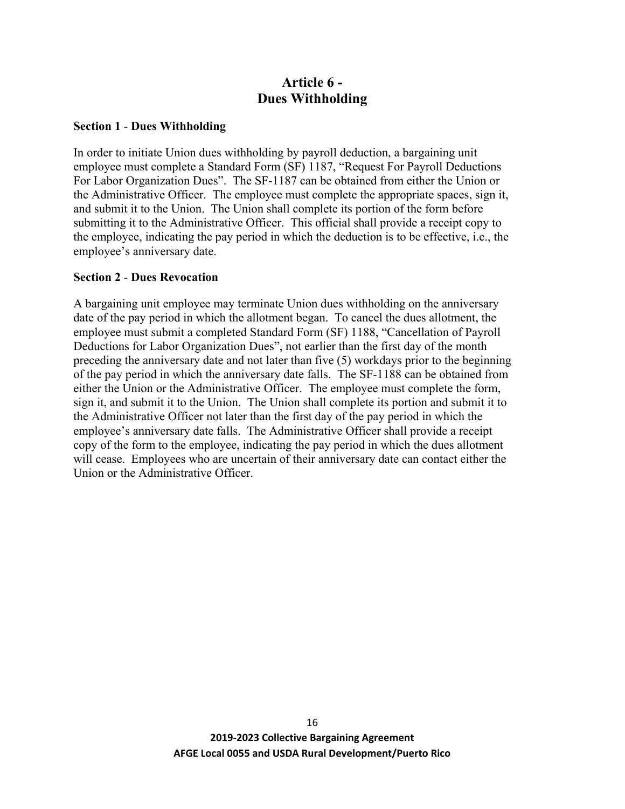## **Article 6 - Dues Withholding**

#### **Section 1** - **Dues Withholding**

In order to initiate Union dues withholding by payroll deduction, a bargaining unit employee must complete a Standard Form (SF) 1187, "Request For Payroll Deductions For Labor Organization Dues". The SF-1187 can be obtained from either the Union or the Administrative Officer. The employee must complete the appropriate spaces, sign it, and submit it to the Union. The Union shall complete its portion of the form before submitting it to the Administrative Officer. This official shall provide a receipt copy to the employee, indicating the pay period in which the deduction is to be effective, i.e., the employee's anniversary date.

#### **Section 2** - **Dues Revocation**

A bargaining unit employee may terminate Union dues withholding on the anniversary date of the pay period in which the allotment began. To cancel the dues allotment, the employee must submit a completed Standard Form (SF) 1188, "Cancellation of Payroll Deductions for Labor Organization Dues", not earlier than the first day of the month preceding the anniversary date and not later than five (5) workdays prior to the beginning of the pay period in which the anniversary date falls. The SF-1188 can be obtained from either the Union or the Administrative Officer. The employee must complete the form, sign it, and submit it to the Union. The Union shall complete its portion and submit it to the Administrative Officer not later than the first day of the pay period in which the employee's anniversary date falls. The Administrative Officer shall provide a receipt copy of the form to the employee, indicating the pay period in which the dues allotment will cease. Employees who are uncertain of their anniversary date can contact either the Union or the Administrative Officer.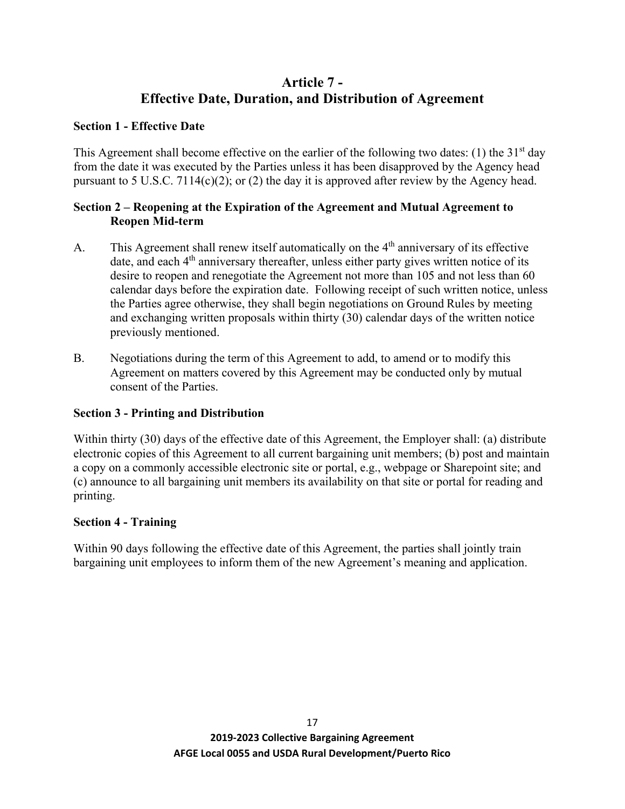## **Article 7 - Effective Date, Duration, and Distribution of Agreement**

## **Section 1 - Effective Date**

This Agreement shall become effective on the earlier of the following two dates: (1) the  $31<sup>st</sup>$  day from the date it was executed by the Parties unless it has been disapproved by the Agency head pursuant to 5 U.S.C. 7114(c)(2); or (2) the day it is approved after review by the Agency head.

## **Section 2 – Reopening at the Expiration of the Agreement and Mutual Agreement to Reopen Mid-term**

- A. This Agreement shall renew itself automatically on the  $4<sup>th</sup>$  anniversary of its effective date, and each  $4<sup>th</sup>$  anniversary thereafter, unless either party gives written notice of its desire to reopen and renegotiate the Agreement not more than 105 and not less than 60 calendar days before the expiration date. Following receipt of such written notice, unless the Parties agree otherwise, they shall begin negotiations on Ground Rules by meeting and exchanging written proposals within thirty (30) calendar days of the written notice previously mentioned.
- B. Negotiations during the term of this Agreement to add, to amend or to modify this Agreement on matters covered by this Agreement may be conducted only by mutual consent of the Parties.

## **Section 3 - Printing and Distribution**

Within thirty (30) days of the effective date of this Agreement, the Employer shall: (a) distribute electronic copies of this Agreement to all current bargaining unit members; (b) post and maintain a copy on a commonly accessible electronic site or portal, e.g., webpage or Sharepoint site; and (c) announce to all bargaining unit members its availability on that site or portal for reading and printing.

## **Section 4 - Training**

Within 90 days following the effective date of this Agreement, the parties shall jointly train bargaining unit employees to inform them of the new Agreement's meaning and application.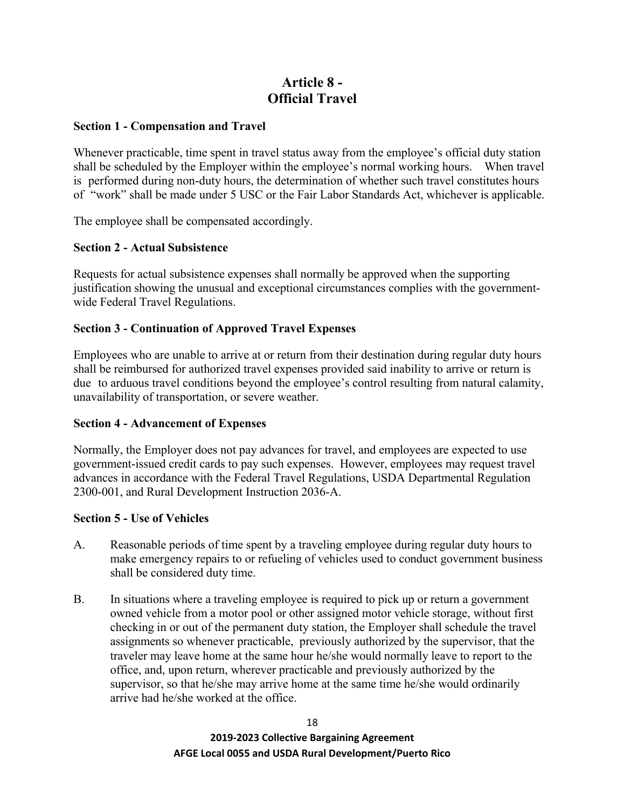## **Article 8 - Official Travel**

## **Section 1 - Compensation and Travel**

Whenever practicable, time spent in travel status away from the employee's official duty station shall be scheduled by the Employer within the employee's normal working hours. When travel is performed during non-duty hours, the determination of whether such travel constitutes hours of "work" shall be made under 5 USC or the Fair Labor Standards Act, whichever is applicable.

The employee shall be compensated accordingly.

## **Section 2 - Actual Subsistence**

Requests for actual subsistence expenses shall normally be approved when the supporting justification showing the unusual and exceptional circumstances complies with the governmentwide Federal Travel Regulations.

## **Section 3 - Continuation of Approved Travel Expenses**

Employees who are unable to arrive at or return from their destination during regular duty hours shall be reimbursed for authorized travel expenses provided said inability to arrive or return is due to arduous travel conditions beyond the employee's control resulting from natural calamity, unavailability of transportation, or severe weather.

## **Section 4 - Advancement of Expenses**

Normally, the Employer does not pay advances for travel, and employees are expected to use government-issued credit cards to pay such expenses. However, employees may request travel advances in accordance with the Federal Travel Regulations, USDA Departmental Regulation 2300-001, and Rural Development Instruction 2036-A.

## **Section 5 - Use of Vehicles**

- A. Reasonable periods of time spent by a traveling employee during regular duty hours to make emergency repairs to or refueling of vehicles used to conduct government business shall be considered duty time.
- B. In situations where a traveling employee is required to pick up or return a government owned vehicle from a motor pool or other assigned motor vehicle storage, without first checking in or out of the permanent duty station, the Employer shall schedule the travel assignments so whenever practicable, previously authorized by the supervisor, that the traveler may leave home at the same hour he/she would normally leave to report to the office, and, upon return, wherever practicable and previously authorized by the supervisor, so that he/she may arrive home at the same time he/she would ordinarily arrive had he/she worked at the office.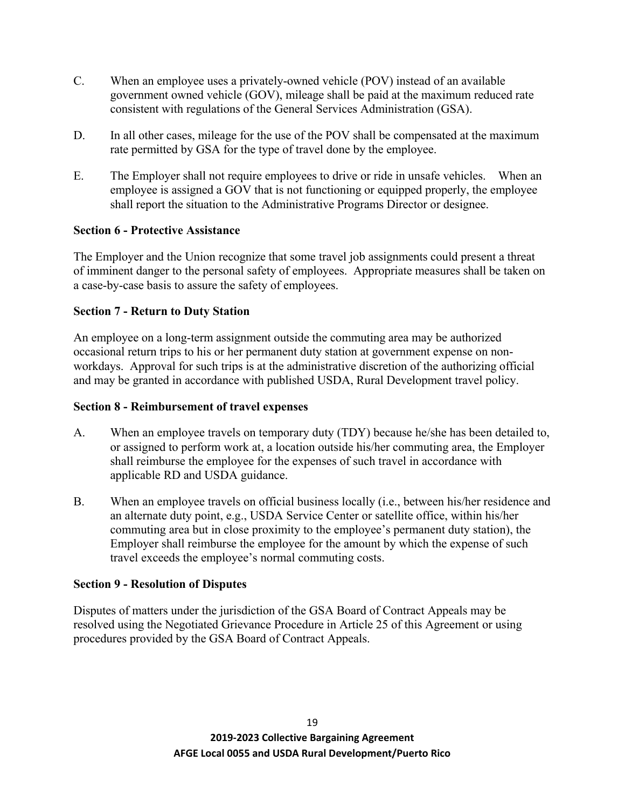- C. When an employee uses a privately-owned vehicle (POV) instead of an available government owned vehicle (GOV), mileage shall be paid at the maximum reduced rate consistent with regulations of the General Services Administration (GSA).
- D. In all other cases, mileage for the use of the POV shall be compensated at the maximum rate permitted by GSA for the type of travel done by the employee.
- E. The Employer shall not require employees to drive or ride in unsafe vehicles. When an employee is assigned a GOV that is not functioning or equipped properly, the employee shall report the situation to the Administrative Programs Director or designee.

## **Section 6 - Protective Assistance**

The Employer and the Union recognize that some travel job assignments could present a threat of imminent danger to the personal safety of employees. Appropriate measures shall be taken on a case-by-case basis to assure the safety of employees.

## **Section 7 - Return to Duty Station**

An employee on a long-term assignment outside the commuting area may be authorized occasional return trips to his or her permanent duty station at government expense on nonworkdays. Approval for such trips is at the administrative discretion of the authorizing official and may be granted in accordance with published USDA, Rural Development travel policy.

## **Section 8 - Reimbursement of travel expenses**

- A. When an employee travels on temporary duty (TDY) because he/she has been detailed to, or assigned to perform work at, a location outside his/her commuting area, the Employer shall reimburse the employee for the expenses of such travel in accordance with applicable RD and USDA guidance.
- B. When an employee travels on official business locally (i.e., between his/her residence and an alternate duty point, e.g., USDA Service Center or satellite office, within his/her commuting area but in close proximity to the employee's permanent duty station), the Employer shall reimburse the employee for the amount by which the expense of such travel exceeds the employee's normal commuting costs.

## **Section 9 - Resolution of Disputes**

Disputes of matters under the jurisdiction of the GSA Board of Contract Appeals may be resolved using the Negotiated Grievance Procedure in Article 25 of this Agreement or using procedures provided by the GSA Board of Contract Appeals.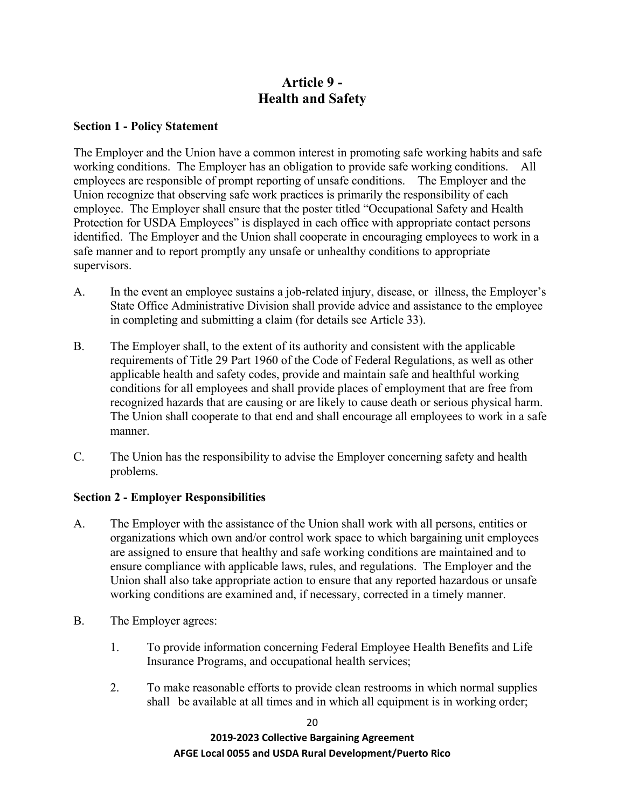## **Article 9 - Health and Safety**

#### **Section 1 - Policy Statement**

The Employer and the Union have a common interest in promoting safe working habits and safe working conditions. The Employer has an obligation to provide safe working conditions. All employees are responsible of prompt reporting of unsafe conditions. The Employer and the Union recognize that observing safe work practices is primarily the responsibility of each employee. The Employer shall ensure that the poster titled "Occupational Safety and Health Protection for USDA Employees" is displayed in each office with appropriate contact persons identified. The Employer and the Union shall cooperate in encouraging employees to work in a safe manner and to report promptly any unsafe or unhealthy conditions to appropriate supervisors.

- A. In the event an employee sustains a job-related injury, disease, or illness, the Employer's State Office Administrative Division shall provide advice and assistance to the employee in completing and submitting a claim (for details see Article 33).
- B. The Employer shall, to the extent of its authority and consistent with the applicable requirements of Title 29 Part 1960 of the Code of Federal Regulations, as well as other applicable health and safety codes, provide and maintain safe and healthful working conditions for all employees and shall provide places of employment that are free from recognized hazards that are causing or are likely to cause death or serious physical harm. The Union shall cooperate to that end and shall encourage all employees to work in a safe manner.
- C. The Union has the responsibility to advise the Employer concerning safety and health problems.

## **Section 2 - Employer Responsibilities**

- A. The Employer with the assistance of the Union shall work with all persons, entities or organizations which own and/or control work space to which bargaining unit employees are assigned to ensure that healthy and safe working conditions are maintained and to ensure compliance with applicable laws, rules, and regulations. The Employer and the Union shall also take appropriate action to ensure that any reported hazardous or unsafe working conditions are examined and, if necessary, corrected in a timely manner.
- B. The Employer agrees:
	- 1. To provide information concerning Federal Employee Health Benefits and Life Insurance Programs, and occupational health services;
	- 2. To make reasonable efforts to provide clean restrooms in which normal supplies shall be available at all times and in which all equipment is in working order;

20

**2019-2023 Collective Bargaining Agreement AFGE Local 0055 and USDA Rural Development/Puerto Rico**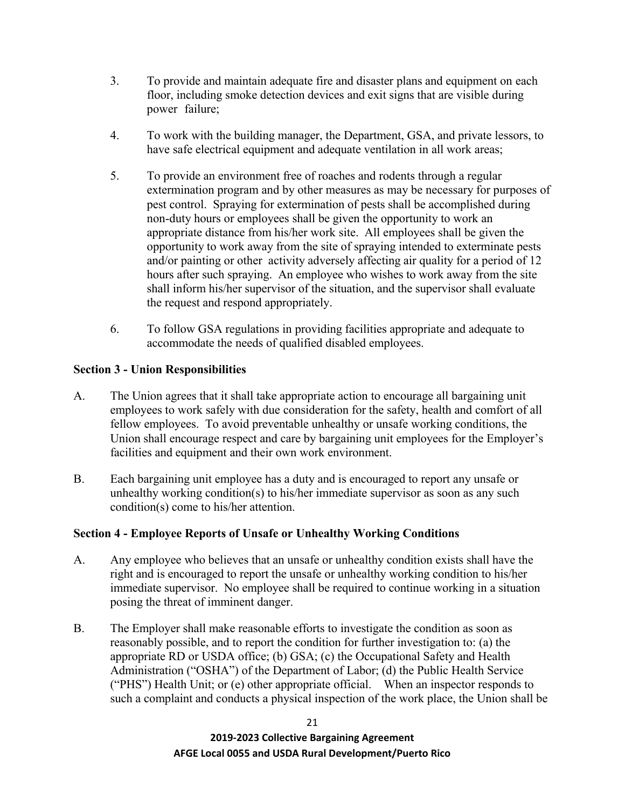- 3. To provide and maintain adequate fire and disaster plans and equipment on each floor, including smoke detection devices and exit signs that are visible during power failure;
- 4. To work with the building manager, the Department, GSA, and private lessors, to have safe electrical equipment and adequate ventilation in all work areas;
- 5. To provide an environment free of roaches and rodents through a regular extermination program and by other measures as may be necessary for purposes of pest control. Spraying for extermination of pests shall be accomplished during non-duty hours or employees shall be given the opportunity to work an appropriate distance from his/her work site. All employees shall be given the opportunity to work away from the site of spraying intended to exterminate pests and/or painting or other activity adversely affecting air quality for a period of 12 hours after such spraying. An employee who wishes to work away from the site shall inform his/her supervisor of the situation, and the supervisor shall evaluate the request and respond appropriately.
- 6. To follow GSA regulations in providing facilities appropriate and adequate to accommodate the needs of qualified disabled employees.

## **Section 3 - Union Responsibilities**

- A. The Union agrees that it shall take appropriate action to encourage all bargaining unit employees to work safely with due consideration for the safety, health and comfort of all fellow employees. To avoid preventable unhealthy or unsafe working conditions, the Union shall encourage respect and care by bargaining unit employees for the Employer's facilities and equipment and their own work environment.
- B. Each bargaining unit employee has a duty and is encouraged to report any unsafe or unhealthy working condition(s) to his/her immediate supervisor as soon as any such condition(s) come to his/her attention.

## **Section 4 - Employee Reports of Unsafe or Unhealthy Working Conditions**

- A. Any employee who believes that an unsafe or unhealthy condition exists shall have the right and is encouraged to report the unsafe or unhealthy working condition to his/her immediate supervisor. No employee shall be required to continue working in a situation posing the threat of imminent danger.
- B. The Employer shall make reasonable efforts to investigate the condition as soon as reasonably possible, and to report the condition for further investigation to: (a) the appropriate RD or USDA office; (b) GSA; (c) the Occupational Safety and Health Administration ("OSHA") of the Department of Labor; (d) the Public Health Service ("PHS") Health Unit; or (e) other appropriate official. When an inspector responds to such a complaint and conducts a physical inspection of the work place, the Union shall be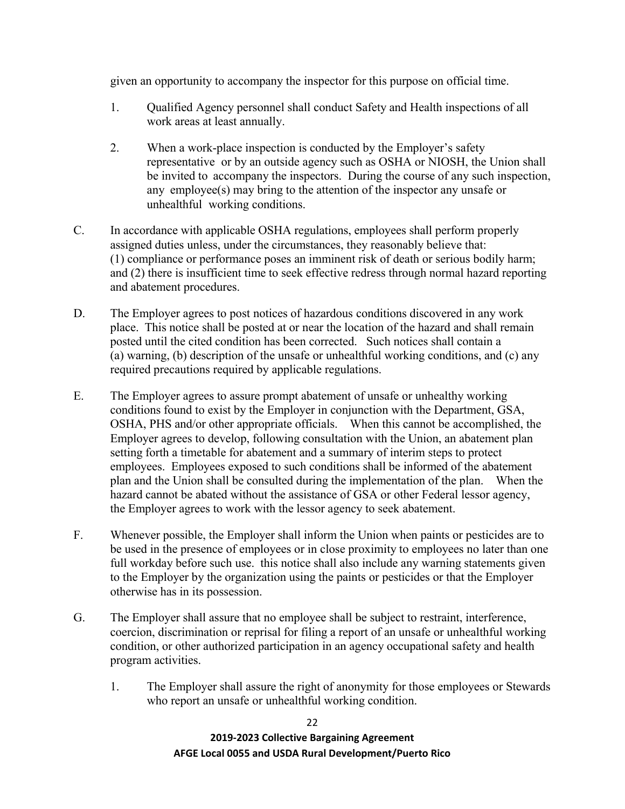given an opportunity to accompany the inspector for this purpose on official time.

- 1. Qualified Agency personnel shall conduct Safety and Health inspections of all work areas at least annually.
- 2. When a work-place inspection is conducted by the Employer's safety representative or by an outside agency such as OSHA or NIOSH, the Union shall be invited to accompany the inspectors. During the course of any such inspection, any employee(s) may bring to the attention of the inspector any unsafe or unhealthful working conditions.
- C. In accordance with applicable OSHA regulations, employees shall perform properly assigned duties unless, under the circumstances, they reasonably believe that: (1) compliance or performance poses an imminent risk of death or serious bodily harm; and (2) there is insufficient time to seek effective redress through normal hazard reporting and abatement procedures.
- D. The Employer agrees to post notices of hazardous conditions discovered in any work place. This notice shall be posted at or near the location of the hazard and shall remain posted until the cited condition has been corrected. Such notices shall contain a (a) warning, (b) description of the unsafe or unhealthful working conditions, and (c) any required precautions required by applicable regulations.
- E. The Employer agrees to assure prompt abatement of unsafe or unhealthy working conditions found to exist by the Employer in conjunction with the Department, GSA, OSHA, PHS and/or other appropriate officials. When this cannot be accomplished, the Employer agrees to develop, following consultation with the Union, an abatement plan setting forth a timetable for abatement and a summary of interim steps to protect employees. Employees exposed to such conditions shall be informed of the abatement plan and the Union shall be consulted during the implementation of the plan. When the hazard cannot be abated without the assistance of GSA or other Federal lessor agency, the Employer agrees to work with the lessor agency to seek abatement.
- F. Whenever possible, the Employer shall inform the Union when paints or pesticides are to be used in the presence of employees or in close proximity to employees no later than one full workday before such use. this notice shall also include any warning statements given to the Employer by the organization using the paints or pesticides or that the Employer otherwise has in its possession.
- G. The Employer shall assure that no employee shall be subject to restraint, interference, coercion, discrimination or reprisal for filing a report of an unsafe or unhealthful working condition, or other authorized participation in an agency occupational safety and health program activities.
	- 1. The Employer shall assure the right of anonymity for those employees or Stewards who report an unsafe or unhealthful working condition.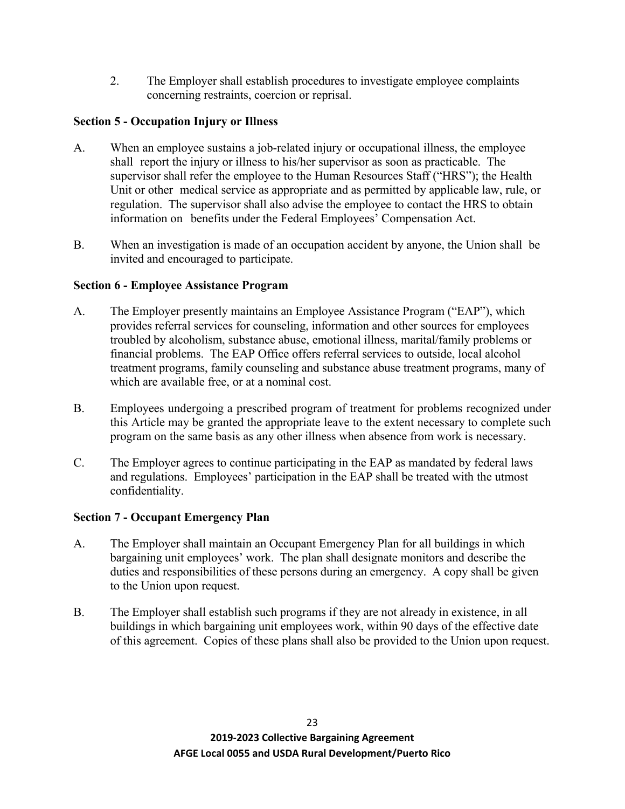2. The Employer shall establish procedures to investigate employee complaints concerning restraints, coercion or reprisal.

## **Section 5 - Occupation Injury or Illness**

- A. When an employee sustains a job-related injury or occupational illness, the employee shall report the injury or illness to his/her supervisor as soon as practicable. The supervisor shall refer the employee to the Human Resources Staff ("HRS"); the Health Unit or other medical service as appropriate and as permitted by applicable law, rule, or regulation. The supervisor shall also advise the employee to contact the HRS to obtain information on benefits under the Federal Employees' Compensation Act.
- B. When an investigation is made of an occupation accident by anyone, the Union shall be invited and encouraged to participate.

## **Section 6 - Employee Assistance Program**

- A. The Employer presently maintains an Employee Assistance Program ("EAP"), which provides referral services for counseling, information and other sources for employees troubled by alcoholism, substance abuse, emotional illness, marital/family problems or financial problems. The EAP Office offers referral services to outside, local alcohol treatment programs, family counseling and substance abuse treatment programs, many of which are available free, or at a nominal cost.
- B. Employees undergoing a prescribed program of treatment for problems recognized under this Article may be granted the appropriate leave to the extent necessary to complete such program on the same basis as any other illness when absence from work is necessary.
- C. The Employer agrees to continue participating in the EAP as mandated by federal laws and regulations. Employees' participation in the EAP shall be treated with the utmost confidentiality.

## **Section 7 - Occupant Emergency Plan**

- A. The Employer shall maintain an Occupant Emergency Plan for all buildings in which bargaining unit employees' work. The plan shall designate monitors and describe the duties and responsibilities of these persons during an emergency. A copy shall be given to the Union upon request.
- B. The Employer shall establish such programs if they are not already in existence, in all buildings in which bargaining unit employees work, within 90 days of the effective date of this agreement. Copies of these plans shall also be provided to the Union upon request.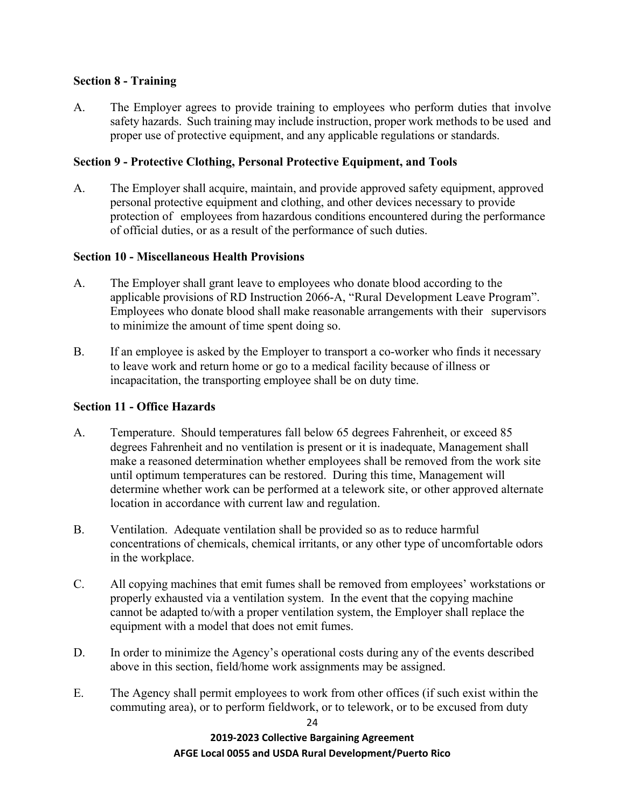## **Section 8 - Training**

A. The Employer agrees to provide training to employees who perform duties that involve safety hazards. Such training may include instruction, proper work methods to be used and proper use of protective equipment, and any applicable regulations or standards.

## **Section 9 - Protective Clothing, Personal Protective Equipment, and Tools**

A. The Employer shall acquire, maintain, and provide approved safety equipment, approved personal protective equipment and clothing, and other devices necessary to provide protection of employees from hazardous conditions encountered during the performance of official duties, or as a result of the performance of such duties.

## **Section 10 - Miscellaneous Health Provisions**

- A. The Employer shall grant leave to employees who donate blood according to the applicable provisions of RD Instruction 2066-A, "Rural Development Leave Program". Employees who donate blood shall make reasonable arrangements with their supervisors to minimize the amount of time spent doing so.
- B. If an employee is asked by the Employer to transport a co-worker who finds it necessary to leave work and return home or go to a medical facility because of illness or incapacitation, the transporting employee shall be on duty time.

## **Section 11 - Office Hazards**

- A. Temperature. Should temperatures fall below 65 degrees Fahrenheit, or exceed 85 degrees Fahrenheit and no ventilation is present or it is inadequate, Management shall make a reasoned determination whether employees shall be removed from the work site until optimum temperatures can be restored. During this time, Management will determine whether work can be performed at a telework site, or other approved alternate location in accordance with current law and regulation.
- B. Ventilation. Adequate ventilation shall be provided so as to reduce harmful concentrations of chemicals, chemical irritants, or any other type of uncomfortable odors in the workplace.
- C. All copying machines that emit fumes shall be removed from employees' workstations or properly exhausted via a ventilation system. In the event that the copying machine cannot be adapted to/with a proper ventilation system, the Employer shall replace the equipment with a model that does not emit fumes.
- D. In order to minimize the Agency's operational costs during any of the events described above in this section, field/home work assignments may be assigned.
- E. The Agency shall permit employees to work from other offices (if such exist within the commuting area), or to perform fieldwork, or to telework, or to be excused from duty

**2019-2023 Collective Bargaining Agreement AFGE Local 0055 and USDA Rural Development/Puerto Rico**

24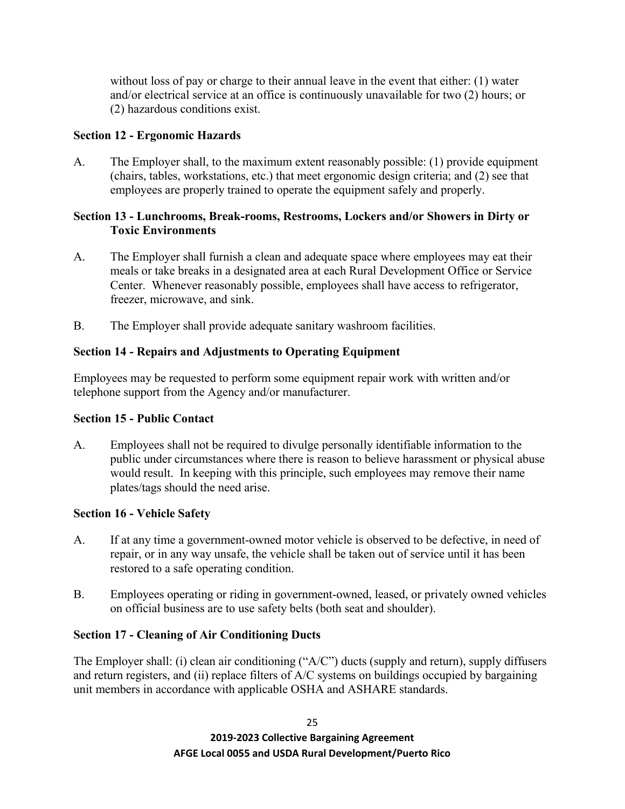without loss of pay or charge to their annual leave in the event that either: (1) water and/or electrical service at an office is continuously unavailable for two (2) hours; or (2) hazardous conditions exist.

## **Section 12 - Ergonomic Hazards**

A. The Employer shall, to the maximum extent reasonably possible: (1) provide equipment (chairs, tables, workstations, etc.) that meet ergonomic design criteria; and (2) see that employees are properly trained to operate the equipment safely and properly.

## **Section 13 - Lunchrooms, Break-rooms, Restrooms, Lockers and/or Showers in Dirty or Toxic Environments**

- A. The Employer shall furnish a clean and adequate space where employees may eat their meals or take breaks in a designated area at each Rural Development Office or Service Center. Whenever reasonably possible, employees shall have access to refrigerator, freezer, microwave, and sink.
- B. The Employer shall provide adequate sanitary washroom facilities.

## **Section 14 - Repairs and Adjustments to Operating Equipment**

Employees may be requested to perform some equipment repair work with written and/or telephone support from the Agency and/or manufacturer.

## **Section 15 - Public Contact**

A. Employees shall not be required to divulge personally identifiable information to the public under circumstances where there is reason to believe harassment or physical abuse would result. In keeping with this principle, such employees may remove their name plates/tags should the need arise.

## **Section 16 - Vehicle Safety**

- A. If at any time a government-owned motor vehicle is observed to be defective, in need of repair, or in any way unsafe, the vehicle shall be taken out of service until it has been restored to a safe operating condition.
- B. Employees operating or riding in government-owned, leased, or privately owned vehicles on official business are to use safety belts (both seat and shoulder).

## **Section 17 - Cleaning of Air Conditioning Ducts**

The Employer shall: (i) clean air conditioning ("A/C") ducts (supply and return), supply diffusers and return registers, and (ii) replace filters of A/C systems on buildings occupied by bargaining unit members in accordance with applicable OSHA and ASHARE standards.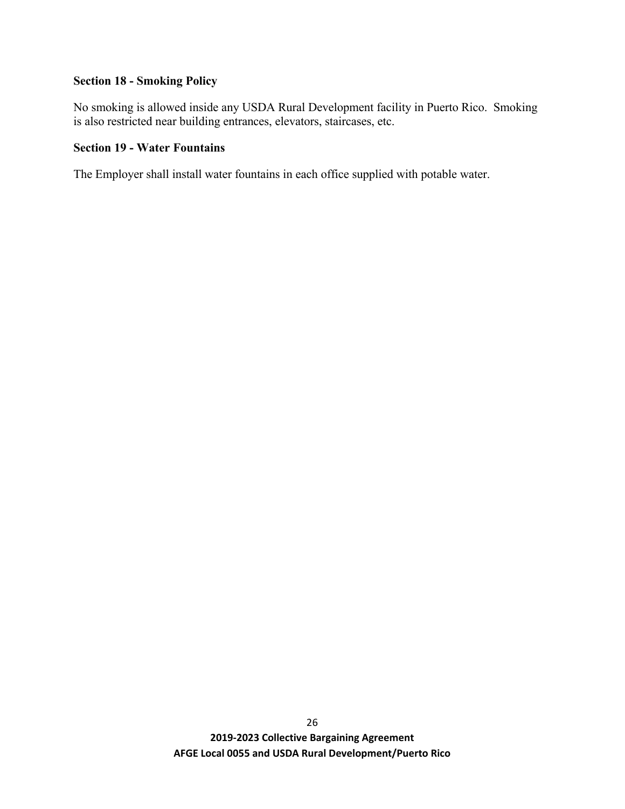# **Section 18 - Smoking Policy**

No smoking is allowed inside any USDA Rural Development facility in Puerto Rico. Smoking is also restricted near building entrances, elevators, staircases, etc.

## **Section 19 - Water Fountains**

The Employer shall install water fountains in each office supplied with potable water.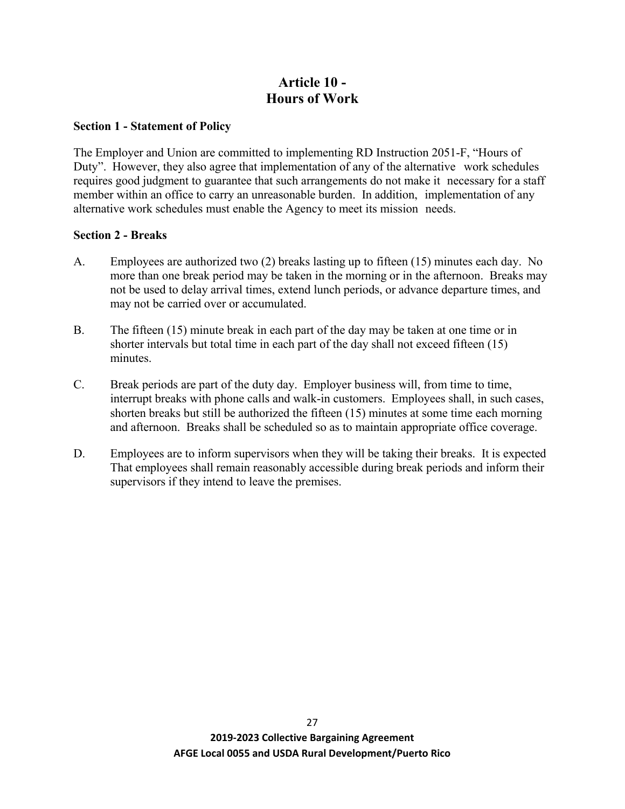# **Article 10 - Hours of Work**

#### **Section 1 - Statement of Policy**

The Employer and Union are committed to implementing RD Instruction 2051-F, "Hours of Duty". However, they also agree that implementation of any of the alternative work schedules requires good judgment to guarantee that such arrangements do not make it necessary for a staff member within an office to carry an unreasonable burden. In addition, implementation of any alternative work schedules must enable the Agency to meet its mission needs.

### **Section 2 - Breaks**

- A. Employees are authorized two (2) breaks lasting up to fifteen (15) minutes each day. No more than one break period may be taken in the morning or in the afternoon. Breaks may not be used to delay arrival times, extend lunch periods, or advance departure times, and may not be carried over or accumulated.
- B. The fifteen (15) minute break in each part of the day may be taken at one time or in shorter intervals but total time in each part of the day shall not exceed fifteen (15) minutes.
- C. Break periods are part of the duty day. Employer business will, from time to time, interrupt breaks with phone calls and walk-in customers. Employees shall, in such cases, shorten breaks but still be authorized the fifteen (15) minutes at some time each morning and afternoon. Breaks shall be scheduled so as to maintain appropriate office coverage.
- D. Employees are to inform supervisors when they will be taking their breaks. It is expected That employees shall remain reasonably accessible during break periods and inform their supervisors if they intend to leave the premises.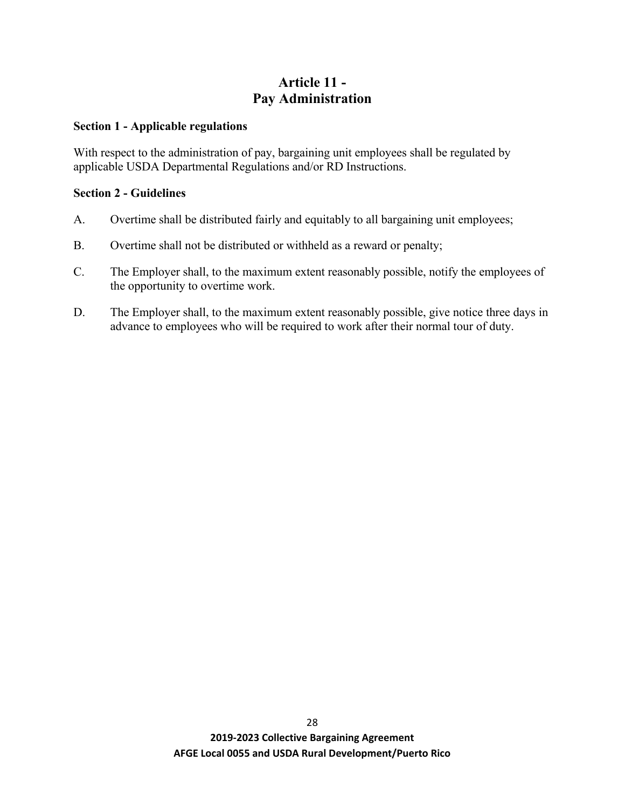# **Article 11 - Pay Administration**

#### **Section 1 - Applicable regulations**

With respect to the administration of pay, bargaining unit employees shall be regulated by applicable USDA Departmental Regulations and/or RD Instructions.

## **Section 2 - Guidelines**

- A. Overtime shall be distributed fairly and equitably to all bargaining unit employees;
- B. Overtime shall not be distributed or withheld as a reward or penalty;
- C. The Employer shall, to the maximum extent reasonably possible, notify the employees of the opportunity to overtime work.
- D. The Employer shall, to the maximum extent reasonably possible, give notice three days in advance to employees who will be required to work after their normal tour of duty.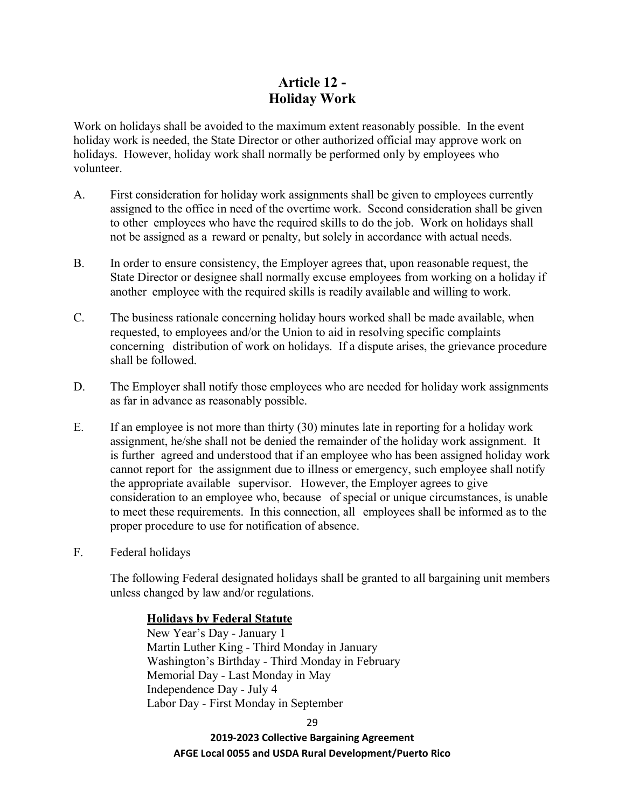# **Article 12 - Holiday Work**

Work on holidays shall be avoided to the maximum extent reasonably possible. In the event holiday work is needed, the State Director or other authorized official may approve work on holidays. However, holiday work shall normally be performed only by employees who volunteer.

- A. First consideration for holiday work assignments shall be given to employees currently assigned to the office in need of the overtime work. Second consideration shall be given to other employees who have the required skills to do the job. Work on holidays shall not be assigned as a reward or penalty, but solely in accordance with actual needs.
- B. In order to ensure consistency, the Employer agrees that, upon reasonable request, the State Director or designee shall normally excuse employees from working on a holiday if another employee with the required skills is readily available and willing to work.
- C. The business rationale concerning holiday hours worked shall be made available, when requested, to employees and/or the Union to aid in resolving specific complaints concerning distribution of work on holidays. If a dispute arises, the grievance procedure shall be followed.
- D. The Employer shall notify those employees who are needed for holiday work assignments as far in advance as reasonably possible.
- E. If an employee is not more than thirty (30) minutes late in reporting for a holiday work assignment, he/she shall not be denied the remainder of the holiday work assignment. It is further agreed and understood that if an employee who has been assigned holiday work cannot report for the assignment due to illness or emergency, such employee shall notify the appropriate available supervisor. However, the Employer agrees to give consideration to an employee who, because of special or unique circumstances, is unable to meet these requirements. In this connection, all employees shall be informed as to the proper procedure to use for notification of absence.
- F. Federal holidays

The following Federal designated holidays shall be granted to all bargaining unit members unless changed by law and/or regulations.

### **Holidays by Federal Statute**

New Year's Day - January 1 Martin Luther King - Third Monday in January Washington's Birthday - Third Monday in February Memorial Day - Last Monday in May Independence Day - July 4 Labor Day - First Monday in September

29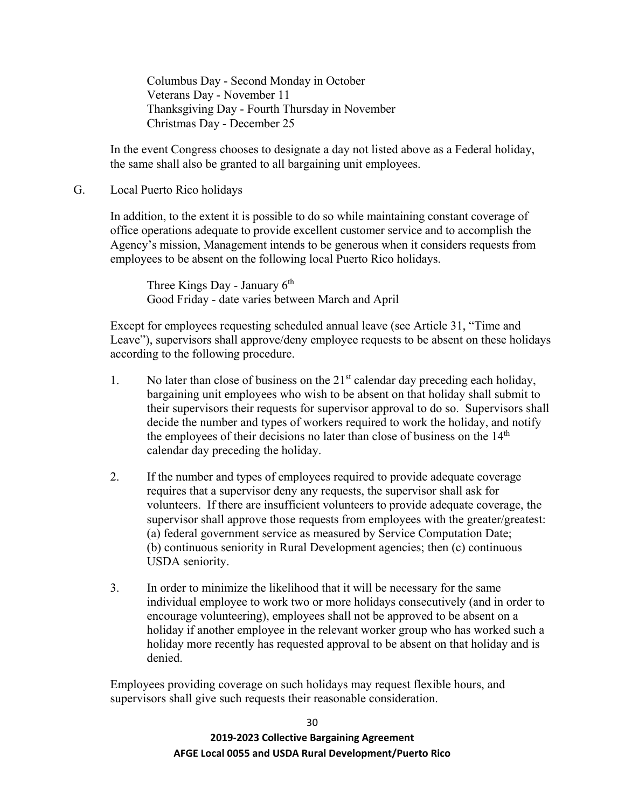Columbus Day - Second Monday in October Veterans Day - November 11 Thanksgiving Day - Fourth Thursday in November Christmas Day - December 25

In the event Congress chooses to designate a day not listed above as a Federal holiday, the same shall also be granted to all bargaining unit employees.

#### G. Local Puerto Rico holidays

In addition, to the extent it is possible to do so while maintaining constant coverage of office operations adequate to provide excellent customer service and to accomplish the Agency's mission, Management intends to be generous when it considers requests from employees to be absent on the following local Puerto Rico holidays.

Three Kings Day - January  $6<sup>th</sup>$ Good Friday - date varies between March and April

Except for employees requesting scheduled annual leave (see Article 31, "Time and Leave"), supervisors shall approve/deny employee requests to be absent on these holidays according to the following procedure.

- 1. No later than close of business on the  $21<sup>st</sup>$  calendar day preceding each holiday, bargaining unit employees who wish to be absent on that holiday shall submit to their supervisors their requests for supervisor approval to do so. Supervisors shall decide the number and types of workers required to work the holiday, and notify the employees of their decisions no later than close of business on the  $14<sup>th</sup>$ calendar day preceding the holiday.
- 2. If the number and types of employees required to provide adequate coverage requires that a supervisor deny any requests, the supervisor shall ask for volunteers. If there are insufficient volunteers to provide adequate coverage, the supervisor shall approve those requests from employees with the greater/greatest: (a) federal government service as measured by Service Computation Date; (b) continuous seniority in Rural Development agencies; then (c) continuous USDA seniority.
- 3. In order to minimize the likelihood that it will be necessary for the same individual employee to work two or more holidays consecutively (and in order to encourage volunteering), employees shall not be approved to be absent on a holiday if another employee in the relevant worker group who has worked such a holiday more recently has requested approval to be absent on that holiday and is denied.

Employees providing coverage on such holidays may request flexible hours, and supervisors shall give such requests their reasonable consideration.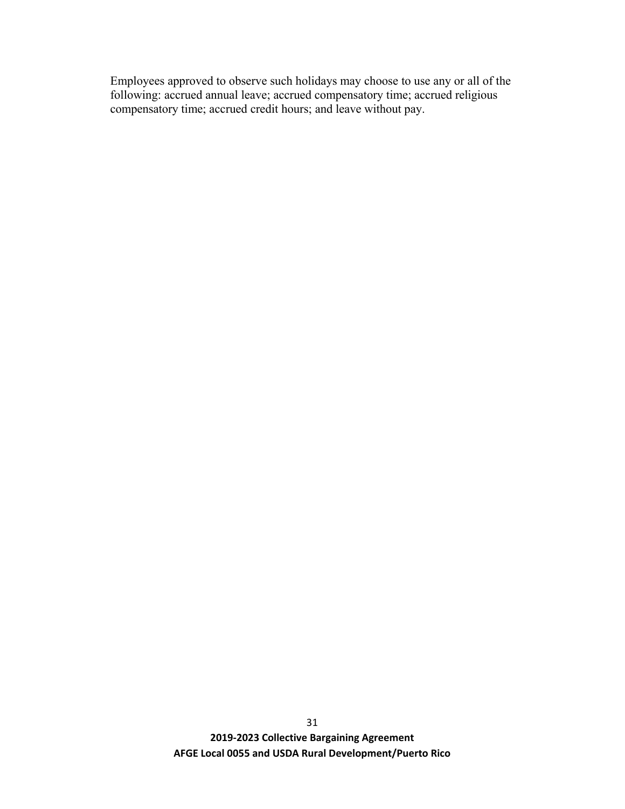Employees approved to observe such holidays may choose to use any or all of the following: accrued annual leave; accrued compensatory time; accrued religious compensatory time; accrued credit hours; and leave without pay.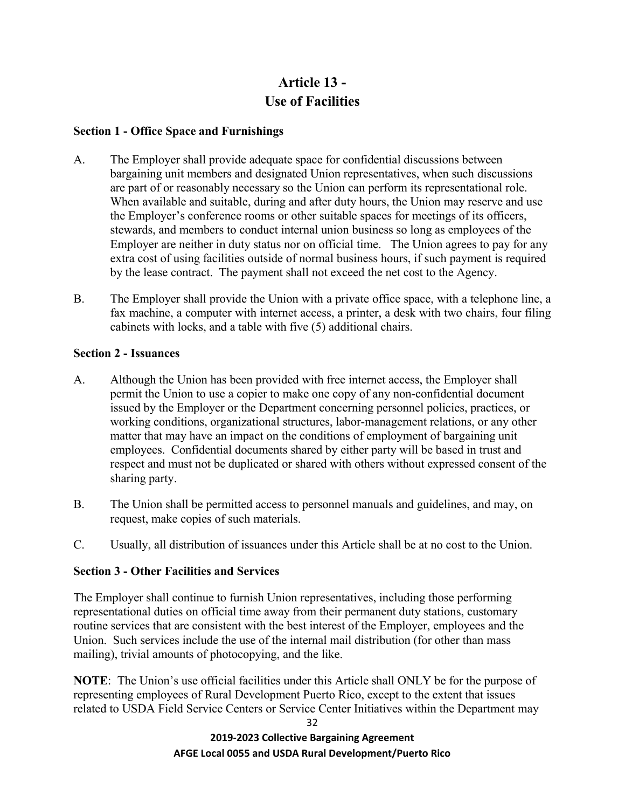# **Article 13 - Use of Facilities**

## **Section 1 - Office Space and Furnishings**

- A. The Employer shall provide adequate space for confidential discussions between bargaining unit members and designated Union representatives, when such discussions are part of or reasonably necessary so the Union can perform its representational role. When available and suitable, during and after duty hours, the Union may reserve and use the Employer's conference rooms or other suitable spaces for meetings of its officers, stewards, and members to conduct internal union business so long as employees of the Employer are neither in duty status nor on official time. The Union agrees to pay for any extra cost of using facilities outside of normal business hours, if such payment is required by the lease contract. The payment shall not exceed the net cost to the Agency.
- B. The Employer shall provide the Union with a private office space, with a telephone line, a fax machine, a computer with internet access, a printer, a desk with two chairs, four filing cabinets with locks, and a table with five (5) additional chairs.

## **Section 2 - Issuances**

- A. Although the Union has been provided with free internet access, the Employer shall permit the Union to use a copier to make one copy of any non-confidential document issued by the Employer or the Department concerning personnel policies, practices, or working conditions, organizational structures, labor-management relations, or any other matter that may have an impact on the conditions of employment of bargaining unit employees. Confidential documents shared by either party will be based in trust and respect and must not be duplicated or shared with others without expressed consent of the sharing party.
- B. The Union shall be permitted access to personnel manuals and guidelines, and may, on request, make copies of such materials.
- C. Usually, all distribution of issuances under this Article shall be at no cost to the Union.

# **Section 3 - Other Facilities and Services**

The Employer shall continue to furnish Union representatives, including those performing representational duties on official time away from their permanent duty stations, customary routine services that are consistent with the best interest of the Employer, employees and the Union. Such services include the use of the internal mail distribution (for other than mass mailing), trivial amounts of photocopying, and the like.

**NOTE**: The Union's use official facilities under this Article shall ONLY be for the purpose of representing employees of Rural Development Puerto Rico, except to the extent that issues related to USDA Field Service Centers or Service Center Initiatives within the Department may

> **2019-2023 Collective Bargaining Agreement AFGE Local 0055 and USDA Rural Development/Puerto Rico**

32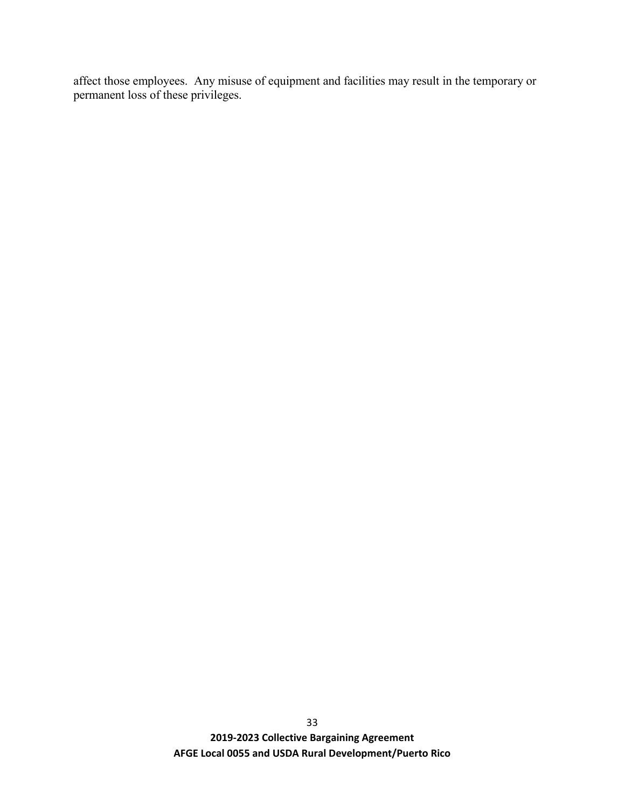affect those employees. Any misuse of equipment and facilities may result in the temporary or permanent loss of these privileges.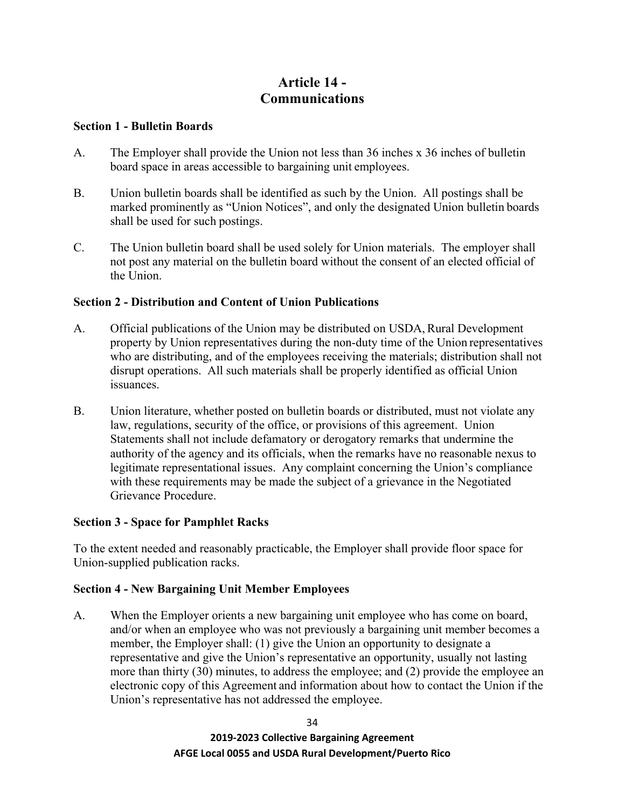# **Article 14 - Communications**

#### **Section 1 - Bulletin Boards**

- A. The Employer shall provide the Union not less than 36 inches x 36 inches of bulletin board space in areas accessible to bargaining unit employees.
- B. Union bulletin boards shall be identified as such by the Union. All postings shall be marked prominently as "Union Notices", and only the designated Union bulletin boards shall be used for such postings.
- C. The Union bulletin board shall be used solely for Union materials. The employer shall not post any material on the bulletin board without the consent of an elected official of the Union.

## **Section 2 - Distribution and Content of Union Publications**

- A. Official publications of the Union may be distributed on USDA, Rural Development property by Union representatives during the non-duty time of the Union representatives who are distributing, and of the employees receiving the materials; distribution shall not disrupt operations. All such materials shall be properly identified as official Union issuances.
- B. Union literature, whether posted on bulletin boards or distributed, must not violate any law, regulations, security of the office, or provisions of this agreement. Union Statements shall not include defamatory or derogatory remarks that undermine the authority of the agency and its officials, when the remarks have no reasonable nexus to legitimate representational issues. Any complaint concerning the Union's compliance with these requirements may be made the subject of a grievance in the Negotiated Grievance Procedure.

### **Section 3 - Space for Pamphlet Racks**

To the extent needed and reasonably practicable, the Employer shall provide floor space for Union-supplied publication racks.

### **Section 4 - New Bargaining Unit Member Employees**

A. When the Employer orients a new bargaining unit employee who has come on board, and/or when an employee who was not previously a bargaining unit member becomes a member, the Employer shall: (1) give the Union an opportunity to designate a representative and give the Union's representative an opportunity, usually not lasting more than thirty (30) minutes, to address the employee; and (2) provide the employee an electronic copy of this Agreement and information about how to contact the Union if the Union's representative has not addressed the employee.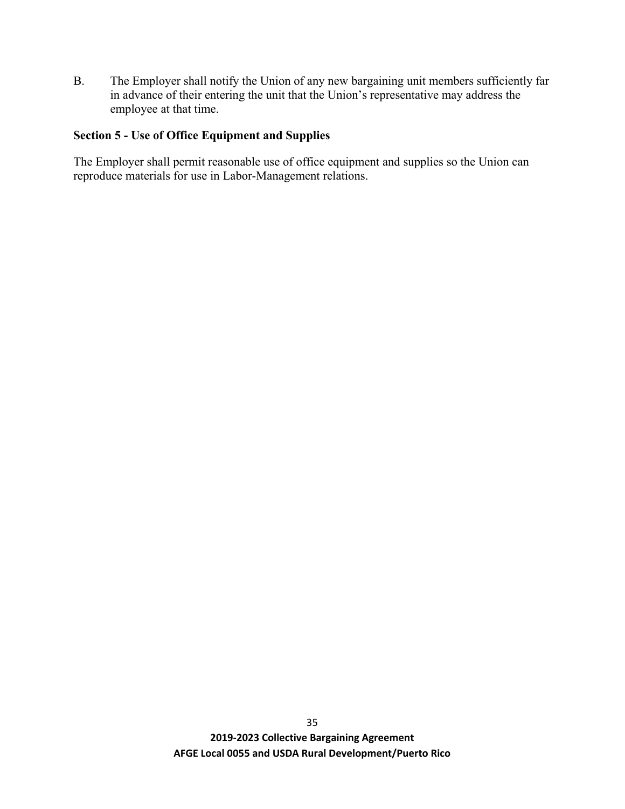B. The Employer shall notify the Union of any new bargaining unit members sufficiently far in advance of their entering the unit that the Union's representative may address the employee at that time.

## **Section 5 - Use of Office Equipment and Supplies**

The Employer shall permit reasonable use of office equipment and supplies so the Union can reproduce materials for use in Labor-Management relations.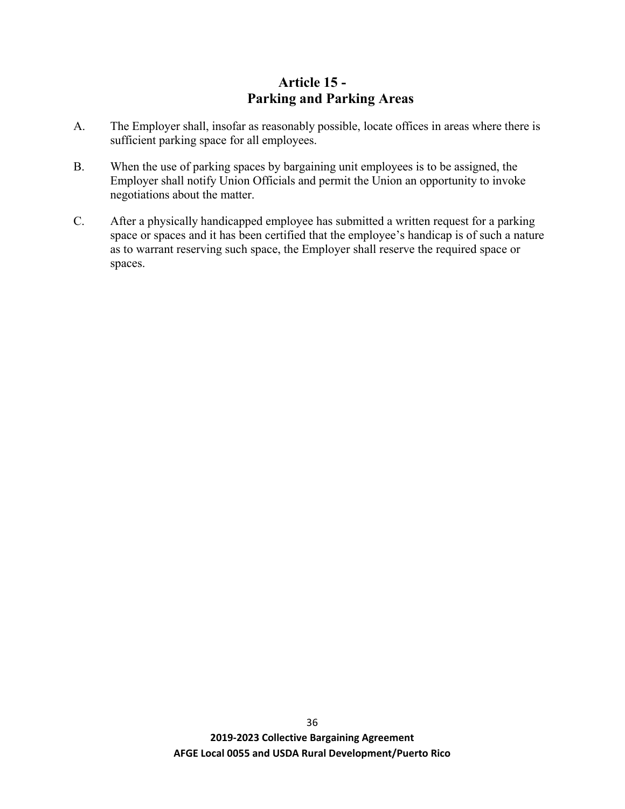# **Article 15 - Parking and Parking Areas**

- A. The Employer shall, insofar as reasonably possible, locate offices in areas where there is sufficient parking space for all employees.
- B. When the use of parking spaces by bargaining unit employees is to be assigned, the Employer shall notify Union Officials and permit the Union an opportunity to invoke negotiations about the matter.
- C. After a physically handicapped employee has submitted a written request for a parking space or spaces and it has been certified that the employee's handicap is of such a nature as to warrant reserving such space, the Employer shall reserve the required space or spaces.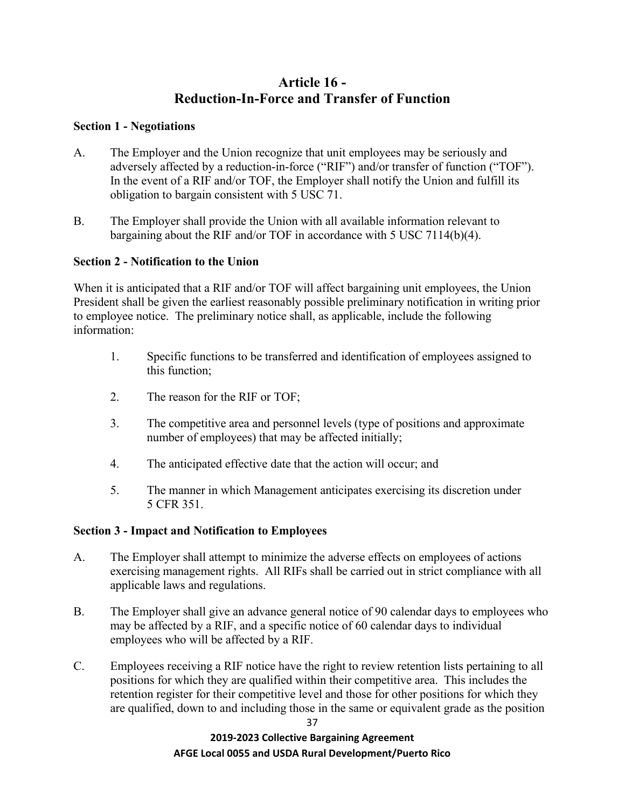# **Article 16 - Reduction-In-Force and Transfer of Function**

### **Section 1 - Negotiations**

- A. The Employer and the Union recognize that unit employees may be seriously and adversely affected by a reduction-in-force ("RIF") and/or transfer of function ("TOF"). In the event of a RIF and/or TOF, the Employer shall notify the Union and fulfill its obligation to bargain consistent with 5 USC 71.
- B. The Employer shall provide the Union with all available information relevant to bargaining about the RIF and/or TOF in accordance with 5 USC 7114(b)(4).

### **Section 2 - Notification to the Union**

When it is anticipated that a RIF and/or TOF will affect bargaining unit employees, the Union President shall be given the earliest reasonably possible preliminary notification in writing prior to employee notice. The preliminary notice shall, as applicable, include the following information:

- 1. Specific functions to be transferred and identification of employees assigned to this function;
- 2. The reason for the RIF or TOF;
- 3. The competitive area and personnel levels (type of positions and approximate number of employees) that may be affected initially;
- 4. The anticipated effective date that the action will occur; and
- 5. The manner in which Management anticipates exercising its discretion under 5 CFR 351.

### **Section 3 - Impact and Notification to Employees**

- A. The Employer shall attempt to minimize the adverse effects on employees of actions exercising management rights. All RIFs shall be carried out in strict compliance with all applicable laws and regulations.
- B. The Employer shall give an advance general notice of 90 calendar days to employees who may be affected by a RIF, and a specific notice of 60 calendar days to individual employees who will be affected by a RIF.
- C. Employees receiving a RIF notice have the right to review retention lists pertaining to all positions for which they are qualified within their competitive area. This includes the retention register for their competitive level and those for other positions for which they are qualified, down to and including those in the same or equivalent grade as the position

37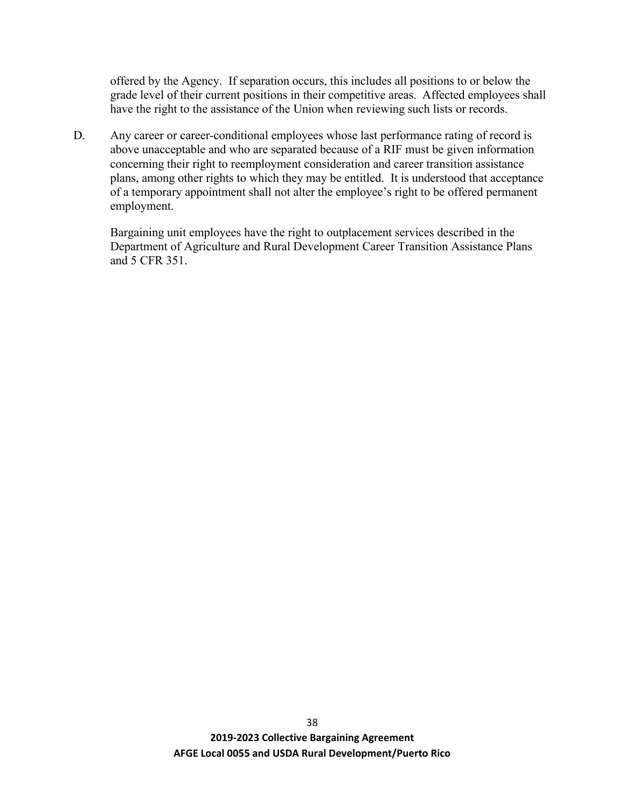offered by the Agency. If separation occurs, this includes all positions to or below the grade level of their current positions in their competitive areas. Affected employees shall have the right to the assistance of the Union when reviewing such lists or records.

D. Any career or career-conditional employees whose last performance rating of record is above unacceptable and who are separated because of a RIF must be given information concerning their right to reemployment consideration and career transition assistance plans, among other rights to which they may be entitled. It is understood that acceptance of a temporary appointment shall not alter the employee's right to be offered permanent employment.

Bargaining unit employees have the right to outplacement services described in the Department of Agriculture and Rural Development Career Transition Assistance Plans and 5 CFR 351.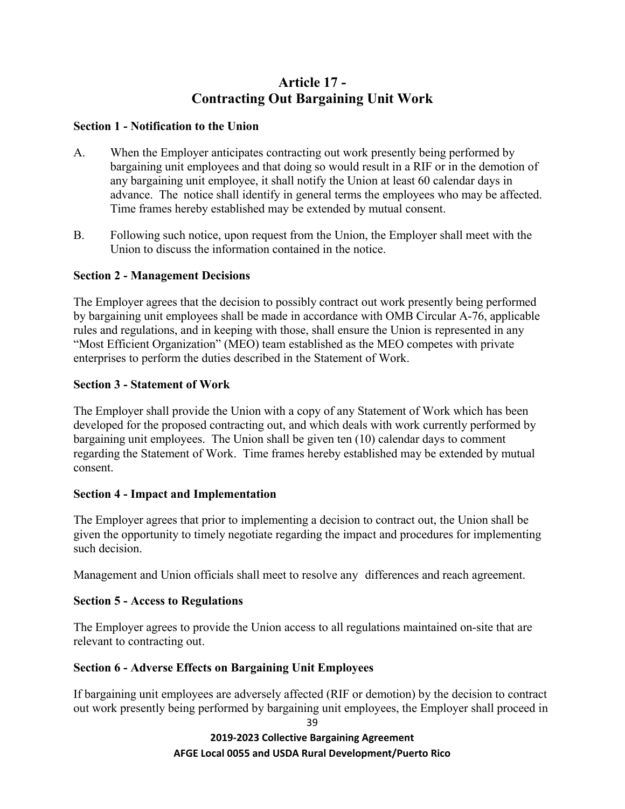# **Article 17 - Contracting Out Bargaining Unit Work**

## **Section 1 - Notification to the Union**

- A. When the Employer anticipates contracting out work presently being performed by bargaining unit employees and that doing so would result in a RIF or in the demotion of any bargaining unit employee, it shall notify the Union at least 60 calendar days in advance. The notice shall identify in general terms the employees who may be affected. Time frames hereby established may be extended by mutual consent.
- B. Following such notice, upon request from the Union, the Employer shall meet with the Union to discuss the information contained in the notice.

# **Section 2 - Management Decisions**

The Employer agrees that the decision to possibly contract out work presently being performed by bargaining unit employees shall be made in accordance with OMB Circular A-76, applicable rules and regulations, and in keeping with those, shall ensure the Union is represented in any "Most Efficient Organization" (MEO) team established as the MEO competes with private enterprises to perform the duties described in the Statement of Work.

## **Section 3 - Statement of Work**

The Employer shall provide the Union with a copy of any Statement of Work which has been developed for the proposed contracting out, and which deals with work currently performed by bargaining unit employees. The Union shall be given ten (10) calendar days to comment regarding the Statement of Work. Time frames hereby established may be extended by mutual consent.

# **Section 4 - Impact and Implementation**

The Employer agrees that prior to implementing a decision to contract out, the Union shall be given the opportunity to timely negotiate regarding the impact and procedures for implementing such decision.

Management and Union officials shall meet to resolve any differences and reach agreement.

# **Section 5 - Access to Regulations**

The Employer agrees to provide the Union access to all regulations maintained on-site that are relevant to contracting out.

# **Section 6 - Adverse Effects on Bargaining Unit Employees**

If bargaining unit employees are adversely affected (RIF or demotion) by the decision to contract out work presently being performed by bargaining unit employees, the Employer shall proceed in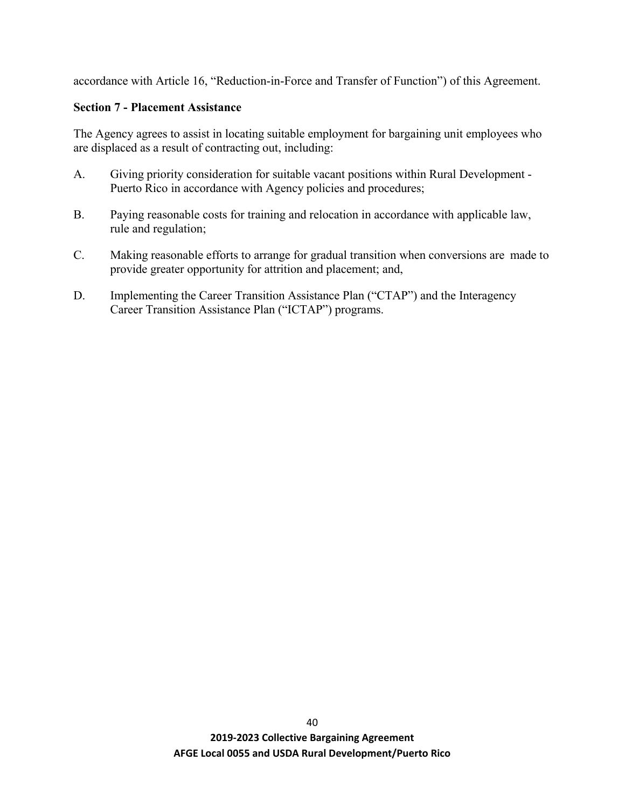accordance with Article 16, "Reduction-in-Force and Transfer of Function") of this Agreement.

### **Section 7 - Placement Assistance**

The Agency agrees to assist in locating suitable employment for bargaining unit employees who are displaced as a result of contracting out, including:

- A. Giving priority consideration for suitable vacant positions within Rural Development Puerto Rico in accordance with Agency policies and procedures;
- B. Paying reasonable costs for training and relocation in accordance with applicable law, rule and regulation;
- C. Making reasonable efforts to arrange for gradual transition when conversions are made to provide greater opportunity for attrition and placement; and,
- D. Implementing the Career Transition Assistance Plan ("CTAP") and the Interagency Career Transition Assistance Plan ("ICTAP") programs.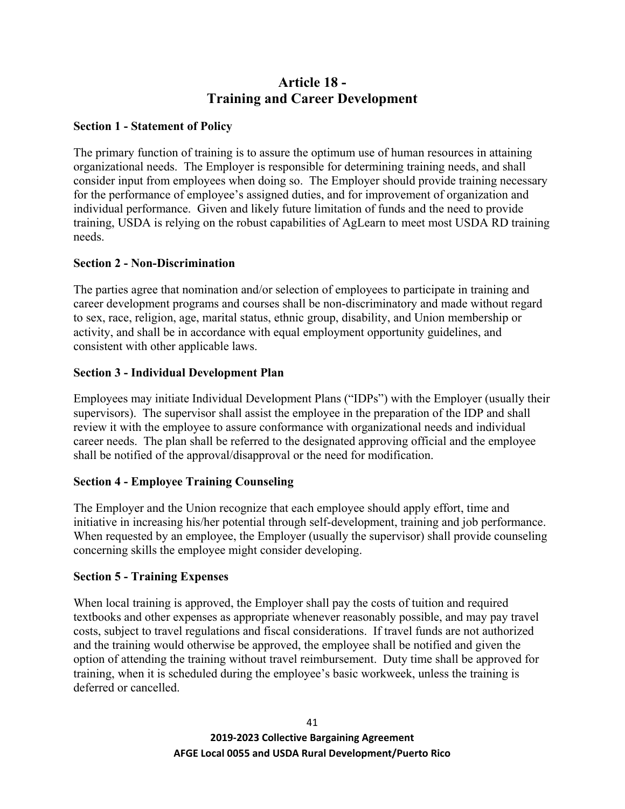# **Article 18 - Training and Career Development**

## **Section 1 - Statement of Policy**

The primary function of training is to assure the optimum use of human resources in attaining organizational needs. The Employer is responsible for determining training needs, and shall consider input from employees when doing so. The Employer should provide training necessary for the performance of employee's assigned duties, and for improvement of organization and individual performance. Given and likely future limitation of funds and the need to provide training, USDA is relying on the robust capabilities of AgLearn to meet most USDA RD training needs.

## **Section 2 - Non-Discrimination**

The parties agree that nomination and/or selection of employees to participate in training and career development programs and courses shall be non-discriminatory and made without regard to sex, race, religion, age, marital status, ethnic group, disability, and Union membership or activity, and shall be in accordance with equal employment opportunity guidelines, and consistent with other applicable laws.

## **Section 3 - Individual Development Plan**

Employees may initiate Individual Development Plans ("IDPs") with the Employer (usually their supervisors). The supervisor shall assist the employee in the preparation of the IDP and shall review it with the employee to assure conformance with organizational needs and individual career needs. The plan shall be referred to the designated approving official and the employee shall be notified of the approval/disapproval or the need for modification.

# **Section 4 - Employee Training Counseling**

The Employer and the Union recognize that each employee should apply effort, time and initiative in increasing his/her potential through self-development, training and job performance. When requested by an employee, the Employer (usually the supervisor) shall provide counseling concerning skills the employee might consider developing.

### **Section 5 - Training Expenses**

When local training is approved, the Employer shall pay the costs of tuition and required textbooks and other expenses as appropriate whenever reasonably possible, and may pay travel costs, subject to travel regulations and fiscal considerations. If travel funds are not authorized and the training would otherwise be approved, the employee shall be notified and given the option of attending the training without travel reimbursement. Duty time shall be approved for training, when it is scheduled during the employee's basic workweek, unless the training is deferred or cancelled.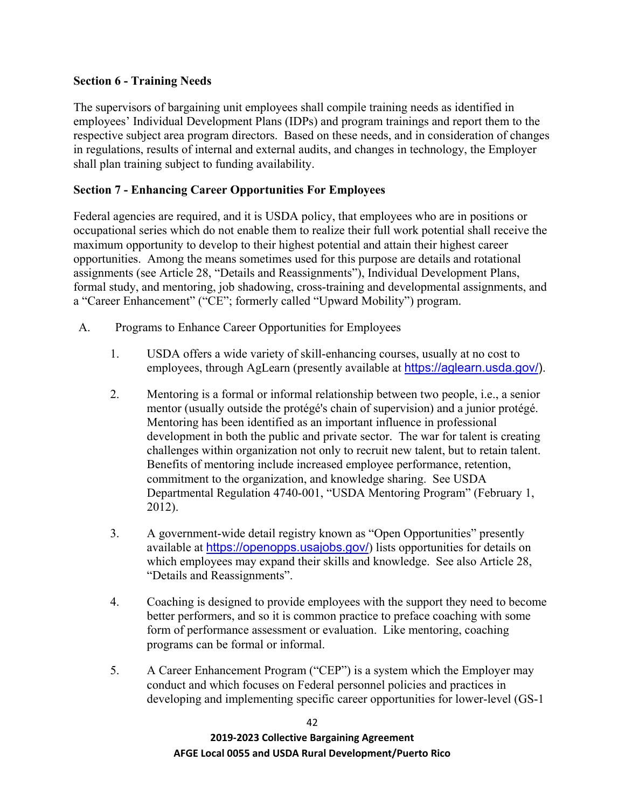## **Section 6 - Training Needs**

The supervisors of bargaining unit employees shall compile training needs as identified in employees' Individual Development Plans (IDPs) and program trainings and report them to the respective subject area program directors. Based on these needs, and in consideration of changes in regulations, results of internal and external audits, and changes in technology, the Employer shall plan training subject to funding availability.

## **Section 7 - Enhancing Career Opportunities For Employees**

Federal agencies are required, and it is USDA policy, that employees who are in positions or occupational series which do not enable them to realize their full work potential shall receive the maximum opportunity to develop to their highest potential and attain their highest career opportunities. Among the means sometimes used for this purpose are details and rotational assignments (see Article 28, "Details and Reassignments"), Individual Development Plans, formal study, and mentoring, job shadowing, cross-training and developmental assignments, and a "Career Enhancement" ("CE"; formerly called "Upward Mobility") program.

- A. Programs to Enhance Career Opportunities for Employees
	- 1. USDA offers a wide variety of skill-enhancing courses, usually at no cost to employees, through AgLearn (presently available at [https://aglearn.usda.gov/\)](https://aglearn.usda.gov/).
	- 2. Mentoring is a formal or informal relationship between two people, i.e., a senior mentor (usually outside the protégé's chain of supervision) and a junior protégé. Mentoring has been identified as an important influence in professional development in both the public and private sector. The war for talent is creating challenges within organization not only to recruit new talent, but to retain talent. Benefits of mentoring include increased employee performance, retention, commitment to the organization, and knowledge sharing. See USDA Departmental Regulation 4740-001, "USDA Mentoring Program" (February 1, 2012).
	- 3. A government-wide detail registry known as "Open Opportunities" presently available at <https://openopps.usajobs.gov/>) lists opportunities for details on which employees may expand their skills and knowledge. See also Article 28, "Details and Reassignments".
	- 4. Coaching is designed to provide employees with the support they need to become better performers, and so it is common practice to preface coaching with some form of performance assessment or evaluation. Like mentoring, coaching programs can be formal or informal.
	- 5. A Career Enhancement Program ("CEP") is a system which the Employer may conduct and which focuses on Federal personnel policies and practices in developing and implementing specific career opportunities for lower-level (GS-1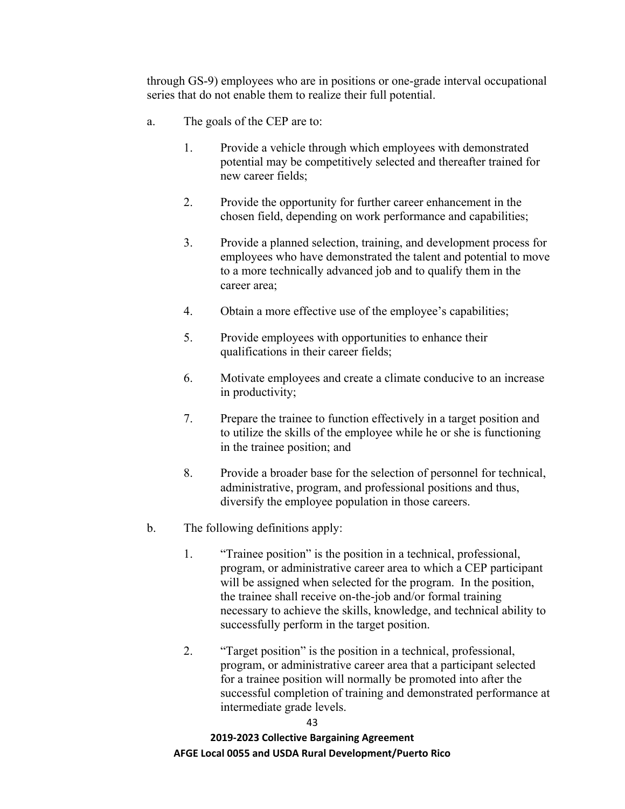through GS-9) employees who are in positions or one-grade interval occupational series that do not enable them to realize their full potential.

- a. The goals of the CEP are to:
	- 1. Provide a vehicle through which employees with demonstrated potential may be competitively selected and thereafter trained for new career fields;
	- 2. Provide the opportunity for further career enhancement in the chosen field, depending on work performance and capabilities;
	- 3. Provide a planned selection, training, and development process for employees who have demonstrated the talent and potential to move to a more technically advanced job and to qualify them in the career area;
	- 4. Obtain a more effective use of the employee's capabilities;
	- 5. Provide employees with opportunities to enhance their qualifications in their career fields;
	- 6. Motivate employees and create a climate conducive to an increase in productivity;
	- 7. Prepare the trainee to function effectively in a target position and to utilize the skills of the employee while he or she is functioning in the trainee position; and
	- 8. Provide a broader base for the selection of personnel for technical, administrative, program, and professional positions and thus, diversify the employee population in those careers.
- b. The following definitions apply:
	- 1. "Trainee position" is the position in a technical, professional, program, or administrative career area to which a CEP participant will be assigned when selected for the program. In the position, the trainee shall receive on-the-job and/or formal training necessary to achieve the skills, knowledge, and technical ability to successfully perform in the target position.
	- 2. "Target position" is the position in a technical, professional, program, or administrative career area that a participant selected for a trainee position will normally be promoted into after the successful completion of training and demonstrated performance at intermediate grade levels.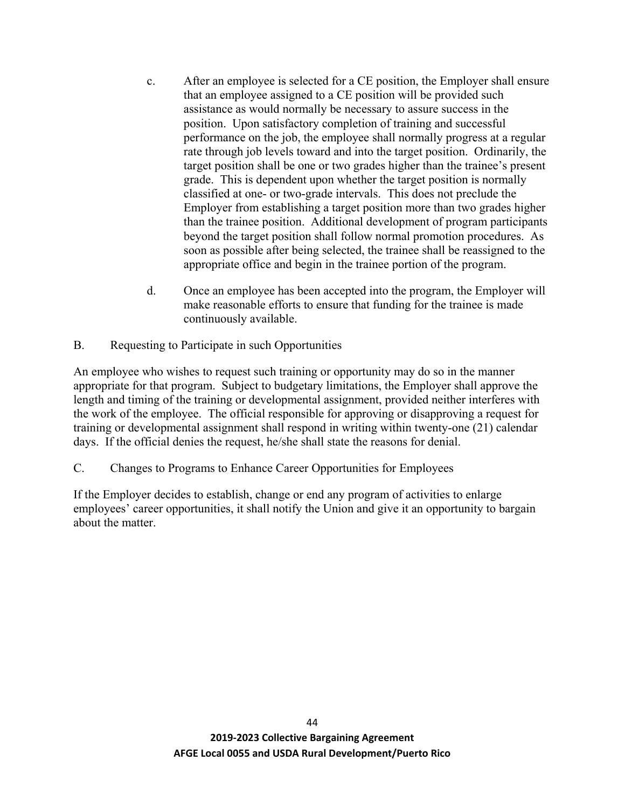- c. After an employee is selected for a CE position, the Employer shall ensure that an employee assigned to a CE position will be provided such assistance as would normally be necessary to assure success in the position. Upon satisfactory completion of training and successful performance on the job, the employee shall normally progress at a regular rate through job levels toward and into the target position. Ordinarily, the target position shall be one or two grades higher than the trainee's present grade. This is dependent upon whether the target position is normally classified at one- or two-grade intervals. This does not preclude the Employer from establishing a target position more than two grades higher than the trainee position. Additional development of program participants beyond the target position shall follow normal promotion procedures. As soon as possible after being selected, the trainee shall be reassigned to the appropriate office and begin in the trainee portion of the program.
- d. Once an employee has been accepted into the program, the Employer will make reasonable efforts to ensure that funding for the trainee is made continuously available.
- B. Requesting to Participate in such Opportunities

An employee who wishes to request such training or opportunity may do so in the manner appropriate for that program. Subject to budgetary limitations, the Employer shall approve the length and timing of the training or developmental assignment, provided neither interferes with the work of the employee. The official responsible for approving or disapproving a request for training or developmental assignment shall respond in writing within twenty-one (21) calendar days. If the official denies the request, he/she shall state the reasons for denial.

C. Changes to Programs to Enhance Career Opportunities for Employees

If the Employer decides to establish, change or end any program of activities to enlarge employees' career opportunities, it shall notify the Union and give it an opportunity to bargain about the matter.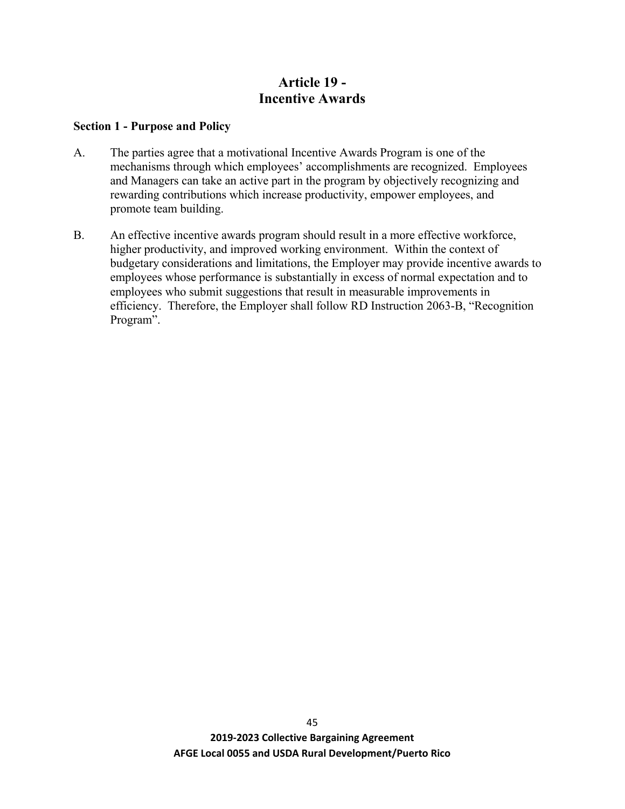# **Article 19 - Incentive Awards**

#### **Section 1 - Purpose and Policy**

- A. The parties agree that a motivational Incentive Awards Program is one of the mechanisms through which employees' accomplishments are recognized. Employees and Managers can take an active part in the program by objectively recognizing and rewarding contributions which increase productivity, empower employees, and promote team building.
- B. An effective incentive awards program should result in a more effective workforce, higher productivity, and improved working environment. Within the context of budgetary considerations and limitations, the Employer may provide incentive awards to employees whose performance is substantially in excess of normal expectation and to employees who submit suggestions that result in measurable improvements in efficiency. Therefore, the Employer shall follow RD Instruction 2063-B, "Recognition Program".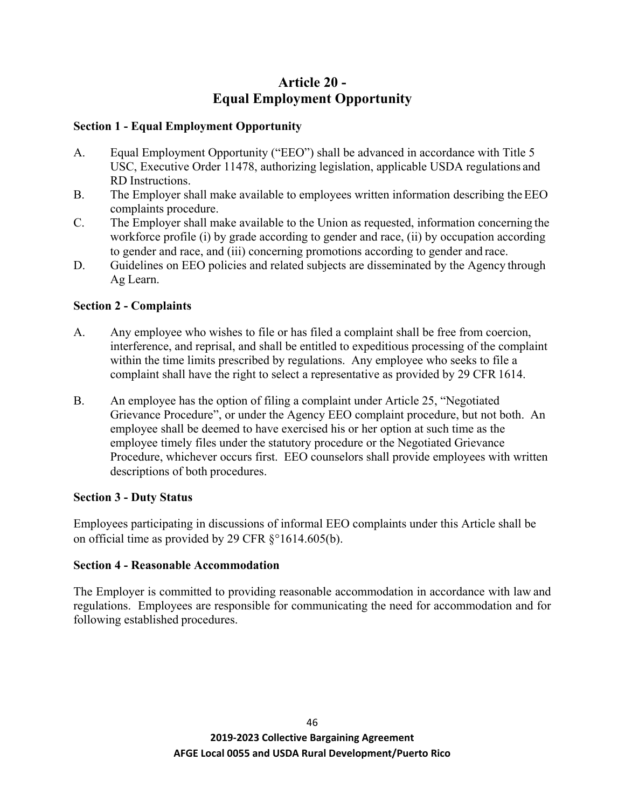# **Article 20 - Equal Employment Opportunity**

## **Section 1 - Equal Employment Opportunity**

- A. Equal Employment Opportunity ("EEO") shall be advanced in accordance with Title 5 USC, Executive Order 11478, authorizing legislation, applicable USDA regulations and RD Instructions.
- B. The Employer shall make available to employees written information describing the EEO complaints procedure.
- C. The Employer shall make available to the Union as requested, information concerning the workforce profile (i) by grade according to gender and race, (ii) by occupation according to gender and race, and (iii) concerning promotions according to gender and race.
- D. Guidelines on EEO policies and related subjects are disseminated by the Agency through Ag Learn.

# **Section 2 - Complaints**

- A. Any employee who wishes to file or has filed a complaint shall be free from coercion, interference, and reprisal, and shall be entitled to expeditious processing of the complaint within the time limits prescribed by regulations. Any employee who seeks to file a complaint shall have the right to select a representative as provided by 29 CFR 1614.
- B. An employee has the option of filing a complaint under Article 25, "Negotiated Grievance Procedure", or under the Agency EEO complaint procedure, but not both. An employee shall be deemed to have exercised his or her option at such time as the employee timely files under the statutory procedure or the Negotiated Grievance Procedure, whichever occurs first. EEO counselors shall provide employees with written descriptions of both procedures.

### **Section 3 - Duty Status**

Employees participating in discussions of informal EEO complaints under this Article shall be on official time as provided by 29 CFR §°1614.605(b).

# **Section 4 - Reasonable Accommodation**

The Employer is committed to providing reasonable accommodation in accordance with law and regulations. Employees are responsible for communicating the need for accommodation and for following established procedures.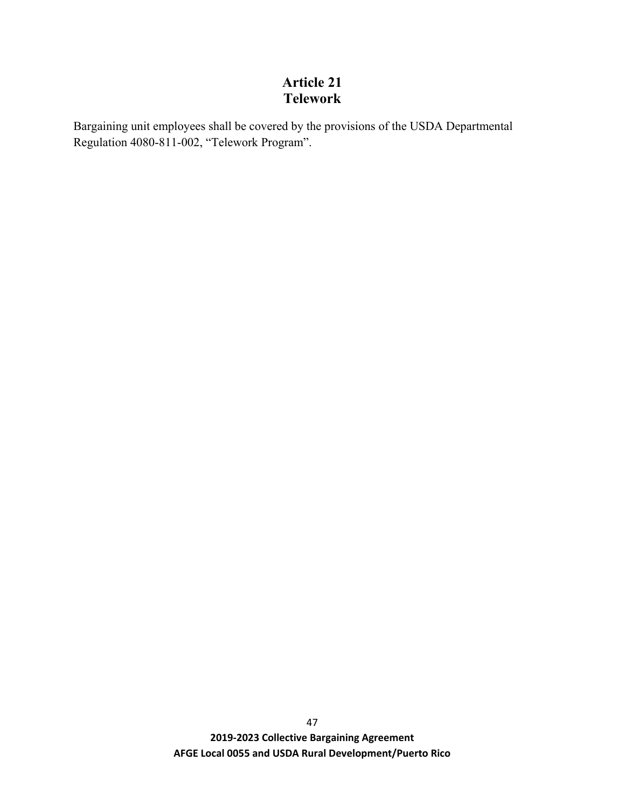# **Article 21 Telework**

Bargaining unit employees shall be covered by the provisions of the USDA Departmental Regulation 4080-811-002, "Telework Program".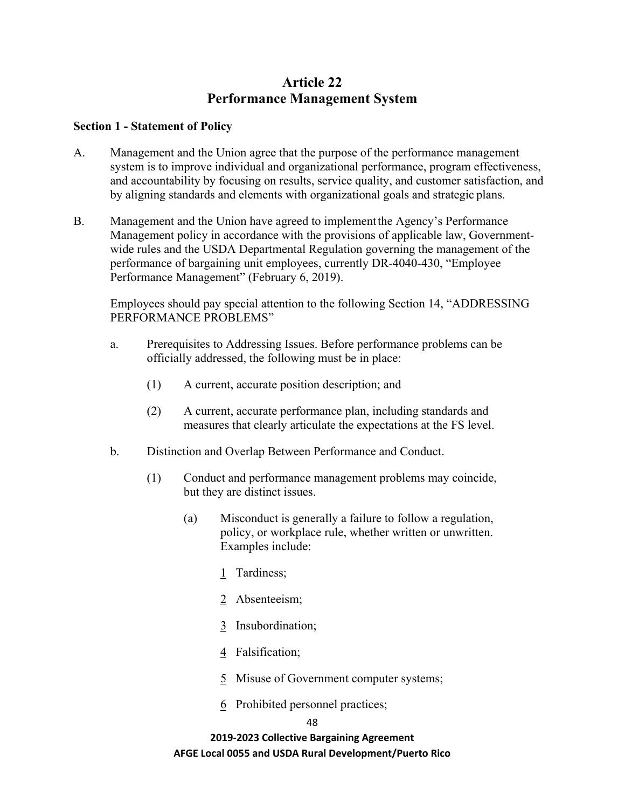# **Article 22 Performance Management System**

#### **Section 1 - Statement of Policy**

- A. Management and the Union agree that the purpose of the performance management system is to improve individual and organizational performance, program effectiveness, and accountability by focusing on results, service quality, and customer satisfaction, and by aligning standards and elements with organizational goals and strategic plans.
- B. Management and the Union have agreed to implementthe Agency's Performance Management policy in accordance with the provisions of applicable law, Governmentwide rules and the USDA Departmental Regulation governing the management of the performance of bargaining unit employees, currently DR-4040-430, "Employee Performance Management" (February 6, 2019).

Employees should pay special attention to the following Section 14, "ADDRESSING PERFORMANCE PROBLEMS"

- a. Prerequisites to Addressing Issues. Before performance problems can be officially addressed, the following must be in place:
	- (1) A current, accurate position description; and
	- (2) A current, accurate performance plan, including standards and measures that clearly articulate the expectations at the FS level.
- b. Distinction and Overlap Between Performance and Conduct.
	- (1) Conduct and performance management problems may coincide, but they are distinct issues.
		- (a) Misconduct is generally a failure to follow a regulation, policy, or workplace rule, whether written or unwritten. Examples include:
			- 1 Tardiness;
			- 2 Absenteeism;
			- 3 Insubordination;
			- 4 Falsification;
			- 5 Misuse of Government computer systems;
			- 6 Prohibited personnel practices;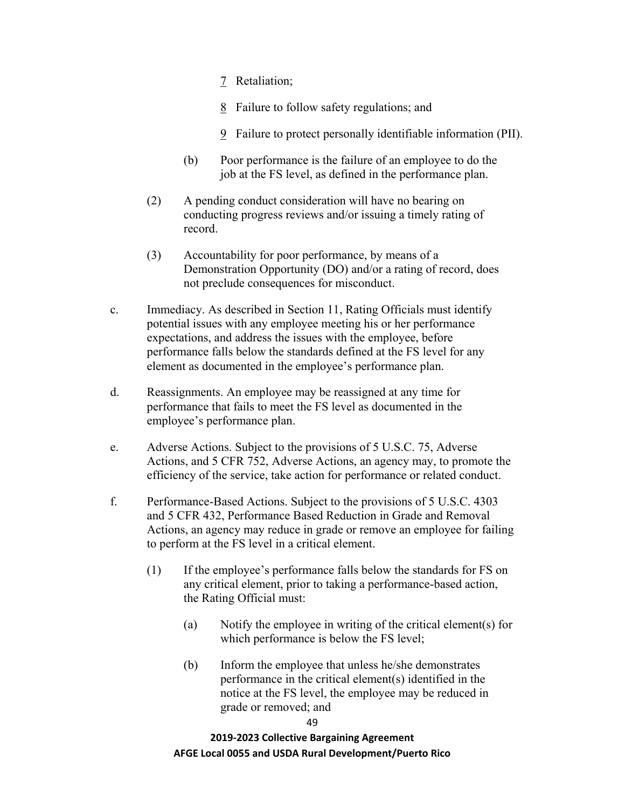- 7 Retaliation;
- 8 Failure to follow safety regulations; and
- 9 Failure to protect personally identifiable information (PII).
- (b) Poor performance is the failure of an employee to do the job at the FS level, as defined in the performance plan.
- (2) A pending conduct consideration will have no bearing on conducting progress reviews and/or issuing a timely rating of record.
- (3) Accountability for poor performance, by means of a Demonstration Opportunity (DO) and/or a rating of record, does not preclude consequences for misconduct.
- c. Immediacy. As described in Section 11, Rating Officials must identify potential issues with any employee meeting his or her performance expectations, and address the issues with the employee, before performance falls below the standards defined at the FS level for any element as documented in the employee's performance plan.
- d. Reassignments. An employee may be reassigned at any time for performance that fails to meet the FS level as documented in the employee's performance plan.
- e. Adverse Actions. Subject to the provisions of 5 U.S.C. 75, Adverse Actions, and 5 CFR 752, Adverse Actions, an agency may, to promote the efficiency of the service, take action for performance or related conduct.
- f. Performance-Based Actions. Subject to the provisions of 5 U.S.C. 4303 and 5 CFR 432, Performance Based Reduction in Grade and Removal Actions, an agency may reduce in grade or remove an employee for failing to perform at the FS level in a critical element.
	- (1) If the employee's performance falls below the standards for FS on any critical element, prior to taking a performance-based action, the Rating Official must:
		- (a) Notify the employee in writing of the critical element(s) for which performance is below the FS level;
		- (b) Inform the employee that unless he/she demonstrates performance in the critical element(s) identified in the notice at the FS level, the employee may be reduced in grade or removed; and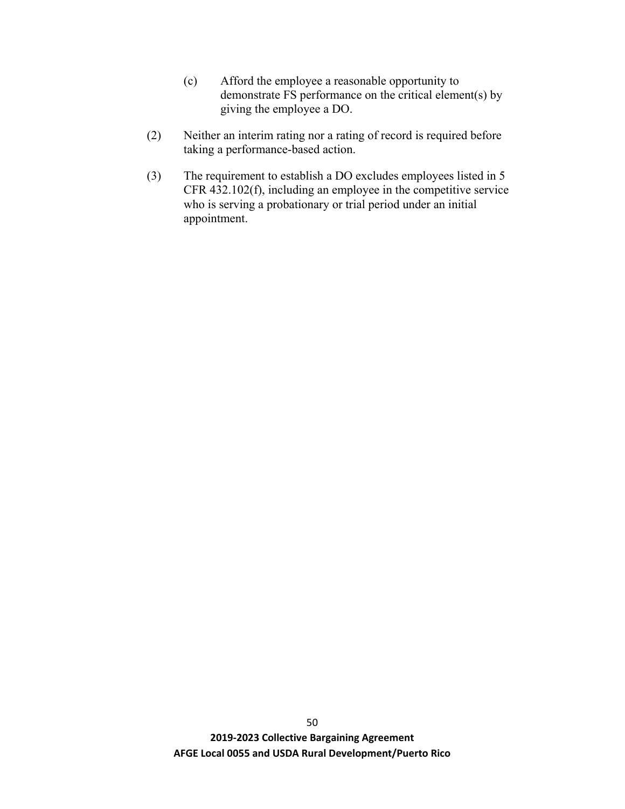- (c) Afford the employee a reasonable opportunity to demonstrate FS performance on the critical element(s) by giving the employee a DO.
- (2) Neither an interim rating nor a rating of record is required before taking a performance-based action.
- (3) The requirement to establish a DO excludes employees listed in 5 CFR 432.102(f), including an employee in the competitive service who is serving a probationary or trial period under an initial appointment.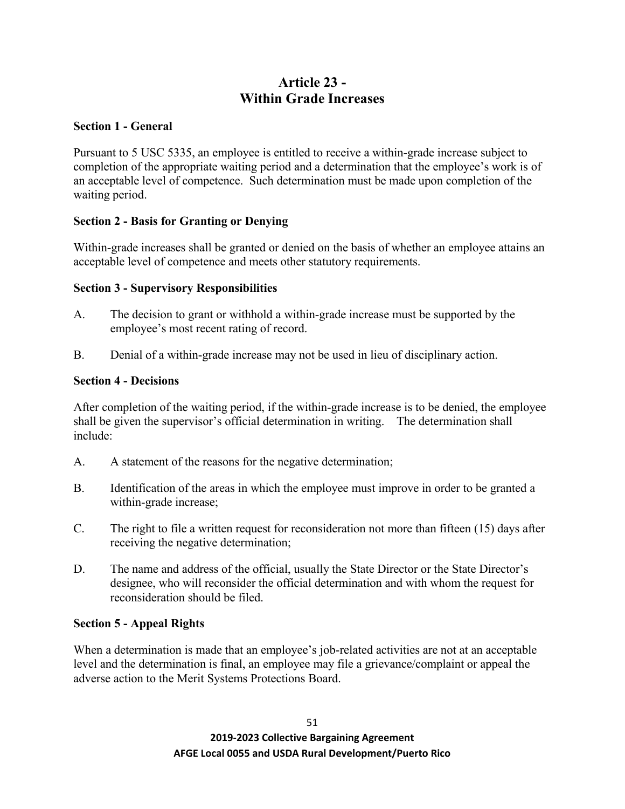# **Article 23 - Within Grade Increases**

## **Section 1 - General**

Pursuant to 5 USC 5335, an employee is entitled to receive a within-grade increase subject to completion of the appropriate waiting period and a determination that the employee's work is of an acceptable level of competence. Such determination must be made upon completion of the waiting period.

# **Section 2 - Basis for Granting or Denying**

Within-grade increases shall be granted or denied on the basis of whether an employee attains an acceptable level of competence and meets other statutory requirements.

## **Section 3 - Supervisory Responsibilities**

- A. The decision to grant or withhold a within-grade increase must be supported by the employee's most recent rating of record.
- B. Denial of a within-grade increase may not be used in lieu of disciplinary action.

### **Section 4 - Decisions**

After completion of the waiting period, if the within-grade increase is to be denied, the employee shall be given the supervisor's official determination in writing. The determination shall include:

- A. A statement of the reasons for the negative determination;
- B. Identification of the areas in which the employee must improve in order to be granted a within-grade increase;
- C. The right to file a written request for reconsideration not more than fifteen (15) days after receiving the negative determination;
- D. The name and address of the official, usually the State Director or the State Director's designee, who will reconsider the official determination and with whom the request for reconsideration should be filed.

### **Section 5 - Appeal Rights**

When a determination is made that an employee's job-related activities are not at an acceptable level and the determination is final, an employee may file a grievance/complaint or appeal the adverse action to the Merit Systems Protections Board.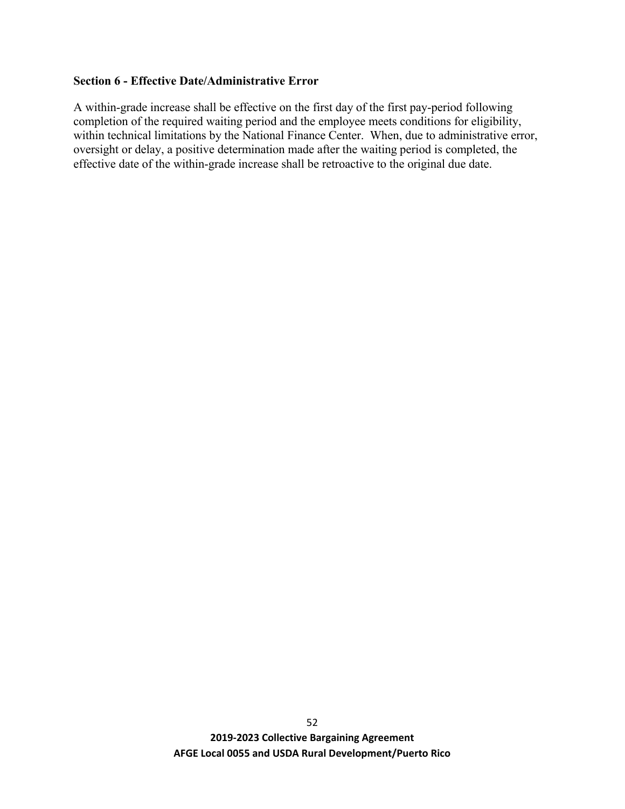### **Section 6 - Effective Date/Administrative Error**

A within-grade increase shall be effective on the first day of the first pay-period following completion of the required waiting period and the employee meets conditions for eligibility, within technical limitations by the National Finance Center. When, due to administrative error, oversight or delay, a positive determination made after the waiting period is completed, the effective date of the within-grade increase shall be retroactive to the original due date.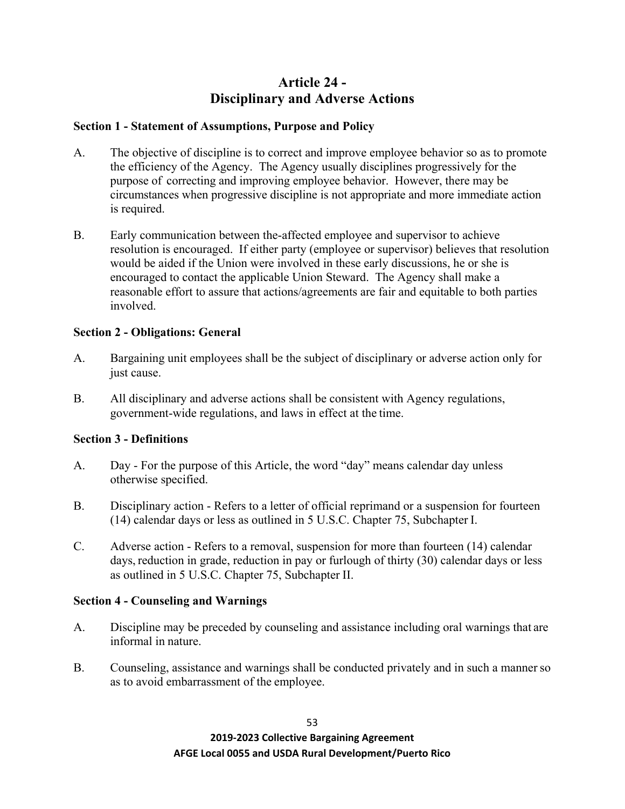# **Article 24 - Disciplinary and Adverse Actions**

## **Section 1 - Statement of Assumptions, Purpose and Policy**

- A. The objective of discipline is to correct and improve employee behavior so as to promote the efficiency of the Agency. The Agency usually disciplines progressively for the purpose of correcting and improving employee behavior. However, there may be circumstances when progressive discipline is not appropriate and more immediate action is required.
- B. Early communication between the-affected employee and supervisor to achieve resolution is encouraged. If either party (employee or supervisor) believes that resolution would be aided if the Union were involved in these early discussions, he or she is encouraged to contact the applicable Union Steward. The Agency shall make a reasonable effort to assure that actions/agreements are fair and equitable to both parties involved.

## **Section 2 - Obligations: General**

- A. Bargaining unit employees shall be the subject of disciplinary or adverse action only for just cause.
- B. All disciplinary and adverse actions shall be consistent with Agency regulations, government-wide regulations, and laws in effect at the time.

# **Section 3 - Definitions**

- A. Day For the purpose of this Article, the word "day" means calendar day unless otherwise specified.
- B. Disciplinary action Refers to a letter of official reprimand or a suspension for fourteen (14) calendar days or less as outlined in 5 U.S.C. Chapter 75, Subchapter I.
- C. Adverse action Refers to a removal, suspension for more than fourteen (14) calendar days, reduction in grade, reduction in pay or furlough of thirty (30) calendar days or less as outlined in 5 U.S.C. Chapter 75, Subchapter II.

# **Section 4 - Counseling and Warnings**

- A. Discipline may be preceded by counseling and assistance including oral warnings that are informal in nature.
- B. Counseling, assistance and warnings shall be conducted privately and in such a mannerso as to avoid embarrassment of the employee.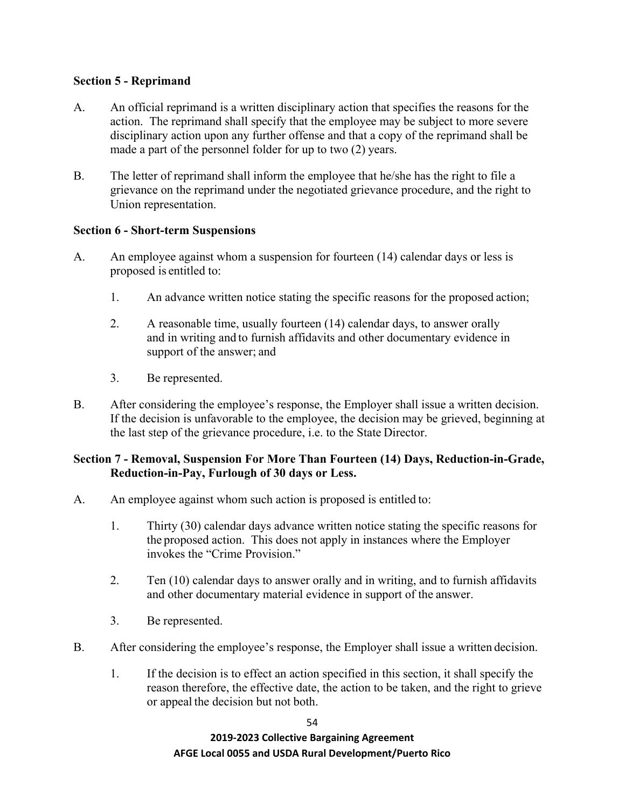## **Section 5 - Reprimand**

- A. An official reprimand is a written disciplinary action that specifies the reasons for the action. The reprimand shall specify that the employee may be subject to more severe disciplinary action upon any further offense and that a copy of the reprimand shall be made a part of the personnel folder for up to two (2) years.
- B. The letter of reprimand shall inform the employee that he/she has the right to file a grievance on the reprimand under the negotiated grievance procedure, and the right to Union representation.

## **Section 6 - Short-term Suspensions**

- A. An employee against whom a suspension for fourteen (14) calendar days or less is proposed is entitled to:
	- 1. An advance written notice stating the specific reasons for the proposed action;
	- 2. A reasonable time, usually fourteen (14) calendar days, to answer orally and in writing and to furnish affidavits and other documentary evidence in support of the answer; and
	- 3. Be represented.
- B. After considering the employee's response, the Employer shall issue a written decision. If the decision is unfavorable to the employee, the decision may be grieved, beginning at the last step of the grievance procedure, i.e. to the State Director.

## **Section 7 - Removal, Suspension For More Than Fourteen (14) Days, Reduction-in-Grade, Reduction-in-Pay, Furlough of 30 days or Less.**

- A. An employee against whom such action is proposed is entitled to:
	- 1. Thirty (30) calendar days advance written notice stating the specific reasons for the proposed action. This does not apply in instances where the Employer invokes the "Crime Provision."
	- 2. Ten (10) calendar days to answer orally and in writing, and to furnish affidavits and other documentary material evidence in support of the answer.
	- 3. Be represented.
- B. After considering the employee's response, the Employer shall issue a written decision.
	- 1. If the decision is to effect an action specified in this section, it shall specify the reason therefore, the effective date, the action to be taken, and the right to grieve or appeal the decision but not both.

54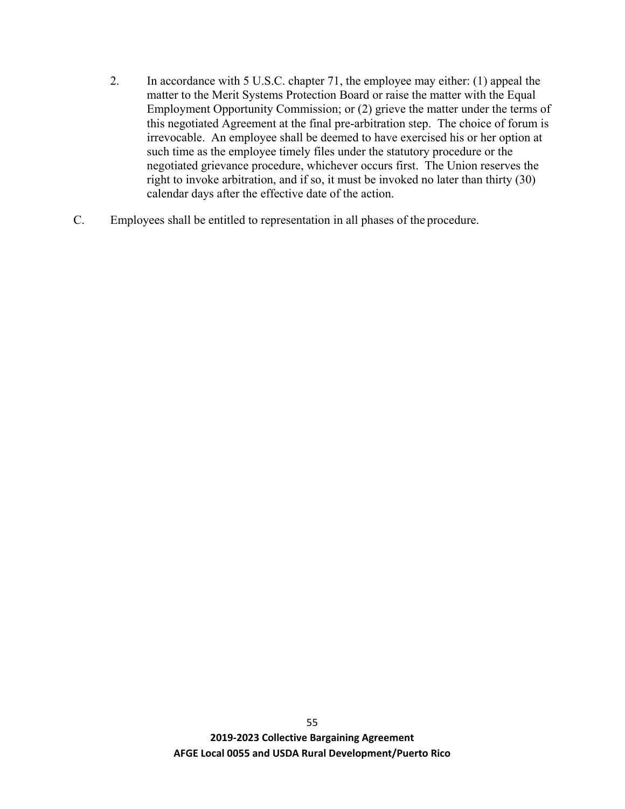- 2. In accordance with 5 U.S.C. chapter 71, the employee may either: (1) appeal the matter to the Merit Systems Protection Board or raise the matter with the Equal Employment Opportunity Commission; or (2) grieve the matter under the terms of this negotiated Agreement at the final pre-arbitration step. The choice of forum is irrevocable. An employee shall be deemed to have exercised his or her option at such time as the employee timely files under the statutory procedure or the negotiated grievance procedure, whichever occurs first. The Union reserves the right to invoke arbitration, and if so, it must be invoked no later than thirty (30) calendar days after the effective date of the action.
- C. Employees shall be entitled to representation in all phases of the procedure.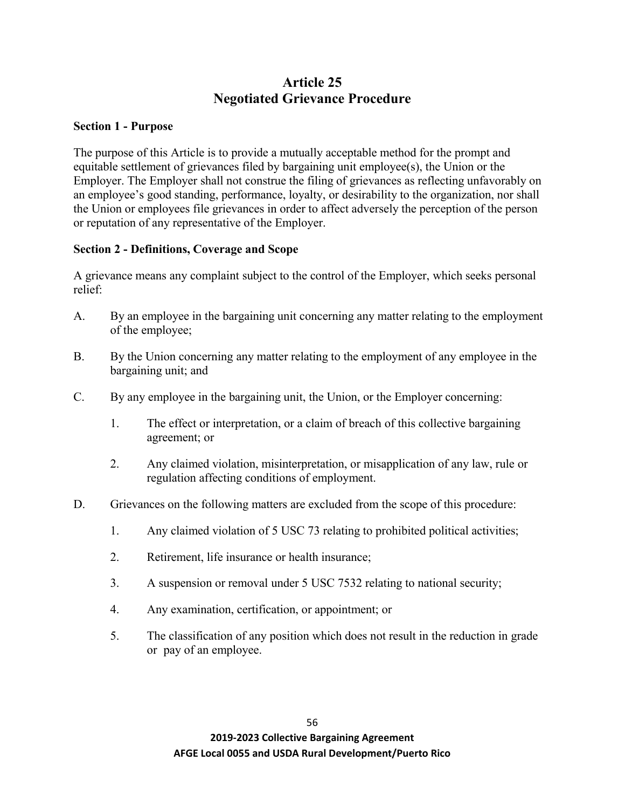# **Article 25 Negotiated Grievance Procedure**

### **Section 1 - Purpose**

The purpose of this Article is to provide a mutually acceptable method for the prompt and equitable settlement of grievances filed by bargaining unit employee(s), the Union or the Employer. The Employer shall not construe the filing of grievances as reflecting unfavorably on an employee's good standing, performance, loyalty, or desirability to the organization, nor shall the Union or employees file grievances in order to affect adversely the perception of the person or reputation of any representative of the Employer.

### **Section 2 - Definitions, Coverage and Scope**

A grievance means any complaint subject to the control of the Employer, which seeks personal relief:

- A. By an employee in the bargaining unit concerning any matter relating to the employment of the employee;
- B. By the Union concerning any matter relating to the employment of any employee in the bargaining unit; and
- C. By any employee in the bargaining unit, the Union, or the Employer concerning:
	- 1. The effect or interpretation, or a claim of breach of this collective bargaining agreement; or
	- 2. Any claimed violation, misinterpretation, or misapplication of any law, rule or regulation affecting conditions of employment.
- D. Grievances on the following matters are excluded from the scope of this procedure:
	- 1. Any claimed violation of 5 USC 73 relating to prohibited political activities;
	- 2. Retirement, life insurance or health insurance;
	- 3. A suspension or removal under 5 USC 7532 relating to national security;
	- 4. Any examination, certification, or appointment; or
	- 5. The classification of any position which does not result in the reduction in grade or pay of an employee.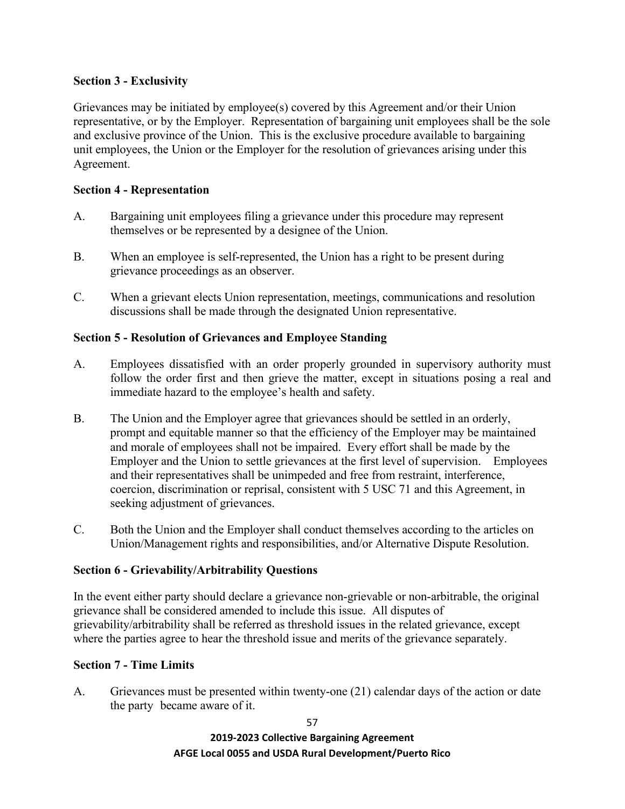## **Section 3 - Exclusivity**

Grievances may be initiated by employee(s) covered by this Agreement and/or their Union representative, or by the Employer. Representation of bargaining unit employees shall be the sole and exclusive province of the Union. This is the exclusive procedure available to bargaining unit employees, the Union or the Employer for the resolution of grievances arising under this Agreement.

## **Section 4 - Representation**

- A. Bargaining unit employees filing a grievance under this procedure may represent themselves or be represented by a designee of the Union.
- B. When an employee is self-represented, the Union has a right to be present during grievance proceedings as an observer.
- C. When a grievant elects Union representation, meetings, communications and resolution discussions shall be made through the designated Union representative.

## **Section 5 - Resolution of Grievances and Employee Standing**

- A. Employees dissatisfied with an order properly grounded in supervisory authority must follow the order first and then grieve the matter, except in situations posing a real and immediate hazard to the employee's health and safety.
- B. The Union and the Employer agree that grievances should be settled in an orderly, prompt and equitable manner so that the efficiency of the Employer may be maintained and morale of employees shall not be impaired. Every effort shall be made by the Employer and the Union to settle grievances at the first level of supervision. Employees and their representatives shall be unimpeded and free from restraint, interference, coercion, discrimination or reprisal, consistent with 5 USC 71 and this Agreement, in seeking adjustment of grievances.
- C. Both the Union and the Employer shall conduct themselves according to the articles on Union/Management rights and responsibilities, and/or Alternative Dispute Resolution.

# **Section 6 - Grievability/Arbitrability Questions**

In the event either party should declare a grievance non-grievable or non-arbitrable, the original grievance shall be considered amended to include this issue. All disputes of grievability/arbitrability shall be referred as threshold issues in the related grievance, except where the parties agree to hear the threshold issue and merits of the grievance separately.

### **Section 7 - Time Limits**

A. Grievances must be presented within twenty-one (21) calendar days of the action or date the party became aware of it.

57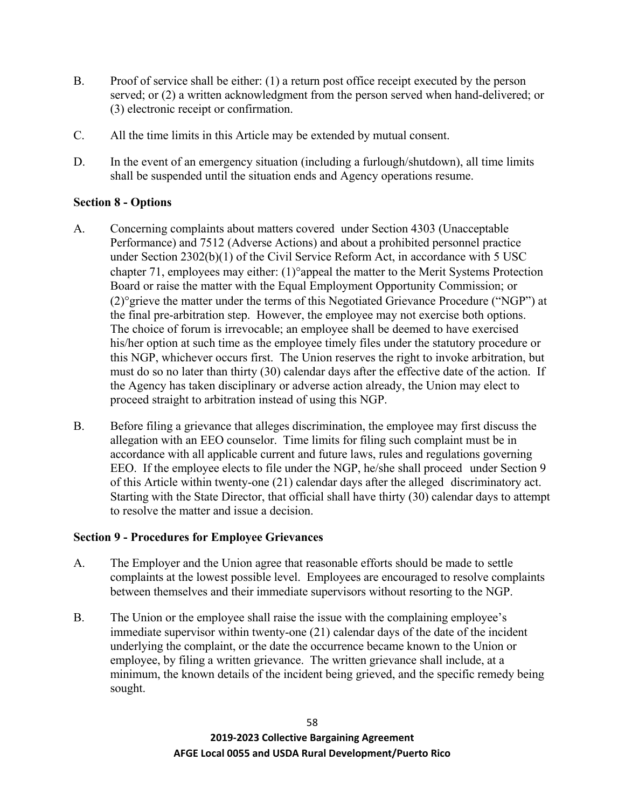- B. Proof of service shall be either: (1) a return post office receipt executed by the person served; or (2) a written acknowledgment from the person served when hand-delivered; or (3) electronic receipt or confirmation.
- C. All the time limits in this Article may be extended by mutual consent.
- D. In the event of an emergency situation (including a furlough/shutdown), all time limits shall be suspended until the situation ends and Agency operations resume.

## **Section 8 - Options**

- A. Concerning complaints about matters covered under Section 4303 (Unacceptable Performance) and 7512 (Adverse Actions) and about a prohibited personnel practice under Section 2302(b)(1) of the Civil Service Reform Act, in accordance with 5 USC chapter 71, employees may either: (1)°appeal the matter to the Merit Systems Protection Board or raise the matter with the Equal Employment Opportunity Commission; or (2)°grieve the matter under the terms of this Negotiated Grievance Procedure ("NGP") at the final pre-arbitration step. However, the employee may not exercise both options. The choice of forum is irrevocable; an employee shall be deemed to have exercised his/her option at such time as the employee timely files under the statutory procedure or this NGP, whichever occurs first. The Union reserves the right to invoke arbitration, but must do so no later than thirty (30) calendar days after the effective date of the action. If the Agency has taken disciplinary or adverse action already, the Union may elect to proceed straight to arbitration instead of using this NGP.
- B. Before filing a grievance that alleges discrimination, the employee may first discuss the allegation with an EEO counselor. Time limits for filing such complaint must be in accordance with all applicable current and future laws, rules and regulations governing EEO. If the employee elects to file under the NGP, he/she shall proceed under Section 9 of this Article within twenty-one (21) calendar days after the alleged discriminatory act. Starting with the State Director, that official shall have thirty (30) calendar days to attempt to resolve the matter and issue a decision.

### **Section 9 - Procedures for Employee Grievances**

- A. The Employer and the Union agree that reasonable efforts should be made to settle complaints at the lowest possible level. Employees are encouraged to resolve complaints between themselves and their immediate supervisors without resorting to the NGP.
- B. The Union or the employee shall raise the issue with the complaining employee's immediate supervisor within twenty-one (21) calendar days of the date of the incident underlying the complaint, or the date the occurrence became known to the Union or employee, by filing a written grievance. The written grievance shall include, at a minimum, the known details of the incident being grieved, and the specific remedy being sought.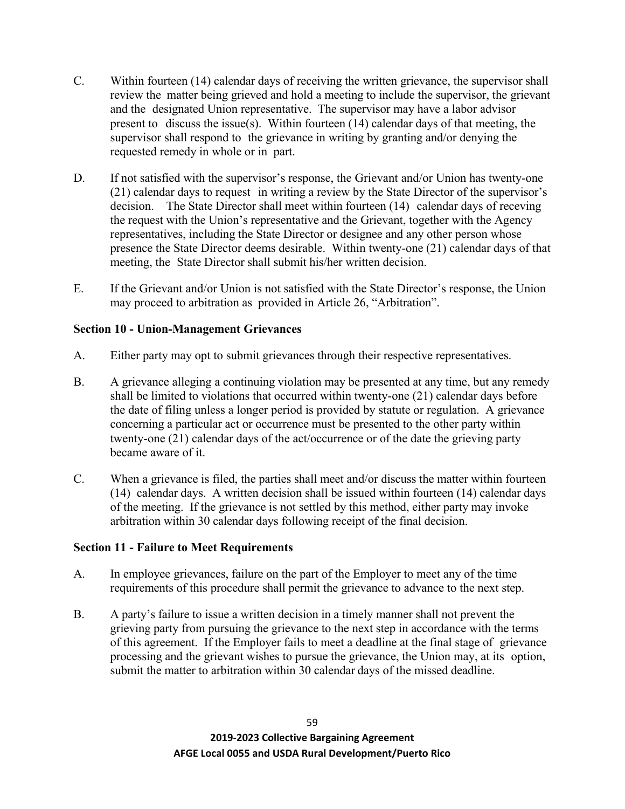- C. Within fourteen (14) calendar days of receiving the written grievance, the supervisor shall review the matter being grieved and hold a meeting to include the supervisor, the grievant and the designated Union representative. The supervisor may have a labor advisor present to discuss the issue(s). Within fourteen (14) calendar days of that meeting, the supervisor shall respond to the grievance in writing by granting and/or denying the requested remedy in whole or in part.
- D. If not satisfied with the supervisor's response, the Grievant and/or Union has twenty-one (21) calendar days to request in writing a review by the State Director of the supervisor's decision. The State Director shall meet within fourteen (14) calendar days of receving the request with the Union's representative and the Grievant, together with the Agency representatives, including the State Director or designee and any other person whose presence the State Director deems desirable. Within twenty-one (21) calendar days of that meeting, the State Director shall submit his/her written decision.
- E. If the Grievant and/or Union is not satisfied with the State Director's response, the Union may proceed to arbitration as provided in Article 26, "Arbitration".

## **Section 10 - Union-Management Grievances**

- A. Either party may opt to submit grievances through their respective representatives.
- B. A grievance alleging a continuing violation may be presented at any time, but any remedy shall be limited to violations that occurred within twenty-one (21) calendar days before the date of filing unless a longer period is provided by statute or regulation. A grievance concerning a particular act or occurrence must be presented to the other party within twenty-one (21) calendar days of the act/occurrence or of the date the grieving party became aware of it.
- C. When a grievance is filed, the parties shall meet and/or discuss the matter within fourteen (14) calendar days. A written decision shall be issued within fourteen (14) calendar days of the meeting. If the grievance is not settled by this method, either party may invoke arbitration within 30 calendar days following receipt of the final decision.

### **Section 11 - Failure to Meet Requirements**

- A. In employee grievances, failure on the part of the Employer to meet any of the time requirements of this procedure shall permit the grievance to advance to the next step.
- B. A party's failure to issue a written decision in a timely manner shall not prevent the grieving party from pursuing the grievance to the next step in accordance with the terms of this agreement. If the Employer fails to meet a deadline at the final stage of grievance processing and the grievant wishes to pursue the grievance, the Union may, at its option, submit the matter to arbitration within 30 calendar days of the missed deadline.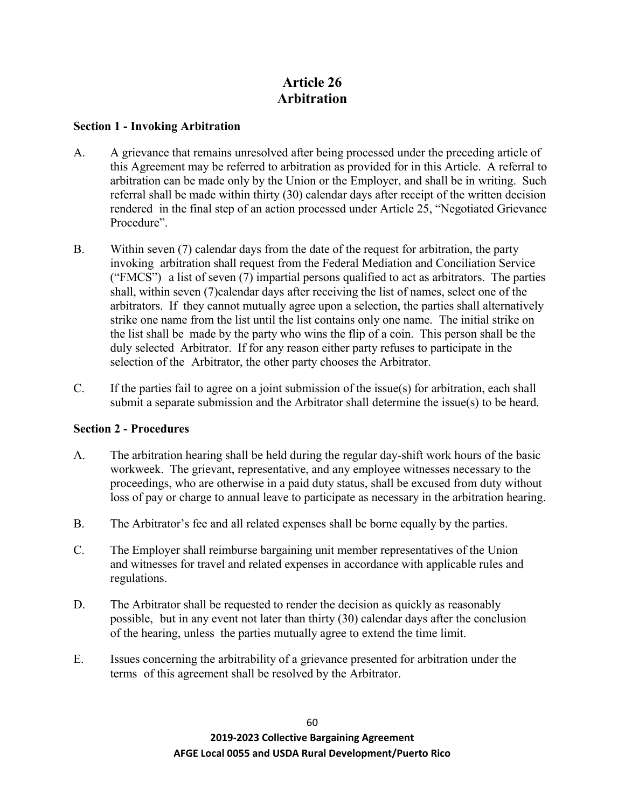# **Article 26 Arbitration**

### **Section 1 - Invoking Arbitration**

- A. A grievance that remains unresolved after being processed under the preceding article of this Agreement may be referred to arbitration as provided for in this Article. A referral to arbitration can be made only by the Union or the Employer, and shall be in writing. Such referral shall be made within thirty (30) calendar days after receipt of the written decision rendered in the final step of an action processed under Article 25, "Negotiated Grievance Procedure".
- B. Within seven (7) calendar days from the date of the request for arbitration, the party invoking arbitration shall request from the Federal Mediation and Conciliation Service ("FMCS") a list of seven (7) impartial persons qualified to act as arbitrators. The parties shall, within seven (7)calendar days after receiving the list of names, select one of the arbitrators. If they cannot mutually agree upon a selection, the parties shall alternatively strike one name from the list until the list contains only one name. The initial strike on the list shall be made by the party who wins the flip of a coin. This person shall be the duly selected Arbitrator. If for any reason either party refuses to participate in the selection of the Arbitrator, the other party chooses the Arbitrator.
- C. If the parties fail to agree on a joint submission of the issue(s) for arbitration, each shall submit a separate submission and the Arbitrator shall determine the issue(s) to be heard.

### **Section 2 - Procedures**

- A. The arbitration hearing shall be held during the regular day-shift work hours of the basic workweek. The grievant, representative, and any employee witnesses necessary to the proceedings, who are otherwise in a paid duty status, shall be excused from duty without loss of pay or charge to annual leave to participate as necessary in the arbitration hearing.
- B. The Arbitrator's fee and all related expenses shall be borne equally by the parties.
- C. The Employer shall reimburse bargaining unit member representatives of the Union and witnesses for travel and related expenses in accordance with applicable rules and regulations.
- D. The Arbitrator shall be requested to render the decision as quickly as reasonably possible, but in any event not later than thirty (30) calendar days after the conclusion of the hearing, unless the parties mutually agree to extend the time limit.
- E. Issues concerning the arbitrability of a grievance presented for arbitration under the terms of this agreement shall be resolved by the Arbitrator.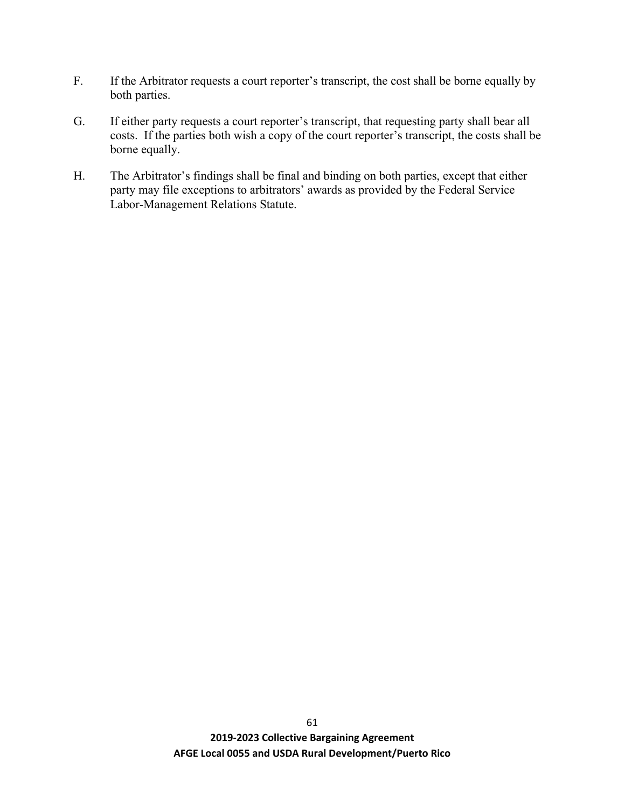- F. If the Arbitrator requests a court reporter's transcript, the cost shall be borne equally by both parties.
- G. If either party requests a court reporter's transcript, that requesting party shall bear all costs. If the parties both wish a copy of the court reporter's transcript, the costs shall be borne equally.
- H. The Arbitrator's findings shall be final and binding on both parties, except that either party may file exceptions to arbitrators' awards as provided by the Federal Service Labor-Management Relations Statute.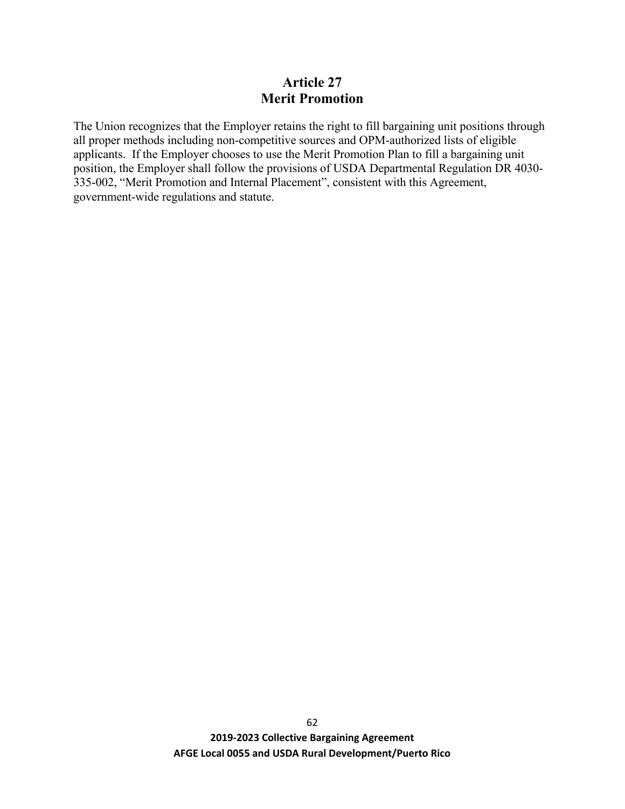## **Article 27 Merit Promotion**

The Union recognizes that the Employer retains the right to fill bargaining unit positions through all proper methods including non-competitive sources and OPM-authorized lists of eligible applicants. If the Employer chooses to use the Merit Promotion Plan to fill a bargaining unit position, the Employer shall follow the provisions of USDA Departmental Regulation DR 4030- 335-002, "Merit Promotion and Internal Placement", consistent with this Agreement, government-wide regulations and statute.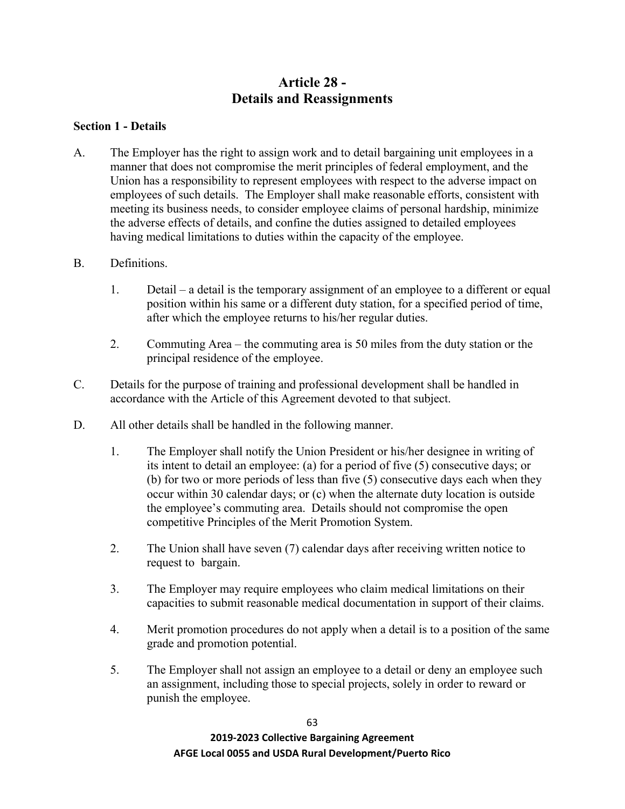# **Article 28 - Details and Reassignments**

### **Section 1 - Details**

- A. The Employer has the right to assign work and to detail bargaining unit employees in a manner that does not compromise the merit principles of federal employment, and the Union has a responsibility to represent employees with respect to the adverse impact on employees of such details. The Employer shall make reasonable efforts, consistent with meeting its business needs, to consider employee claims of personal hardship, minimize the adverse effects of details, and confine the duties assigned to detailed employees having medical limitations to duties within the capacity of the employee.
- B. Definitions.
	- 1. Detail a detail is the temporary assignment of an employee to a different or equal position within his same or a different duty station, for a specified period of time, after which the employee returns to his/her regular duties.
	- 2. Commuting Area the commuting area is 50 miles from the duty station or the principal residence of the employee.
- C. Details for the purpose of training and professional development shall be handled in accordance with the Article of this Agreement devoted to that subject.
- D. All other details shall be handled in the following manner.
	- 1. The Employer shall notify the Union President or his/her designee in writing of its intent to detail an employee: (a) for a period of five (5) consecutive days; or (b) for two or more periods of less than five (5) consecutive days each when they occur within 30 calendar days; or (c) when the alternate duty location is outside the employee's commuting area. Details should not compromise the open competitive Principles of the Merit Promotion System.
	- 2. The Union shall have seven (7) calendar days after receiving written notice to request to bargain.
	- 3. The Employer may require employees who claim medical limitations on their capacities to submit reasonable medical documentation in support of their claims.
	- 4. Merit promotion procedures do not apply when a detail is to a position of the same grade and promotion potential.
	- 5. The Employer shall not assign an employee to a detail or deny an employee such an assignment, including those to special projects, solely in order to reward or punish the employee.

63 **2019-2023 Collective Bargaining Agreement**

#### **AFGE Local 0055 and USDA Rural Development/Puerto Rico**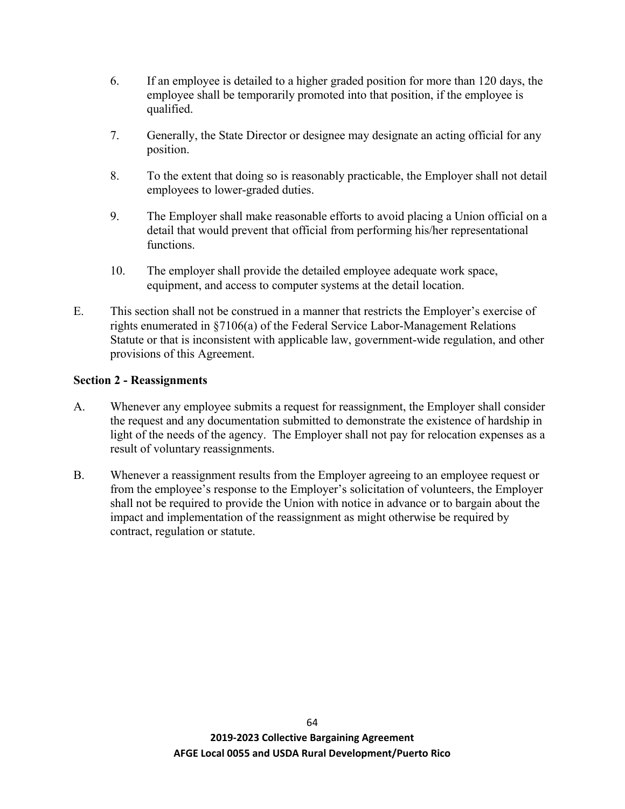- 6. If an employee is detailed to a higher graded position for more than 120 days, the employee shall be temporarily promoted into that position, if the employee is qualified.
- 7. Generally, the State Director or designee may designate an acting official for any position.
- 8. To the extent that doing so is reasonably practicable, the Employer shall not detail employees to lower-graded duties.
- 9. The Employer shall make reasonable efforts to avoid placing a Union official on a detail that would prevent that official from performing his/her representational functions.
- 10. The employer shall provide the detailed employee adequate work space, equipment, and access to computer systems at the detail location.
- E. This section shall not be construed in a manner that restricts the Employer's exercise of rights enumerated in §7106(a) of the Federal Service Labor-Management Relations Statute or that is inconsistent with applicable law, government-wide regulation, and other provisions of this Agreement.

### **Section 2 - Reassignments**

- A. Whenever any employee submits a request for reassignment, the Employer shall consider the request and any documentation submitted to demonstrate the existence of hardship in light of the needs of the agency. The Employer shall not pay for relocation expenses as a result of voluntary reassignments.
- B. Whenever a reassignment results from the Employer agreeing to an employee request or from the employee's response to the Employer's solicitation of volunteers, the Employer shall not be required to provide the Union with notice in advance or to bargain about the impact and implementation of the reassignment as might otherwise be required by contract, regulation or statute.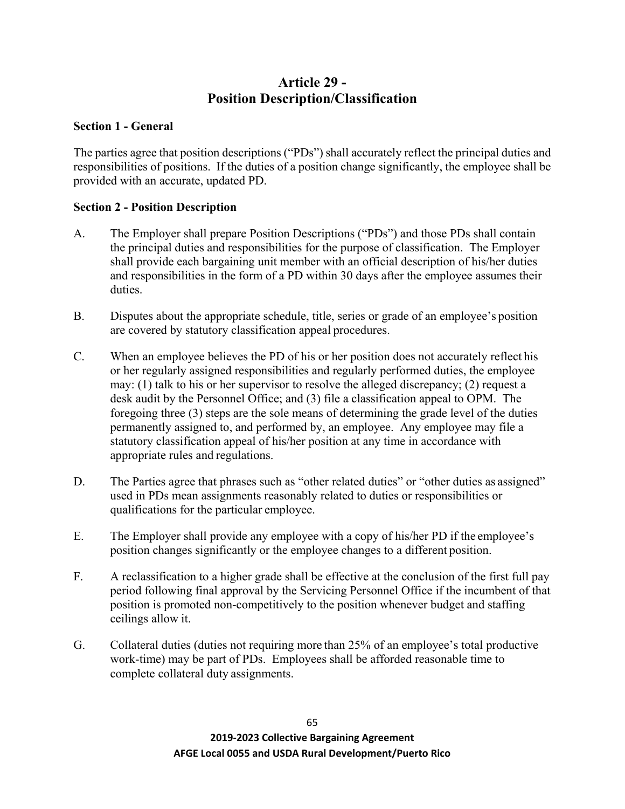# **Article 29 - Position Description/Classification**

### **Section 1 - General**

The parties agree that position descriptions ("PDs") shall accurately reflect the principal duties and responsibilities of positions. If the duties of a position change significantly, the employee shall be provided with an accurate, updated PD.

### **Section 2 - Position Description**

- A. The Employer shall prepare Position Descriptions ("PDs") and those PDs shall contain the principal duties and responsibilities for the purpose of classification. The Employer shall provide each bargaining unit member with an official description of his/her duties and responsibilities in the form of a PD within 30 days after the employee assumes their duties.
- B. Disputes about the appropriate schedule, title, series or grade of an employee's position are covered by statutory classification appeal procedures.
- C. When an employee believes the PD of his or her position does not accurately reflect his or her regularly assigned responsibilities and regularly performed duties, the employee may: (1) talk to his or her supervisor to resolve the alleged discrepancy; (2) request a desk audit by the Personnel Office; and (3) file a classification appeal to OPM. The foregoing three (3) steps are the sole means of determining the grade level of the duties permanently assigned to, and performed by, an employee. Any employee may file a statutory classification appeal of his/her position at any time in accordance with appropriate rules and regulations.
- D. The Parties agree that phrases such as "other related duties" or "other duties as assigned" used in PDs mean assignments reasonably related to duties or responsibilities or qualifications for the particular employee.
- E. The Employer shall provide any employee with a copy of his/her PD if the employee's position changes significantly or the employee changes to a different position.
- F. A reclassification to a higher grade shall be effective at the conclusion of the first full pay period following final approval by the Servicing Personnel Office if the incumbent of that position is promoted non-competitively to the position whenever budget and staffing ceilings allow it.
- G. Collateral duties (duties not requiring more than 25% of an employee's total productive work-time) may be part of PDs. Employees shall be afforded reasonable time to complete collateral duty assignments.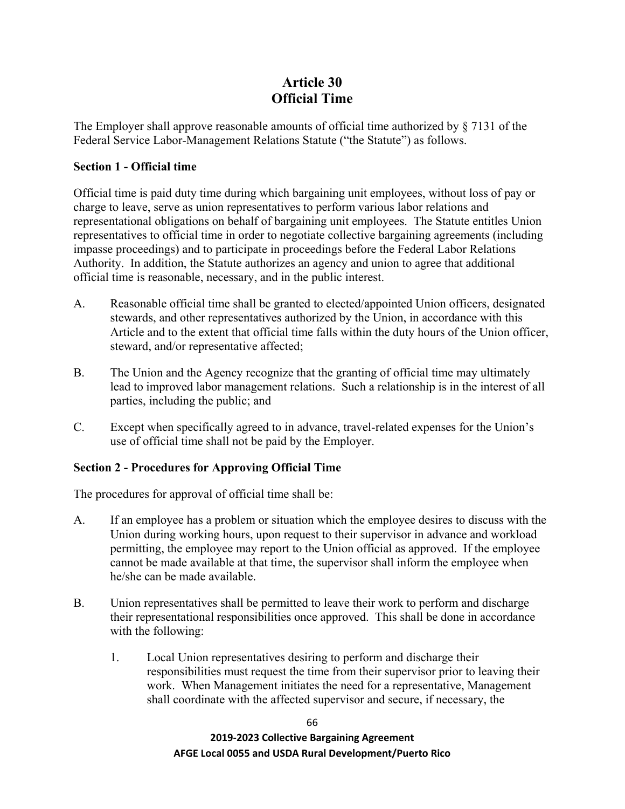# **Article 30 Official Time**

The Employer shall approve reasonable amounts of official time authorized by § 7131 of the Federal Service Labor-Management Relations Statute ("the Statute") as follows.

### **Section 1 - Official time**

Official time is paid duty time during which bargaining unit employees, without loss of pay or charge to leave, serve as union representatives to perform various labor relations and representational obligations on behalf of bargaining unit employees. The Statute entitles Union representatives to official time in order to negotiate collective bargaining agreements (including impasse proceedings) and to participate in proceedings before the Federal Labor Relations Authority. In addition, the Statute authorizes an agency and union to agree that additional official time is reasonable, necessary, and in the public interest.

- A. Reasonable official time shall be granted to elected/appointed Union officers, designated stewards, and other representatives authorized by the Union, in accordance with this Article and to the extent that official time falls within the duty hours of the Union officer, steward, and/or representative affected;
- B. The Union and the Agency recognize that the granting of official time may ultimately lead to improved labor management relations. Such a relationship is in the interest of all parties, including the public; and
- C. Except when specifically agreed to in advance, travel-related expenses for the Union's use of official time shall not be paid by the Employer.

### **Section 2 - Procedures for Approving Official Time**

The procedures for approval of official time shall be:

- A. If an employee has a problem or situation which the employee desires to discuss with the Union during working hours, upon request to their supervisor in advance and workload permitting, the employee may report to the Union official as approved. If the employee cannot be made available at that time, the supervisor shall inform the employee when he/she can be made available.
- B. Union representatives shall be permitted to leave their work to perform and discharge their representational responsibilities once approved. This shall be done in accordance with the following:
	- 1. Local Union representatives desiring to perform and discharge their responsibilities must request the time from their supervisor prior to leaving their work. When Management initiates the need for a representative, Management shall coordinate with the affected supervisor and secure, if necessary, the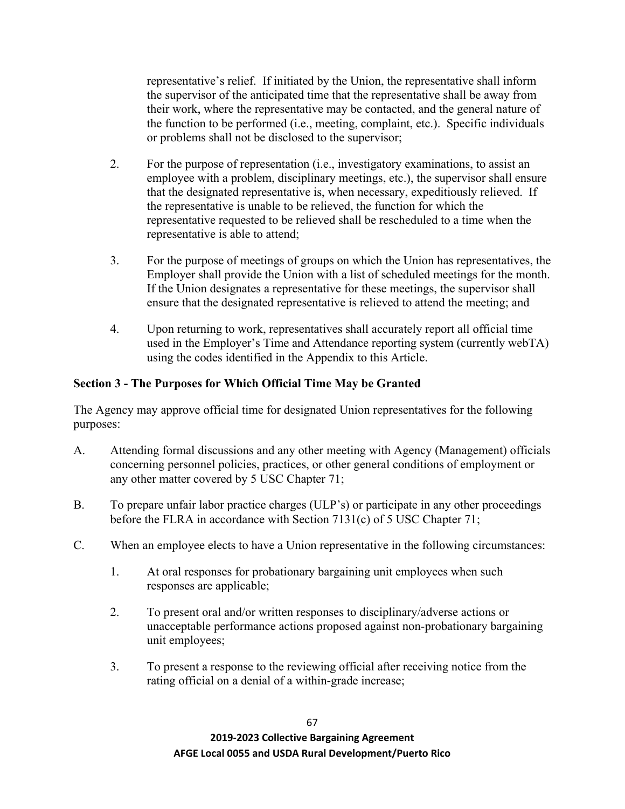representative's relief. If initiated by the Union, the representative shall inform the supervisor of the anticipated time that the representative shall be away from their work, where the representative may be contacted, and the general nature of the function to be performed (i.e., meeting, complaint, etc.). Specific individuals or problems shall not be disclosed to the supervisor;

- 2. For the purpose of representation (i.e., investigatory examinations, to assist an employee with a problem, disciplinary meetings, etc.), the supervisor shall ensure that the designated representative is, when necessary, expeditiously relieved. If the representative is unable to be relieved, the function for which the representative requested to be relieved shall be rescheduled to a time when the representative is able to attend;
- 3. For the purpose of meetings of groups on which the Union has representatives, the Employer shall provide the Union with a list of scheduled meetings for the month. If the Union designates a representative for these meetings, the supervisor shall ensure that the designated representative is relieved to attend the meeting; and
- 4. Upon returning to work, representatives shall accurately report all official time used in the Employer's Time and Attendance reporting system (currently webTA) using the codes identified in the Appendix to this Article.

### **Section 3 - The Purposes for Which Official Time May be Granted**

The Agency may approve official time for designated Union representatives for the following purposes:

- A. Attending formal discussions and any other meeting with Agency (Management) officials concerning personnel policies, practices, or other general conditions of employment or any other matter covered by 5 USC Chapter 71;
- B. To prepare unfair labor practice charges (ULP's) or participate in any other proceedings before the FLRA in accordance with Section 7131(c) of 5 USC Chapter 71;
- C. When an employee elects to have a Union representative in the following circumstances:
	- 1. At oral responses for probationary bargaining unit employees when such responses are applicable;
	- 2. To present oral and/or written responses to disciplinary/adverse actions or unacceptable performance actions proposed against non-probationary bargaining unit employees;
	- 3. To present a response to the reviewing official after receiving notice from the rating official on a denial of a within-grade increase;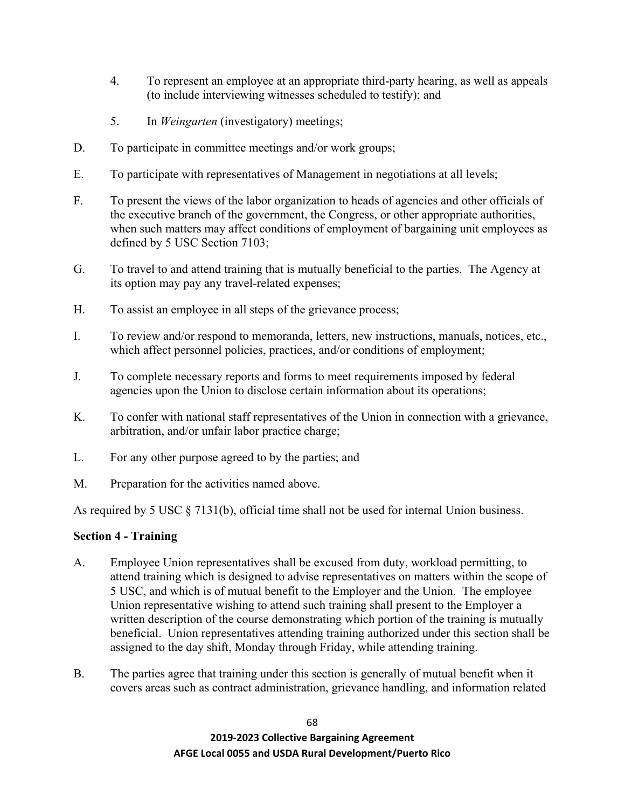- 4. To represent an employee at an appropriate third-party hearing, as well as appeals (to include interviewing witnesses scheduled to testify); and
- 5. In *Weingarten* (investigatory) meetings;
- D. To participate in committee meetings and/or work groups;
- E. To participate with representatives of Management in negotiations at all levels;
- F. To present the views of the labor organization to heads of agencies and other officials of the executive branch of the government, the Congress, or other appropriate authorities, when such matters may affect conditions of employment of bargaining unit employees as defined by 5 USC Section 7103;
- G. To travel to and attend training that is mutually beneficial to the parties. The Agency at its option may pay any travel-related expenses;
- H. To assist an employee in all steps of the grievance process;
- I. To review and/or respond to memoranda, letters, new instructions, manuals, notices, etc., which affect personnel policies, practices, and/or conditions of employment;
- J. To complete necessary reports and forms to meet requirements imposed by federal agencies upon the Union to disclose certain information about its operations;
- K. To confer with national staff representatives of the Union in connection with a grievance, arbitration, and/or unfair labor practice charge;
- L. For any other purpose agreed to by the parties; and
- M. Preparation for the activities named above.

As required by 5 USC § 7131(b), official time shall not be used for internal Union business.

### **Section 4 - Training**

- A. Employee Union representatives shall be excused from duty, workload permitting, to attend training which is designed to advise representatives on matters within the scope of 5 USC, and which is of mutual benefit to the Employer and the Union. The employee Union representative wishing to attend such training shall present to the Employer a written description of the course demonstrating which portion of the training is mutually beneficial. Union representatives attending training authorized under this section shall be assigned to the day shift, Monday through Friday, while attending training.
- B. The parties agree that training under this section is generally of mutual benefit when it covers areas such as contract administration, grievance handling, and information related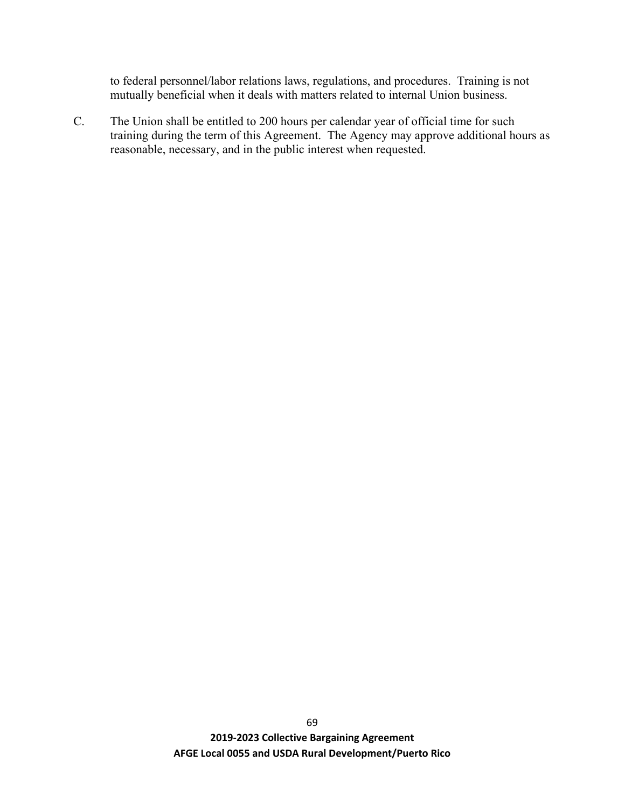to federal personnel/labor relations laws, regulations, and procedures. Training is not mutually beneficial when it deals with matters related to internal Union business.

C. The Union shall be entitled to 200 hours per calendar year of official time for such training during the term of this Agreement. The Agency may approve additional hours as reasonable, necessary, and in the public interest when requested.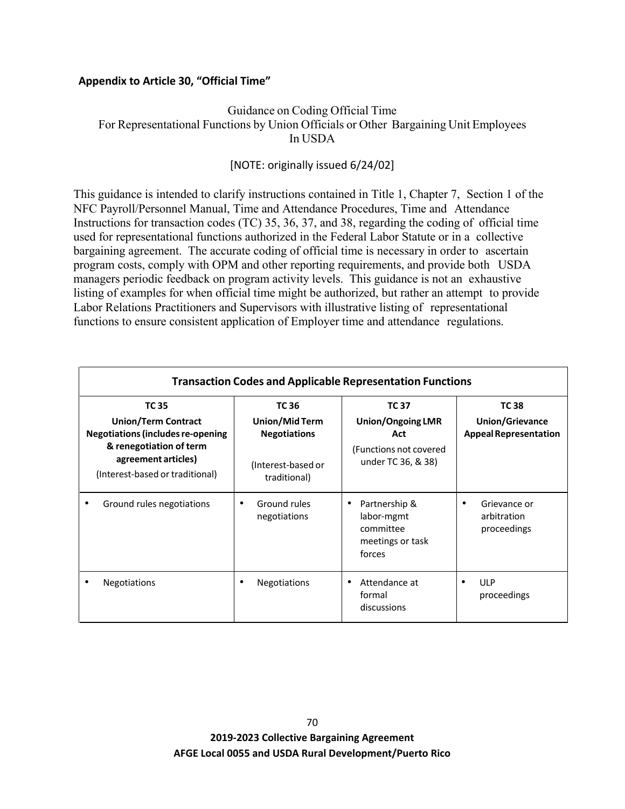### **Appendix to Article 30, "Official Time"**

### Guidance on Coding Official Time For Representational Functions by Union Officials or Other Bargaining Unit Employees In USDA

### [NOTE: originally issued 6/24/02]

This guidance is intended to clarify instructions contained in Title 1, Chapter 7, Section 1 of the NFC Payroll/Personnel Manual, Time and Attendance Procedures, Time and Attendance Instructions for transaction codes (TC) 35, 36, 37, and 38, regarding the coding of official time used for representational functions authorized in the Federal Labor Statute or in a collective bargaining agreement. The accurate coding of official time is necessary in order to ascertain program costs, comply with OPM and other reporting requirements, and provide both USDA managers periodic feedback on program activity levels. This guidance is not an exhaustive listing of examples for when official time might be authorized, but rather an attempt to provide Labor Relations Practitioners and Supervisors with illustrative listing of representational functions to ensure consistent application of Employer time and attendance regulations.

| <b>Transaction Codes and Applicable Representation Functions</b>                                                                                                            |                                                                                      |                                                                                                 |                                                                 |  |  |  |  |  |
|-----------------------------------------------------------------------------------------------------------------------------------------------------------------------------|--------------------------------------------------------------------------------------|-------------------------------------------------------------------------------------------------|-----------------------------------------------------------------|--|--|--|--|--|
| <b>TC 35</b><br><b>Union/Term Contract</b><br><b>Negotiations (includes re-opening</b><br>& renegotiation of term<br>agreement articles)<br>(Interest-based or traditional) | TC 36<br>Union/Mid Term<br><b>Negotiations</b><br>(Interest-based or<br>traditional) | <b>TC37</b><br><b>Union/Ongoing LMR</b><br>Act<br>(Functions not covered)<br>under TC 36, & 38) | <b>TC 38</b><br>Union/Grievance<br><b>Appeal Representation</b> |  |  |  |  |  |
| Ground rules negotiations<br>٠                                                                                                                                              | Ground rules<br>٠<br>negotiations                                                    | Partnership &<br>٠<br>labor-mgmt<br>committee<br>meetings or task<br>forces                     | Grievance or<br>arbitration<br>proceedings                      |  |  |  |  |  |
| <b>Negotiations</b>                                                                                                                                                         | <b>Negotiations</b>                                                                  | Attendance at<br>formal<br>discussions                                                          | <b>ULP</b><br>proceedings                                       |  |  |  |  |  |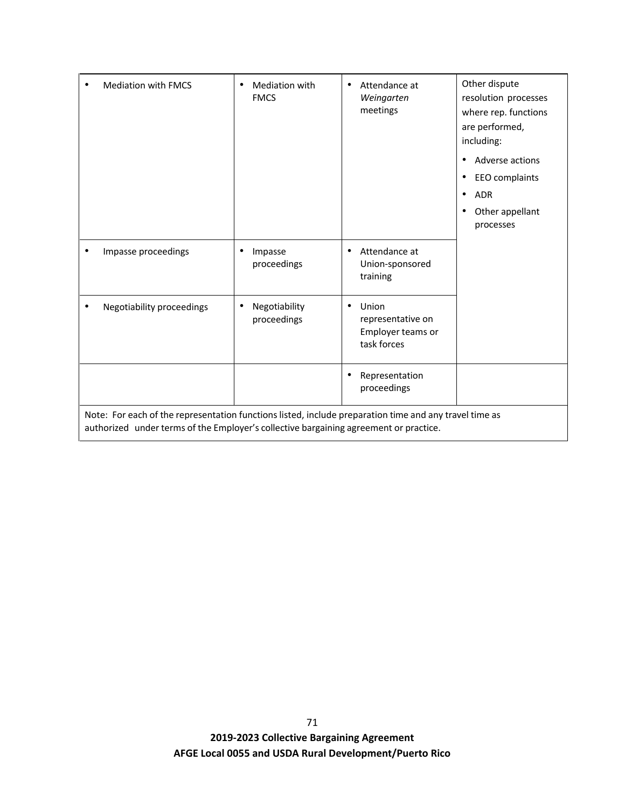|                                                                                                                                                                                                 | <b>Mediation with FMCS</b> | Mediation with<br><b>FMCS</b>             | Attendance at<br>٠<br>Weingarten<br>meetings                        | Other dispute<br>resolution processes<br>where rep. functions<br>are performed,<br>including:<br>Adverse actions<br>$\bullet$<br>EEO complaints<br><b>ADR</b><br>$\bullet$ |  |  |  |
|-------------------------------------------------------------------------------------------------------------------------------------------------------------------------------------------------|----------------------------|-------------------------------------------|---------------------------------------------------------------------|----------------------------------------------------------------------------------------------------------------------------------------------------------------------------|--|--|--|
|                                                                                                                                                                                                 |                            |                                           |                                                                     | Other appellant<br>processes                                                                                                                                               |  |  |  |
|                                                                                                                                                                                                 | Impasse proceedings        | Impasse<br>٠<br>proceedings               | Attendance at<br>٠<br>Union-sponsored<br>training                   |                                                                                                                                                                            |  |  |  |
|                                                                                                                                                                                                 | Negotiability proceedings  | Negotiability<br>$\bullet$<br>proceedings | Union<br>٠<br>representative on<br>Employer teams or<br>task forces |                                                                                                                                                                            |  |  |  |
|                                                                                                                                                                                                 |                            |                                           | Representation<br>٠<br>proceedings                                  |                                                                                                                                                                            |  |  |  |
| Note: For each of the representation functions listed, include preparation time and any travel time as<br>authorized under terms of the Employer's collective bargaining agreement or practice. |                            |                                           |                                                                     |                                                                                                                                                                            |  |  |  |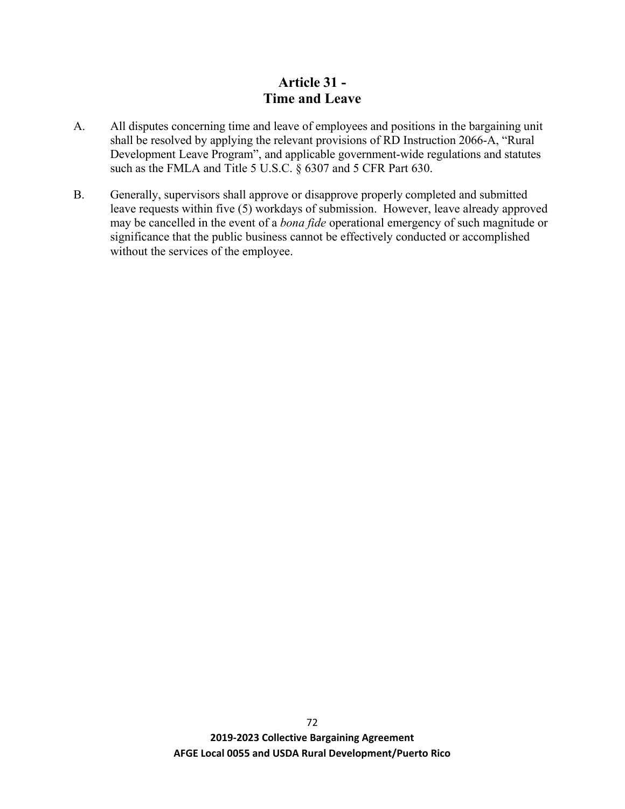# **Article 31 - Time and Leave**

- A. All disputes concerning time and leave of employees and positions in the bargaining unit shall be resolved by applying the relevant provisions of RD Instruction 2066-A, "Rural Development Leave Program", and applicable government-wide regulations and statutes such as the FMLA and Title 5 U.S.C. § 6307 and 5 CFR Part 630.
- B. Generally, supervisors shall approve or disapprove properly completed and submitted leave requests within five (5) workdays of submission. However, leave already approved may be cancelled in the event of a *bona fide* operational emergency of such magnitude or significance that the public business cannot be effectively conducted or accomplished without the services of the employee.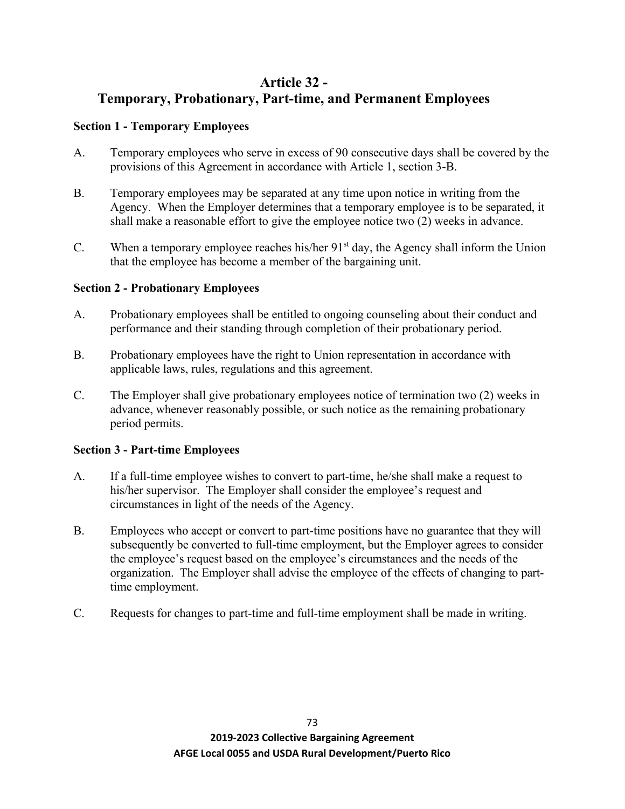## **Article 32 -**

# **Temporary, Probationary, Part-time, and Permanent Employees**

## **Section 1 - Temporary Employees**

- A. Temporary employees who serve in excess of 90 consecutive days shall be covered by the provisions of this Agreement in accordance with Article 1, section 3-B.
- B. Temporary employees may be separated at any time upon notice in writing from the Agency. When the Employer determines that a temporary employee is to be separated, it shall make a reasonable effort to give the employee notice two (2) weeks in advance.
- C. When a temporary employee reaches his/her  $91<sup>st</sup>$  day, the Agency shall inform the Union that the employee has become a member of the bargaining unit.

## **Section 2 - Probationary Employees**

- A. Probationary employees shall be entitled to ongoing counseling about their conduct and performance and their standing through completion of their probationary period.
- B. Probationary employees have the right to Union representation in accordance with applicable laws, rules, regulations and this agreement.
- C. The Employer shall give probationary employees notice of termination two (2) weeks in advance, whenever reasonably possible, or such notice as the remaining probationary period permits.

## **Section 3 - Part-time Employees**

- A. If a full-time employee wishes to convert to part-time, he/she shall make a request to his/her supervisor. The Employer shall consider the employee's request and circumstances in light of the needs of the Agency.
- B. Employees who accept or convert to part-time positions have no guarantee that they will subsequently be converted to full-time employment, but the Employer agrees to consider the employee's request based on the employee's circumstances and the needs of the organization. The Employer shall advise the employee of the effects of changing to parttime employment.
- C. Requests for changes to part-time and full-time employment shall be made in writing.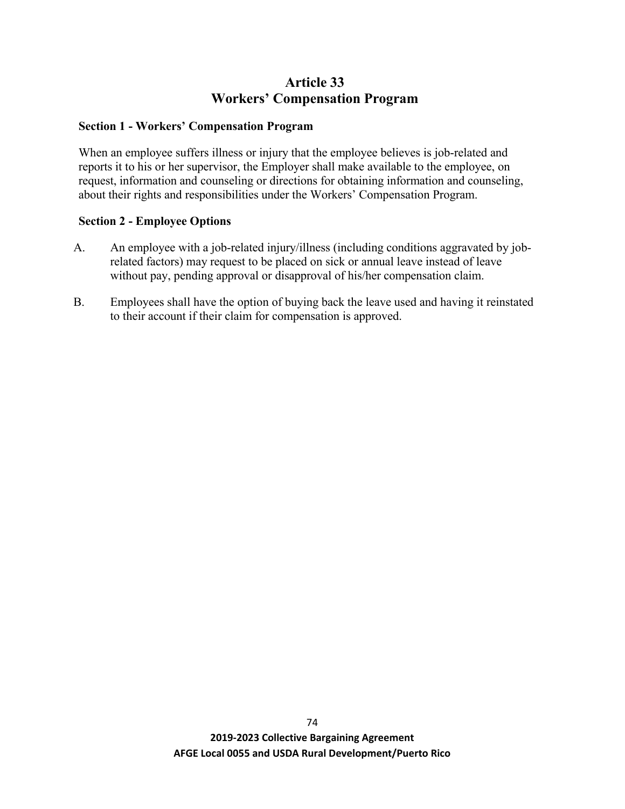# **Article 33 Workers' Compensation Program**

### **Section 1 - Workers' Compensation Program**

When an employee suffers illness or injury that the employee believes is job-related and reports it to his or her supervisor, the Employer shall make available to the employee, on request, information and counseling or directions for obtaining information and counseling, about their rights and responsibilities under the Workers' Compensation Program.

### **Section 2 - Employee Options**

- A. An employee with a job-related injury/illness (including conditions aggravated by jobrelated factors) may request to be placed on sick or annual leave instead of leave without pay, pending approval or disapproval of his/her compensation claim.
- B. Employees shall have the option of buying back the leave used and having it reinstated to their account if their claim for compensation is approved.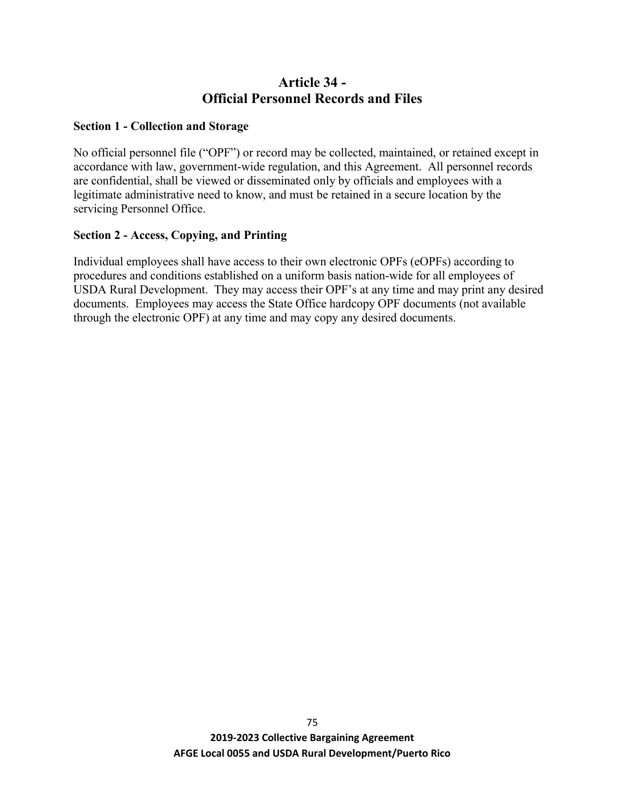# **Article 34 - Official Personnel Records and Files**

### **Section 1 - Collection and Storage**

No official personnel file ("OPF") or record may be collected, maintained, or retained except in accordance with law, government-wide regulation, and this Agreement. All personnel records are confidential, shall be viewed or disseminated only by officials and employees with a legitimate administrative need to know, and must be retained in a secure location by the servicing Personnel Office.

### **Section 2 - Access, Copying, and Printing**

Individual employees shall have access to their own electronic OPFs (eOPFs) according to procedures and conditions established on a uniform basis nation-wide for all employees of USDA Rural Development. They may access their OPF's at any time and may print any desired documents. Employees may access the State Office hardcopy OPF documents (not available through the electronic OPF) at any time and may copy any desired documents.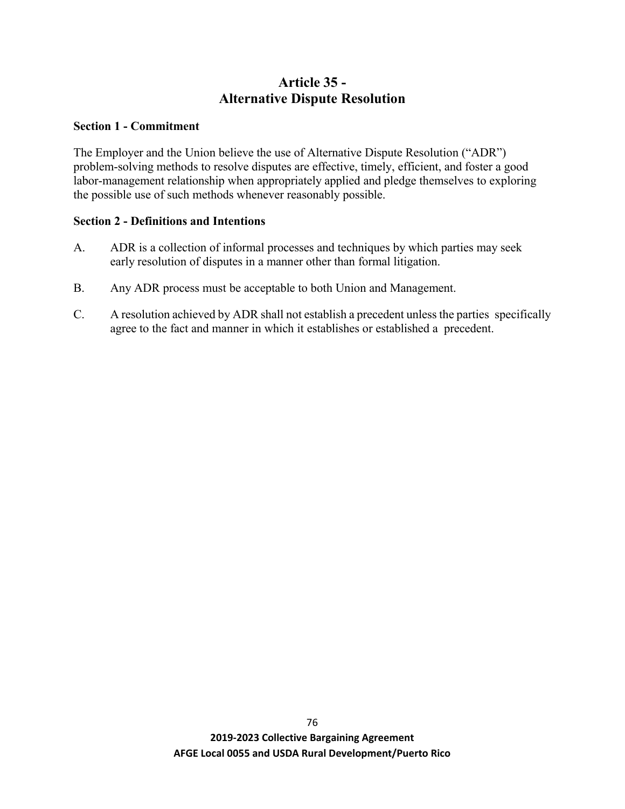# **Article 35 - Alternative Dispute Resolution**

### **Section 1 - Commitment**

The Employer and the Union believe the use of Alternative Dispute Resolution ("ADR") problem-solving methods to resolve disputes are effective, timely, efficient, and foster a good labor-management relationship when appropriately applied and pledge themselves to exploring the possible use of such methods whenever reasonably possible.

### **Section 2 - Definitions and Intentions**

- A. ADR is a collection of informal processes and techniques by which parties may seek early resolution of disputes in a manner other than formal litigation.
- B. Any ADR process must be acceptable to both Union and Management.
- C. A resolution achieved by ADR shall not establish a precedent unless the parties specifically agree to the fact and manner in which it establishes or established a precedent.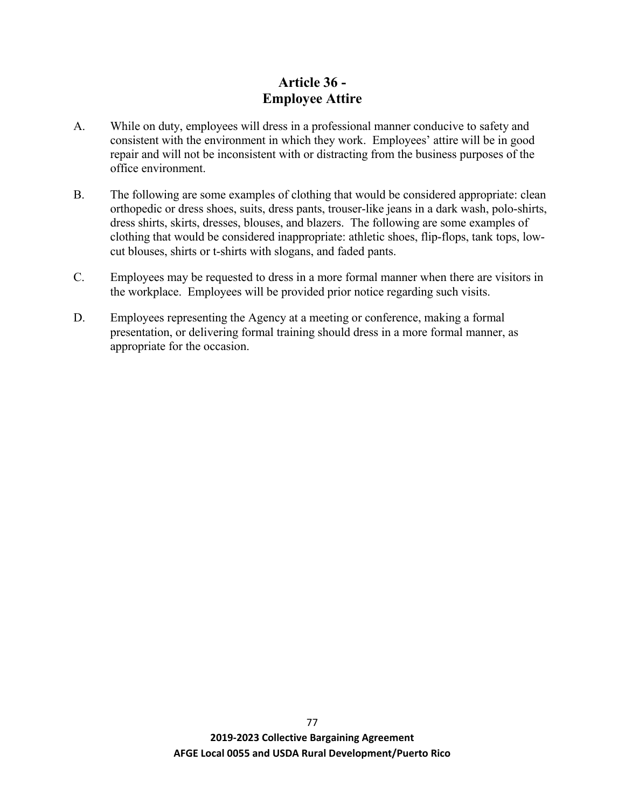# **Article 36 - Employee Attire**

- A. While on duty, employees will dress in a professional manner conducive to safety and consistent with the environment in which they work. Employees' attire will be in good repair and will not be inconsistent with or distracting from the business purposes of the office environment.
- B. The following are some examples of clothing that would be considered appropriate: clean orthopedic or dress shoes, suits, dress pants, trouser-like jeans in a dark wash, polo-shirts, dress shirts, skirts, dresses, blouses, and blazers. The following are some examples of clothing that would be considered inappropriate: athletic shoes, flip-flops, tank tops, lowcut blouses, shirts or t-shirts with slogans, and faded pants.
- C. Employees may be requested to dress in a more formal manner when there are visitors in the workplace. Employees will be provided prior notice regarding such visits.
- D. Employees representing the Agency at a meeting or conference, making a formal presentation, or delivering formal training should dress in a more formal manner, as appropriate for the occasion.